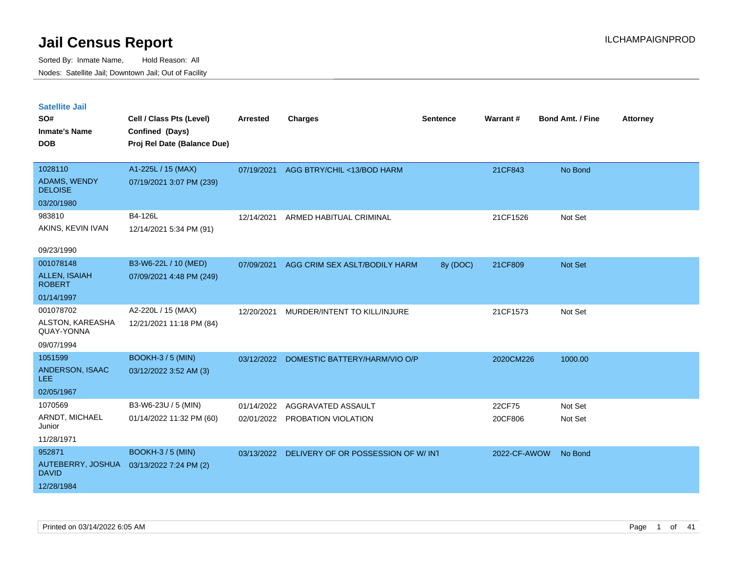| <b>Satellite Jail</b>                 |                                          |            |                                       |                 |              |                         |                 |
|---------------------------------------|------------------------------------------|------------|---------------------------------------|-----------------|--------------|-------------------------|-----------------|
| SO#                                   | Cell / Class Pts (Level)                 | Arrested   | Charges                               | <b>Sentence</b> | Warrant#     | <b>Bond Amt. / Fine</b> | <b>Attorney</b> |
| Inmate's Name                         | Confined (Days)                          |            |                                       |                 |              |                         |                 |
| <b>DOB</b>                            | Proj Rel Date (Balance Due)              |            |                                       |                 |              |                         |                 |
|                                       |                                          |            |                                       |                 |              |                         |                 |
| 1028110                               | A1-225L / 15 (MAX)                       |            | 07/19/2021 AGG BTRY/CHIL <13/BOD HARM |                 | 21CF843      | No Bond                 |                 |
| <b>ADAMS, WENDY</b><br><b>DELOISE</b> | 07/19/2021 3:07 PM (239)                 |            |                                       |                 |              |                         |                 |
| 03/20/1980                            |                                          |            |                                       |                 |              |                         |                 |
| 983810                                | B4-126L                                  | 12/14/2021 | ARMED HABITUAL CRIMINAL               |                 | 21CF1526     | Not Set                 |                 |
| AKINS, KEVIN IVAN                     | 12/14/2021 5:34 PM (91)                  |            |                                       |                 |              |                         |                 |
|                                       |                                          |            |                                       |                 |              |                         |                 |
| 09/23/1990                            |                                          |            |                                       |                 |              |                         |                 |
| 001078148                             | B3-W6-22L / 10 (MED)                     | 07/09/2021 | AGG CRIM SEX ASLT/BODILY HARM         | 8y (DOC)        | 21CF809      | Not Set                 |                 |
| <b>ALLEN, ISAIAH</b><br><b>ROBERT</b> | 07/09/2021 4:48 PM (249)                 |            |                                       |                 |              |                         |                 |
| 01/14/1997                            |                                          |            |                                       |                 |              |                         |                 |
| 001078702                             | A2-220L / 15 (MAX)                       | 12/20/2021 | MURDER/INTENT TO KILL/INJURE          |                 | 21CF1573     | Not Set                 |                 |
| ALSTON, KAREASHA<br>QUAY-YONNA        | 12/21/2021 11:18 PM (84)                 |            |                                       |                 |              |                         |                 |
| 09/07/1994                            |                                          |            |                                       |                 |              |                         |                 |
| 1051599                               | BOOKH-3 / 5 (MIN)                        | 03/12/2022 | DOMESTIC BATTERY/HARM/VIO O/P         |                 | 2020CM226    | 1000.00                 |                 |
| <b>ANDERSON, ISAAC</b><br>LEE.        | 03/12/2022 3:52 AM (3)                   |            |                                       |                 |              |                         |                 |
| 02/05/1967                            |                                          |            |                                       |                 |              |                         |                 |
| 1070569                               | B3-W6-23U / 5 (MIN)                      | 01/14/2022 | AGGRAVATED ASSAULT                    |                 | 22CF75       | Not Set                 |                 |
| ARNDT, MICHAEL<br>Junior              | 01/14/2022 11:32 PM (60)                 |            | 02/01/2022 PROBATION VIOLATION        |                 | 20CF806      | Not Set                 |                 |
| 11/28/1971                            |                                          |            |                                       |                 |              |                         |                 |
| 952871                                | BOOKH-3 / 5 (MIN)                        | 03/13/2022 | DELIVERY OF OR POSSESSION OF W/ INT   |                 | 2022-CF-AWOW | No Bond                 |                 |
| David                                 | AUTEBERRY, JOSHUA 03/13/2022 7:24 PM (2) |            |                                       |                 |              |                         |                 |
| 12/28/1984                            |                                          |            |                                       |                 |              |                         |                 |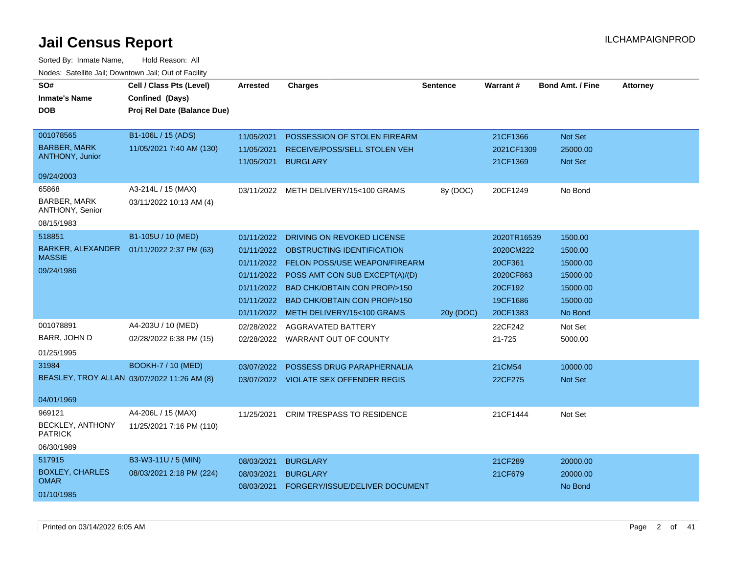| SO#<br><b>Inmate's Name</b><br><b>DOB</b>                                                                                          | Cell / Class Pts (Level)<br>Confined (Days)<br>Proj Rel Date (Balance Due)                      | Arrested                                                           | <b>Charges</b>                                                                                                                                                                                                                                                   | <b>Sentence</b> | Warrant#                                                                            | <b>Bond Amt. / Fine</b>                                                       | <b>Attorney</b> |
|------------------------------------------------------------------------------------------------------------------------------------|-------------------------------------------------------------------------------------------------|--------------------------------------------------------------------|------------------------------------------------------------------------------------------------------------------------------------------------------------------------------------------------------------------------------------------------------------------|-----------------|-------------------------------------------------------------------------------------|-------------------------------------------------------------------------------|-----------------|
| 001078565<br><b>BARBER, MARK</b><br><b>ANTHONY, Junior</b><br>09/24/2003<br>65868<br>BARBER, MARK<br>ANTHONY, Senior<br>08/15/1983 | B1-106L / 15 (ADS)<br>11/05/2021 7:40 AM (130)<br>A3-214L / 15 (MAX)<br>03/11/2022 10:13 AM (4) | 11/05/2021<br>11/05/2021<br>11/05/2021<br>03/11/2022               | POSSESSION OF STOLEN FIREARM<br>RECEIVE/POSS/SELL STOLEN VEH<br><b>BURGLARY</b><br>METH DELIVERY/15<100 GRAMS                                                                                                                                                    | 8y (DOC)        | 21CF1366<br>2021CF1309<br>21CF1369<br>20CF1249                                      | Not Set<br>25000.00<br>Not Set<br>No Bond                                     |                 |
| 518851<br><b>BARKER, ALEXANDER</b><br><b>MASSIE</b><br>09/24/1986                                                                  | B1-105U / 10 (MED)<br>01/11/2022 2:37 PM (63)                                                   | 01/11/2022<br>01/11/2022<br>01/11/2022<br>01/11/2022<br>01/11/2022 | DRIVING ON REVOKED LICENSE<br><b>OBSTRUCTING IDENTIFICATION</b><br>01/11/2022 FELON POSS/USE WEAPON/FIREARM<br>01/11/2022 POSS AMT CON SUB EXCEPT(A)/(D)<br><b>BAD CHK/OBTAIN CON PROP/&gt;150</b><br>BAD CHK/OBTAIN CON PROP/>150<br>METH DELIVERY/15<100 GRAMS | 20y (DOC)       | 2020TR16539<br>2020CM222<br>20CF361<br>2020CF863<br>20CF192<br>19CF1686<br>20CF1383 | 1500.00<br>1500.00<br>15000.00<br>15000.00<br>15000.00<br>15000.00<br>No Bond |                 |
| 001078891<br>BARR, JOHN D<br>01/25/1995<br>31984<br>BEASLEY, TROY ALLAN 03/07/2022 11:26 AM (8)<br>04/01/1969                      | A4-203U / 10 (MED)<br>02/28/2022 6:38 PM (15)<br><b>BOOKH-7 / 10 (MED)</b>                      | 02/28/2022<br>03/07/2022                                           | <b>AGGRAVATED BATTERY</b><br>02/28/2022 WARRANT OUT OF COUNTY<br>POSSESS DRUG PARAPHERNALIA<br>03/07/2022 VIOLATE SEX OFFENDER REGIS                                                                                                                             |                 | 22CF242<br>21-725<br>21CM54<br>22CF275                                              | Not Set<br>5000.00<br>10000.00<br><b>Not Set</b>                              |                 |
| 969121<br>BECKLEY, ANTHONY<br><b>PATRICK</b><br>06/30/1989<br>517915                                                               | A4-206L / 15 (MAX)<br>11/25/2021 7:16 PM (110)<br>B3-W3-11U / 5 (MIN)                           | 11/25/2021<br>08/03/2021                                           | <b>CRIM TRESPASS TO RESIDENCE</b><br><b>BURGLARY</b>                                                                                                                                                                                                             |                 | 21CF1444<br>21CF289                                                                 | Not Set<br>20000.00                                                           |                 |
| <b>BOXLEY, CHARLES</b><br><b>OMAR</b><br>01/10/1985                                                                                | 08/03/2021 2:18 PM (224)                                                                        | 08/03/2021<br>08/03/2021                                           | <b>BURGLARY</b><br>FORGERY/ISSUE/DELIVER DOCUMENT                                                                                                                                                                                                                |                 | 21CF679                                                                             | 20000.00<br>No Bond                                                           |                 |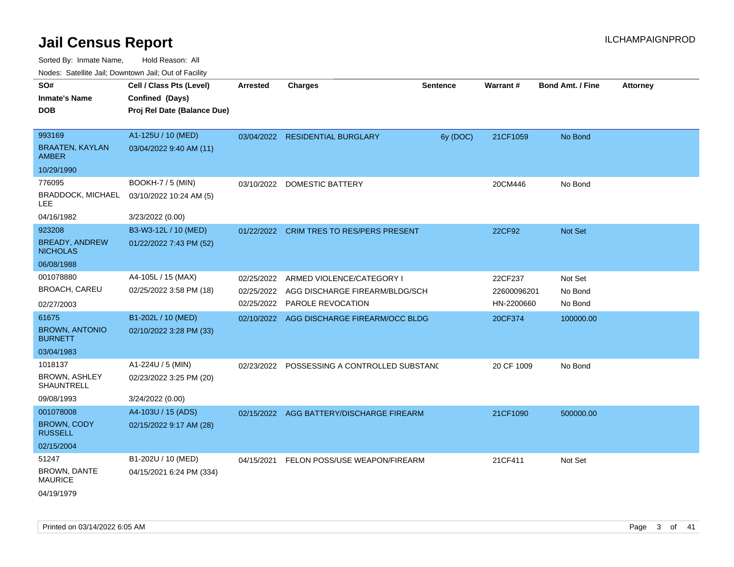Sorted By: Inmate Name, Hold Reason: All

| Nodes: Satellite Jail; Downtown Jail; Out of Facility |  |
|-------------------------------------------------------|--|
|                                                       |  |

| SO#<br><b>Inmate's Name</b><br><b>DOB</b>                             | Cell / Class Pts (Level)<br>Confined (Days)<br>Proj Rel Date (Balance Due) | <b>Arrested</b> | <b>Charges</b>                                                                                         | <b>Sentence</b> | Warrant#                             | <b>Bond Amt. / Fine</b>       | <b>Attorney</b> |
|-----------------------------------------------------------------------|----------------------------------------------------------------------------|-----------------|--------------------------------------------------------------------------------------------------------|-----------------|--------------------------------------|-------------------------------|-----------------|
| 993169<br><b>BRAATEN, KAYLAN</b><br><b>AMBER</b>                      | A1-125U / 10 (MED)<br>03/04/2022 9:40 AM (11)                              |                 | 03/04/2022 RESIDENTIAL BURGLARY                                                                        | 6y (DOC)        | 21CF1059                             | No Bond                       |                 |
| 10/29/1990<br>776095<br><b>BRADDOCK, MICHAEL</b><br>LEE<br>04/16/1982 | BOOKH-7 / 5 (MIN)<br>03/10/2022 10:24 AM (5)<br>3/23/2022 (0.00)           | 03/10/2022      | <b>DOMESTIC BATTERY</b>                                                                                |                 | 20CM446                              | No Bond                       |                 |
| 923208<br><b>BREADY, ANDREW</b><br><b>NICHOLAS</b><br>06/08/1988      | B3-W3-12L / 10 (MED)<br>01/22/2022 7:43 PM (52)                            |                 | 01/22/2022 CRIM TRES TO RES/PERS PRESENT                                                               |                 | 22CF92                               | <b>Not Set</b>                |                 |
| 001078880<br>BROACH, CAREU<br>02/27/2003                              | A4-105L / 15 (MAX)<br>02/25/2022 3:58 PM (18)                              | 02/25/2022      | ARMED VIOLENCE/CATEGORY I<br>02/25/2022 AGG DISCHARGE FIREARM/BLDG/SCH<br>02/25/2022 PAROLE REVOCATION |                 | 22CF237<br>22600096201<br>HN-2200660 | Not Set<br>No Bond<br>No Bond |                 |
| 61675<br><b>BROWN, ANTONIO</b><br><b>BURNETT</b><br>03/04/1983        | B1-202L / 10 (MED)<br>02/10/2022 3:28 PM (33)                              |                 | 02/10/2022 AGG DISCHARGE FIREARM/OCC BLDG                                                              |                 | 20CF374                              | 100000.00                     |                 |
| 1018137<br><b>BROWN, ASHLEY</b><br><b>SHAUNTRELL</b><br>09/08/1993    | A1-224U / 5 (MIN)<br>02/23/2022 3:25 PM (20)<br>3/24/2022 (0.00)           | 02/23/2022      | POSSESSING A CONTROLLED SUBSTANO                                                                       |                 | 20 CF 1009                           | No Bond                       |                 |
| 001078008<br><b>BROWN, CODY</b><br><b>RUSSELL</b><br>02/15/2004       | A4-103U / 15 (ADS)<br>02/15/2022 9:17 AM (28)                              | 02/15/2022      | AGG BATTERY/DISCHARGE FIREARM                                                                          |                 | 21CF1090                             | 500000.00                     |                 |
| 51247<br>BROWN, DANTE<br><b>MAURICE</b><br>04/19/1979                 | B1-202U / 10 (MED)<br>04/15/2021 6:24 PM (334)                             | 04/15/2021      | FELON POSS/USE WEAPON/FIREARM                                                                          |                 | 21CF411                              | Not Set                       |                 |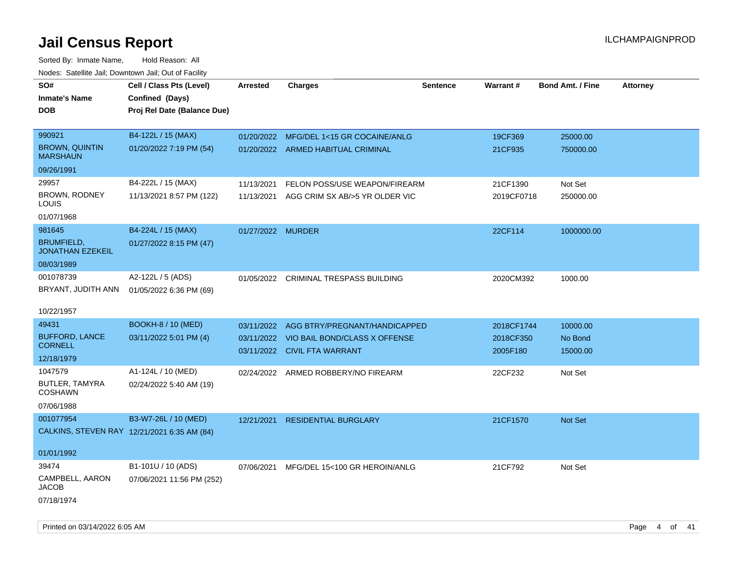| SO#<br>Inmate's Name<br>DOB                                                  | Cell / Class Pts (Level)<br>Confined (Days)<br>Proj Rel Date (Balance Due) | <b>Arrested</b>          | <b>Charges</b>                                                                                 | <b>Sentence</b> | Warrant#                            | <b>Bond Amt. / Fine</b>         | <b>Attorney</b> |
|------------------------------------------------------------------------------|----------------------------------------------------------------------------|--------------------------|------------------------------------------------------------------------------------------------|-----------------|-------------------------------------|---------------------------------|-----------------|
| 990921<br><b>BROWN, QUINTIN</b><br><b>MARSHAUN</b>                           | B4-122L / 15 (MAX)<br>01/20/2022 7:19 PM (54)                              | 01/20/2022               | MFG/DEL 1<15 GR COCAINE/ANLG<br>01/20/2022 ARMED HABITUAL CRIMINAL                             |                 | 19CF369<br>21CF935                  | 25000.00<br>750000.00           |                 |
| 09/26/1991<br>29957<br><b>BROWN, RODNEY</b><br>LOUIS                         | B4-222L / 15 (MAX)<br>11/13/2021 8:57 PM (122)                             | 11/13/2021<br>11/13/2021 | FELON POSS/USE WEAPON/FIREARM<br>AGG CRIM SX AB/>5 YR OLDER VIC                                |                 | 21CF1390<br>2019CF0718              | Not Set<br>250000.00            |                 |
| 01/07/1968<br>981645<br><b>BRUMFIELD,</b><br><b>JONATHAN EZEKEIL</b>         | B4-224L / 15 (MAX)<br>01/27/2022 8:15 PM (47)                              | 01/27/2022 MURDER        |                                                                                                |                 | 22CF114                             | 1000000.00                      |                 |
| 08/03/1989<br>001078739<br>BRYANT, JUDITH ANN                                | A2-122L / 5 (ADS)<br>01/05/2022 6:36 PM (69)                               | 01/05/2022               | <b>CRIMINAL TRESPASS BUILDING</b>                                                              |                 | 2020CM392                           | 1000.00                         |                 |
| 10/22/1957<br>49431<br><b>BUFFORD, LANCE</b><br><b>CORNELL</b><br>12/18/1979 | <b>BOOKH-8 / 10 (MED)</b><br>03/11/2022 5:01 PM (4)                        | 03/11/2022<br>03/11/2022 | AGG BTRY/PREGNANT/HANDICAPPED<br>VIO BAIL BOND/CLASS X OFFENSE<br>03/11/2022 CIVIL FTA WARRANT |                 | 2018CF1744<br>2018CF350<br>2005F180 | 10000.00<br>No Bond<br>15000.00 |                 |
| 1047579<br>BUTLER, TAMYRA<br><b>COSHAWN</b><br>07/06/1988                    | A1-124L / 10 (MED)<br>02/24/2022 5:40 AM (19)                              |                          | 02/24/2022 ARMED ROBBERY/NO FIREARM                                                            |                 | 22CF232                             | Not Set                         |                 |
| 001077954<br>CALKINS, STEVEN RAY 12/21/2021 6:35 AM (84)<br>01/01/1992       | B3-W7-26L / 10 (MED)                                                       | 12/21/2021               | <b>RESIDENTIAL BURGLARY</b>                                                                    |                 | 21CF1570                            | Not Set                         |                 |
| 39474<br>CAMPBELL, AARON<br><b>JACOB</b><br>07/18/1974                       | B1-101U / 10 (ADS)<br>07/06/2021 11:56 PM (252)                            | 07/06/2021               | MFG/DEL 15<100 GR HEROIN/ANLG                                                                  |                 | 21CF792                             | Not Set                         |                 |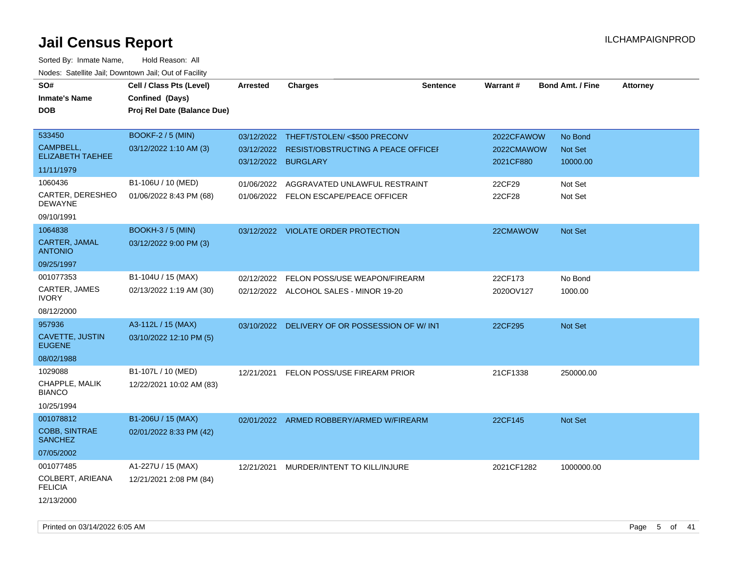| SO#                                | Cell / Class Pts (Level)    | Arrested            | <b>Charges</b>                                | <b>Sentence</b> | Warrant#   | <b>Bond Amt. / Fine</b> | <b>Attorney</b> |
|------------------------------------|-----------------------------|---------------------|-----------------------------------------------|-----------------|------------|-------------------------|-----------------|
| <b>Inmate's Name</b>               | Confined (Days)             |                     |                                               |                 |            |                         |                 |
| <b>DOB</b>                         | Proj Rel Date (Balance Due) |                     |                                               |                 |            |                         |                 |
|                                    |                             |                     |                                               |                 |            |                         |                 |
| 533450                             | <b>BOOKF-2/5 (MIN)</b>      |                     | 03/12/2022 THEFT/STOLEN/ <\$500 PRECONV       |                 | 2022CFAWOW | No Bond                 |                 |
| CAMPBELL,                          | 03/12/2022 1:10 AM (3)      | 03/12/2022          | <b>RESIST/OBSTRUCTING A PEACE OFFICEF</b>     |                 | 2022CMAWOW | <b>Not Set</b>          |                 |
| <b>ELIZABETH TAEHEE</b>            |                             | 03/12/2022 BURGLARY |                                               |                 | 2021CF880  | 10000.00                |                 |
| 11/11/1979                         |                             |                     |                                               |                 |            |                         |                 |
| 1060436                            | B1-106U / 10 (MED)          | 01/06/2022          | AGGRAVATED UNLAWFUL RESTRAINT                 |                 | 22CF29     | Not Set                 |                 |
| CARTER, DERESHEO<br><b>DEWAYNE</b> | 01/06/2022 8:43 PM (68)     |                     | 01/06/2022 FELON ESCAPE/PEACE OFFICER         |                 | 22CF28     | Not Set                 |                 |
| 09/10/1991                         |                             |                     |                                               |                 |            |                         |                 |
| 1064838                            | <b>BOOKH-3 / 5 (MIN)</b>    |                     | 03/12/2022 VIOLATE ORDER PROTECTION           |                 | 22CMAWOW   | Not Set                 |                 |
| CARTER, JAMAL<br><b>ANTONIO</b>    | 03/12/2022 9:00 PM (3)      |                     |                                               |                 |            |                         |                 |
| 09/25/1997                         |                             |                     |                                               |                 |            |                         |                 |
| 001077353                          | B1-104U / 15 (MAX)          | 02/12/2022          | FELON POSS/USE WEAPON/FIREARM                 |                 | 22CF173    | No Bond                 |                 |
| CARTER, JAMES<br><b>IVORY</b>      | 02/13/2022 1:19 AM (30)     |                     | 02/12/2022 ALCOHOL SALES - MINOR 19-20        |                 | 2020OV127  | 1000.00                 |                 |
| 08/12/2000                         |                             |                     |                                               |                 |            |                         |                 |
| 957936                             | A3-112L / 15 (MAX)          |                     | 03/10/2022 DELIVERY OF OR POSSESSION OF W/INT |                 | 22CF295    | <b>Not Set</b>          |                 |
| CAVETTE, JUSTIN<br><b>EUGENE</b>   | 03/10/2022 12:10 PM (5)     |                     |                                               |                 |            |                         |                 |
| 08/02/1988                         |                             |                     |                                               |                 |            |                         |                 |
| 1029088                            | B1-107L / 10 (MED)          | 12/21/2021          | FELON POSS/USE FIREARM PRIOR                  |                 | 21CF1338   | 250000.00               |                 |
| CHAPPLE, MALIK<br><b>BIANCO</b>    | 12/22/2021 10:02 AM (83)    |                     |                                               |                 |            |                         |                 |
| 10/25/1994                         |                             |                     |                                               |                 |            |                         |                 |
| 001078812                          | B1-206U / 15 (MAX)          |                     | 02/01/2022 ARMED ROBBERY/ARMED W/FIREARM      |                 | 22CF145    | <b>Not Set</b>          |                 |
| COBB, SINTRAE<br><b>SANCHEZ</b>    | 02/01/2022 8:33 PM (42)     |                     |                                               |                 |            |                         |                 |
| 07/05/2002                         |                             |                     |                                               |                 |            |                         |                 |
| 001077485                          | A1-227U / 15 (MAX)          |                     | 12/21/2021 MURDER/INTENT TO KILL/INJURE       |                 | 2021CF1282 | 1000000.00              |                 |
| COLBERT, ARIEANA<br><b>FELICIA</b> | 12/21/2021 2:08 PM (84)     |                     |                                               |                 |            |                         |                 |
| 12/13/2000                         |                             |                     |                                               |                 |            |                         |                 |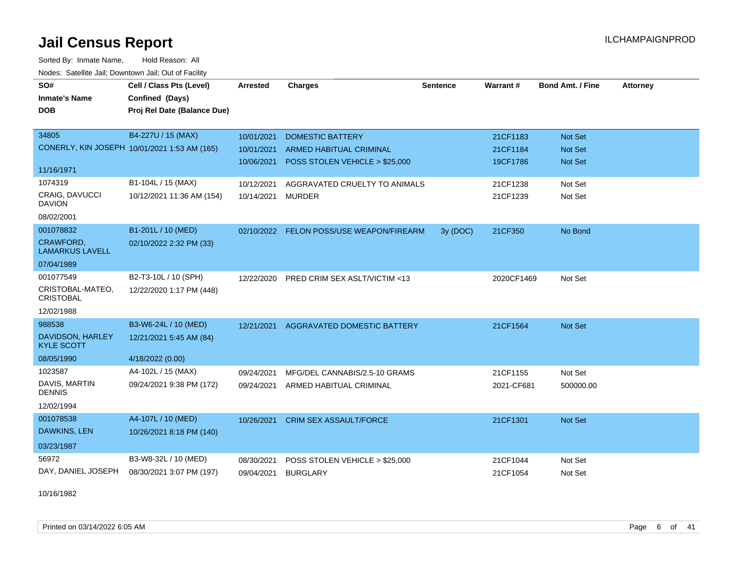Sorted By: Inmate Name, Hold Reason: All Nodes: Satellite Jail; Downtown Jail; Out of Facility

| SO#                                        | Cell / Class Pts (Level)                     | <b>Arrested</b> | <b>Charges</b>                     | <b>Sentence</b> | <b>Warrant#</b> | <b>Bond Amt. / Fine</b> | <b>Attorney</b> |
|--------------------------------------------|----------------------------------------------|-----------------|------------------------------------|-----------------|-----------------|-------------------------|-----------------|
| <b>Inmate's Name</b>                       | Confined (Days)                              |                 |                                    |                 |                 |                         |                 |
| <b>DOB</b>                                 | Proj Rel Date (Balance Due)                  |                 |                                    |                 |                 |                         |                 |
|                                            |                                              |                 |                                    |                 |                 |                         |                 |
| 34805                                      | B4-227U / 15 (MAX)                           | 10/01/2021      | <b>DOMESTIC BATTERY</b>            |                 | 21CF1183        | Not Set                 |                 |
|                                            | CONERLY, KIN JOSEPH 10/01/2021 1:53 AM (165) | 10/01/2021      | <b>ARMED HABITUAL CRIMINAL</b>     |                 | 21CF1184        | Not Set                 |                 |
| 11/16/1971                                 |                                              | 10/06/2021      | POSS STOLEN VEHICLE > \$25,000     |                 | 19CF1786        | <b>Not Set</b>          |                 |
| 1074319                                    | B1-104L / 15 (MAX)                           | 10/12/2021      | AGGRAVATED CRUELTY TO ANIMALS      |                 | 21CF1238        | Not Set                 |                 |
| <b>CRAIG, DAVUCCI</b><br><b>DAVION</b>     | 10/12/2021 11:36 AM (154)                    | 10/14/2021      | <b>MURDER</b>                      |                 | 21CF1239        | Not Set                 |                 |
| 08/02/2001                                 |                                              |                 |                                    |                 |                 |                         |                 |
| 001078832                                  | B1-201L / 10 (MED)                           | 02/10/2022      | FELON POSS/USE WEAPON/FIREARM      | 3y (DOC)        | 21CF350         | No Bond                 |                 |
| <b>CRAWFORD,</b><br><b>LAMARKUS LAVELL</b> | 02/10/2022 2:32 PM (33)                      |                 |                                    |                 |                 |                         |                 |
| 07/04/1989                                 |                                              |                 |                                    |                 |                 |                         |                 |
| 001077549                                  | B2-T3-10L / 10 (SPH)                         | 12/22/2020      | PRED CRIM SEX ASLT/VICTIM <13      |                 | 2020CF1469      | Not Set                 |                 |
| CRISTOBAL-MATEO,<br><b>CRISTOBAL</b>       | 12/22/2020 1:17 PM (448)                     |                 |                                    |                 |                 |                         |                 |
| 12/02/1988                                 |                                              |                 |                                    |                 |                 |                         |                 |
| 988538                                     | B3-W6-24L / 10 (MED)                         | 12/21/2021      | <b>AGGRAVATED DOMESTIC BATTERY</b> |                 | 21CF1564        | Not Set                 |                 |
| DAVIDSON, HARLEY<br><b>KYLE SCOTT</b>      | 12/21/2021 5:45 AM (84)                      |                 |                                    |                 |                 |                         |                 |
| 08/05/1990                                 | 4/18/2022 (0.00)                             |                 |                                    |                 |                 |                         |                 |
| 1023587                                    | A4-102L / 15 (MAX)                           | 09/24/2021      | MFG/DEL CANNABIS/2.5-10 GRAMS      |                 | 21CF1155        | Not Set                 |                 |
| DAVIS, MARTIN<br><b>DENNIS</b>             | 09/24/2021 9:38 PM (172)                     | 09/24/2021      | ARMED HABITUAL CRIMINAL            |                 | 2021-CF681      | 500000.00               |                 |
| 12/02/1994                                 |                                              |                 |                                    |                 |                 |                         |                 |
| 001078538                                  | A4-107L / 10 (MED)                           | 10/26/2021      | <b>CRIM SEX ASSAULT/FORCE</b>      |                 | 21CF1301        | Not Set                 |                 |
| DAWKINS, LEN                               | 10/26/2021 8:18 PM (140)                     |                 |                                    |                 |                 |                         |                 |
| 03/23/1987                                 |                                              |                 |                                    |                 |                 |                         |                 |
| 56972                                      | B3-W8-32L / 10 (MED)                         | 08/30/2021      | POSS STOLEN VEHICLE > \$25,000     |                 | 21CF1044        | Not Set                 |                 |
| DAY, DANIEL JOSEPH                         | 08/30/2021 3:07 PM (197)                     | 09/04/2021      | <b>BURGLARY</b>                    |                 | 21CF1054        | Not Set                 |                 |

10/16/1982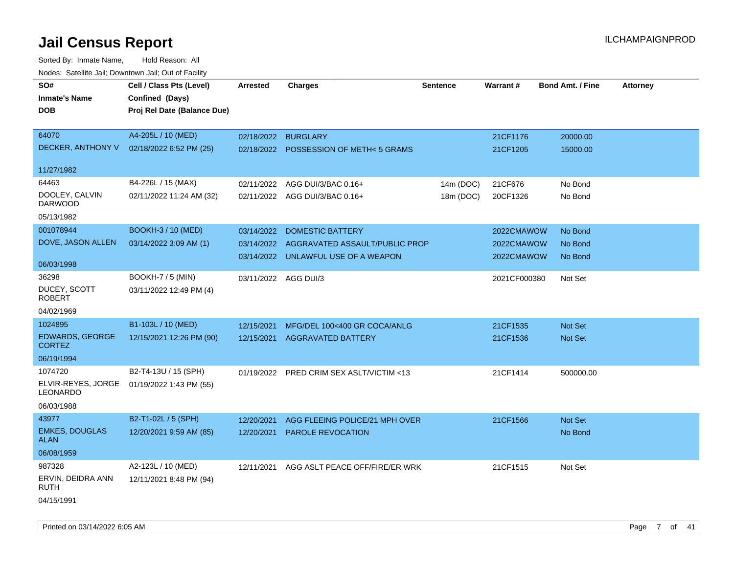| roaco. Catolino cali, Downtown cali, Out of Facility |                             |                      |                                          |                 |                 |                         |                 |
|------------------------------------------------------|-----------------------------|----------------------|------------------------------------------|-----------------|-----------------|-------------------------|-----------------|
| SO#                                                  | Cell / Class Pts (Level)    | Arrested             | <b>Charges</b>                           | <b>Sentence</b> | <b>Warrant#</b> | <b>Bond Amt. / Fine</b> | <b>Attorney</b> |
| <b>Inmate's Name</b>                                 | Confined (Days)             |                      |                                          |                 |                 |                         |                 |
| DOB                                                  | Proj Rel Date (Balance Due) |                      |                                          |                 |                 |                         |                 |
|                                                      |                             |                      |                                          |                 |                 |                         |                 |
| 64070                                                | A4-205L / 10 (MED)          | 02/18/2022           | <b>BURGLARY</b>                          |                 | 21CF1176        | 20000.00                |                 |
| DECKER, ANTHONY V                                    | 02/18/2022 6:52 PM (25)     |                      | 02/18/2022 POSSESSION OF METH<5 GRAMS    |                 | 21CF1205        | 15000.00                |                 |
|                                                      |                             |                      |                                          |                 |                 |                         |                 |
| 11/27/1982                                           |                             |                      |                                          |                 |                 |                         |                 |
| 64463                                                | B4-226L / 15 (MAX)          | 02/11/2022           | AGG DUI/3/BAC 0.16+                      | 14m (DOC)       | 21CF676         | No Bond                 |                 |
| DOOLEY, CALVIN                                       | 02/11/2022 11:24 AM (32)    |                      | 02/11/2022 AGG DUI/3/BAC 0.16+           | 18m (DOC)       | 20CF1326        | No Bond                 |                 |
| <b>DARWOOD</b>                                       |                             |                      |                                          |                 |                 |                         |                 |
| 05/13/1982                                           |                             |                      |                                          |                 |                 |                         |                 |
| 001078944                                            | <b>BOOKH-3 / 10 (MED)</b>   | 03/14/2022           | <b>DOMESTIC BATTERY</b>                  |                 | 2022CMAWOW      | No Bond                 |                 |
| DOVE, JASON ALLEN                                    | 03/14/2022 3:09 AM (1)      | 03/14/2022           | AGGRAVATED ASSAULT/PUBLIC PROP           |                 | 2022CMAWOW      | No Bond                 |                 |
|                                                      |                             |                      | 03/14/2022 UNLAWFUL USE OF A WEAPON      |                 | 2022CMAWOW      | No Bond                 |                 |
| 06/03/1998                                           |                             |                      |                                          |                 |                 |                         |                 |
| 36298                                                | <b>BOOKH-7 / 5 (MIN)</b>    | 03/11/2022 AGG DUI/3 |                                          |                 | 2021CF000380    | Not Set                 |                 |
| DUCEY, SCOTT<br><b>ROBERT</b>                        | 03/11/2022 12:49 PM (4)     |                      |                                          |                 |                 |                         |                 |
| 04/02/1969                                           |                             |                      |                                          |                 |                 |                         |                 |
| 1024895                                              | B1-103L / 10 (MED)          | 12/15/2021           | MFG/DEL 100<400 GR COCA/ANLG             |                 | 21CF1535        | Not Set                 |                 |
| <b>EDWARDS, GEORGE</b><br><b>CORTEZ</b>              | 12/15/2021 12:26 PM (90)    | 12/15/2021           | <b>AGGRAVATED BATTERY</b>                |                 | 21CF1536        | <b>Not Set</b>          |                 |
| 06/19/1994                                           |                             |                      |                                          |                 |                 |                         |                 |
| 1074720                                              | B2-T4-13U / 15 (SPH)        |                      | 01/19/2022 PRED CRIM SEX ASLT/VICTIM <13 |                 | 21CF1414        | 500000.00               |                 |
| ELVIR-REYES, JORGE<br><b>LEONARDO</b>                | 01/19/2022 1:43 PM (55)     |                      |                                          |                 |                 |                         |                 |
| 06/03/1988                                           |                             |                      |                                          |                 |                 |                         |                 |
| 43977                                                | B2-T1-02L / 5 (SPH)         | 12/20/2021           | AGG FLEEING POLICE/21 MPH OVER           |                 | 21CF1566        | <b>Not Set</b>          |                 |
| <b>EMKES, DOUGLAS</b>                                | 12/20/2021 9:59 AM (85)     | 12/20/2021           | PAROLE REVOCATION                        |                 |                 | No Bond                 |                 |
| <b>ALAN</b>                                          |                             |                      |                                          |                 |                 |                         |                 |
| 06/08/1959                                           |                             |                      |                                          |                 |                 |                         |                 |
| 987328                                               | A2-123L / 10 (MED)          | 12/11/2021           | AGG ASLT PEACE OFF/FIRE/ER WRK           |                 | 21CF1515        | Not Set                 |                 |
| ERVIN, DEIDRA ANN<br>RUTH                            | 12/11/2021 8:48 PM (94)     |                      |                                          |                 |                 |                         |                 |
| 04/15/1991                                           |                             |                      |                                          |                 |                 |                         |                 |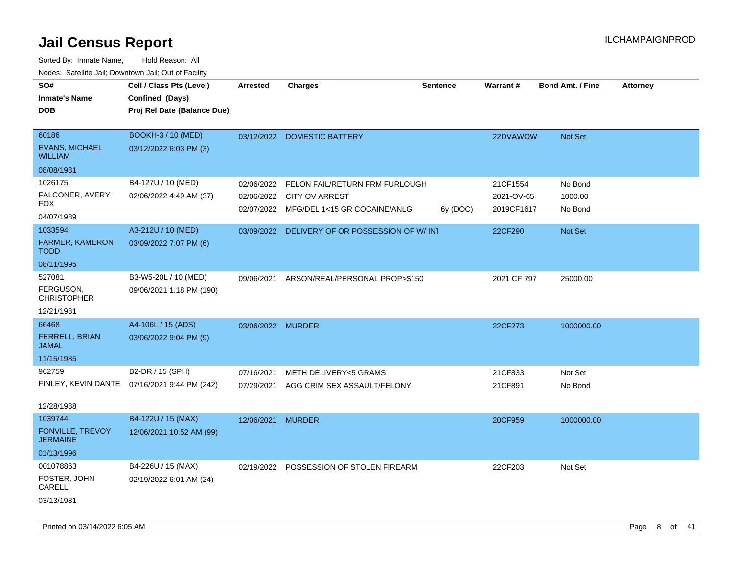| SO#                                        | Cell / Class Pts (Level)                     | <b>Arrested</b>   | <b>Charges</b>                          | <b>Sentence</b> | <b>Warrant#</b> | <b>Bond Amt. / Fine</b> | <b>Attorney</b> |
|--------------------------------------------|----------------------------------------------|-------------------|-----------------------------------------|-----------------|-----------------|-------------------------|-----------------|
|                                            |                                              |                   |                                         |                 |                 |                         |                 |
| <b>Inmate's Name</b>                       | Confined (Days)                              |                   |                                         |                 |                 |                         |                 |
| <b>DOB</b>                                 | Proj Rel Date (Balance Due)                  |                   |                                         |                 |                 |                         |                 |
| 60186                                      | <b>BOOKH-3 / 10 (MED)</b>                    |                   |                                         |                 |                 |                         |                 |
|                                            |                                              | 03/12/2022        | <b>DOMESTIC BATTERY</b>                 |                 | 22DVAWOW        | Not Set                 |                 |
| <b>EVANS, MICHAEL</b><br><b>WILLIAM</b>    | 03/12/2022 6:03 PM (3)                       |                   |                                         |                 |                 |                         |                 |
| 08/08/1981                                 |                                              |                   |                                         |                 |                 |                         |                 |
| 1026175                                    | B4-127U / 10 (MED)                           | 02/06/2022        | FELON FAIL/RETURN FRM FURLOUGH          |                 | 21CF1554        | No Bond                 |                 |
| FALCONER, AVERY<br>FOX                     | 02/06/2022 4:49 AM (37)                      | 02/06/2022        | <b>CITY OV ARREST</b>                   |                 | 2021-OV-65      | 1000.00                 |                 |
| 04/07/1989                                 |                                              |                   | 02/07/2022 MFG/DEL 1<15 GR COCAINE/ANLG | 6y (DOC)        | 2019CF1617      | No Bond                 |                 |
| 1033594                                    |                                              |                   |                                         |                 |                 |                         |                 |
|                                            | A3-212U / 10 (MED)                           | 03/09/2022        | DELIVERY OF OR POSSESSION OF W/ INT     |                 | 22CF290         | Not Set                 |                 |
| FARMER, KAMERON<br><b>TODD</b>             | 03/09/2022 7:07 PM (6)                       |                   |                                         |                 |                 |                         |                 |
| 08/11/1995                                 |                                              |                   |                                         |                 |                 |                         |                 |
| 527081                                     | B3-W5-20L / 10 (MED)                         | 09/06/2021        | ARSON/REAL/PERSONAL PROP>\$150          |                 | 2021 CF 797     | 25000.00                |                 |
| FERGUSON,<br><b>CHRISTOPHER</b>            | 09/06/2021 1:18 PM (190)                     |                   |                                         |                 |                 |                         |                 |
| 12/21/1981                                 |                                              |                   |                                         |                 |                 |                         |                 |
| 66468                                      | A4-106L / 15 (ADS)                           | 03/06/2022 MURDER |                                         |                 | 22CF273         | 1000000.00              |                 |
| FERRELL, BRIAN<br><b>JAMAL</b>             | 03/06/2022 9:04 PM (9)                       |                   |                                         |                 |                 |                         |                 |
| 11/15/1985                                 |                                              |                   |                                         |                 |                 |                         |                 |
| 962759                                     | B2-DR / 15 (SPH)                             | 07/16/2021        | <b>METH DELIVERY&lt;5 GRAMS</b>         |                 | 21CF833         | Not Set                 |                 |
|                                            | FINLEY, KEVIN DANTE 07/16/2021 9:44 PM (242) | 07/29/2021        | AGG CRIM SEX ASSAULT/FELONY             |                 | 21CF891         | No Bond                 |                 |
|                                            |                                              |                   |                                         |                 |                 |                         |                 |
| 12/28/1988                                 |                                              |                   |                                         |                 |                 |                         |                 |
| 1039744                                    | B4-122U / 15 (MAX)                           | 12/06/2021        | <b>MURDER</b>                           |                 | 20CF959         | 1000000.00              |                 |
| <b>FONVILLE, TREVOY</b><br><b>JERMAINE</b> | 12/06/2021 10:52 AM (99)                     |                   |                                         |                 |                 |                         |                 |
| 01/13/1996                                 |                                              |                   |                                         |                 |                 |                         |                 |
| 001078863                                  | B4-226U / 15 (MAX)                           | 02/19/2022        | POSSESSION OF STOLEN FIREARM            |                 | 22CF203         | Not Set                 |                 |
| FOSTER, JOHN<br>CARELL                     | 02/19/2022 6:01 AM (24)                      |                   |                                         |                 |                 |                         |                 |
| 03/13/1981                                 |                                              |                   |                                         |                 |                 |                         |                 |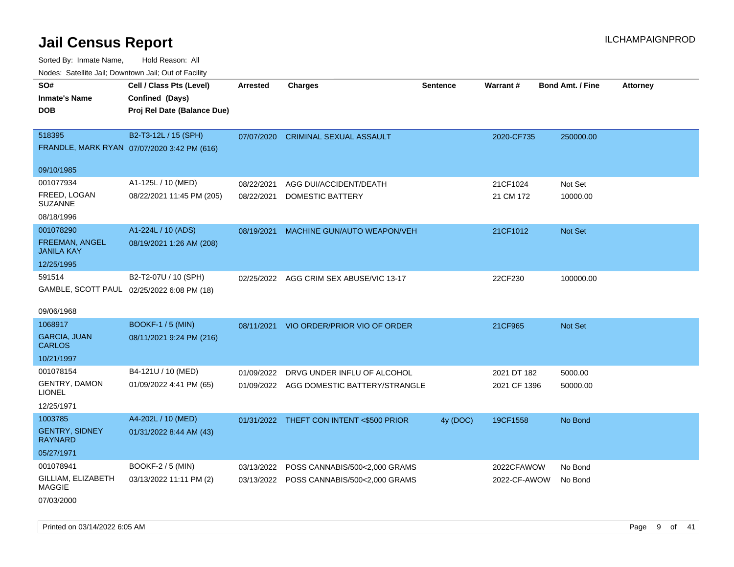Sorted By: Inmate Name, Hold Reason: All

| Nodes: Satellite Jail; Downtown Jail; Out of Facility |                                             |                 |                                          |                 |                 |                         |                 |
|-------------------------------------------------------|---------------------------------------------|-----------------|------------------------------------------|-----------------|-----------------|-------------------------|-----------------|
| SO#                                                   | Cell / Class Pts (Level)                    | <b>Arrested</b> | <b>Charges</b>                           | <b>Sentence</b> | <b>Warrant#</b> | <b>Bond Amt. / Fine</b> | <b>Attorney</b> |
| <b>Inmate's Name</b>                                  | Confined (Days)                             |                 |                                          |                 |                 |                         |                 |
| <b>DOB</b>                                            | Proj Rel Date (Balance Due)                 |                 |                                          |                 |                 |                         |                 |
|                                                       |                                             |                 |                                          |                 |                 |                         |                 |
| 518395                                                | B2-T3-12L / 15 (SPH)                        | 07/07/2020      | <b>CRIMINAL SEXUAL ASSAULT</b>           |                 | 2020-CF735      | 250000.00               |                 |
|                                                       | FRANDLE, MARK RYAN 07/07/2020 3:42 PM (616) |                 |                                          |                 |                 |                         |                 |
| 09/10/1985                                            |                                             |                 |                                          |                 |                 |                         |                 |
| 001077934                                             | A1-125L / 10 (MED)                          | 08/22/2021      | AGG DUI/ACCIDENT/DEATH                   |                 | 21CF1024        | Not Set                 |                 |
| FREED, LOGAN                                          | 08/22/2021 11:45 PM (205)                   | 08/22/2021      | DOMESTIC BATTERY                         |                 | 21 CM 172       | 10000.00                |                 |
| <b>SUZANNE</b>                                        |                                             |                 |                                          |                 |                 |                         |                 |
| 08/18/1996                                            |                                             |                 |                                          |                 |                 |                         |                 |
| 001078290                                             | A1-224L / 10 (ADS)                          | 08/19/2021      | MACHINE GUN/AUTO WEAPON/VEH              |                 | 21CF1012        | Not Set                 |                 |
| FREEMAN, ANGEL<br><b>JANILA KAY</b>                   | 08/19/2021 1:26 AM (208)                    |                 |                                          |                 |                 |                         |                 |
| 12/25/1995                                            |                                             |                 |                                          |                 |                 |                         |                 |
| 591514                                                | B2-T2-07U / 10 (SPH)                        |                 |                                          |                 |                 |                         |                 |
|                                                       | GAMBLE, SCOTT PAUL 02/25/2022 6:08 PM (18)  |                 | 02/25/2022 AGG CRIM SEX ABUSE/VIC 13-17  |                 | 22CF230         | 100000.00               |                 |
|                                                       |                                             |                 |                                          |                 |                 |                         |                 |
| 09/06/1968                                            |                                             |                 |                                          |                 |                 |                         |                 |
| 1068917                                               | <b>BOOKF-1 / 5 (MIN)</b>                    | 08/11/2021      | VIO ORDER/PRIOR VIO OF ORDER             |                 | 21CF965         | Not Set                 |                 |
| <b>GARCIA, JUAN</b>                                   | 08/11/2021 9:24 PM (216)                    |                 |                                          |                 |                 |                         |                 |
| <b>CARLOS</b>                                         |                                             |                 |                                          |                 |                 |                         |                 |
| 10/21/1997                                            |                                             |                 |                                          |                 |                 |                         |                 |
| 001078154                                             | B4-121U / 10 (MED)                          | 01/09/2022      | DRVG UNDER INFLU OF ALCOHOL              |                 | 2021 DT 182     | 5000.00                 |                 |
| <b>GENTRY, DAMON</b><br><b>LIONEL</b>                 | 01/09/2022 4:41 PM (65)                     |                 | 01/09/2022 AGG DOMESTIC BATTERY/STRANGLE |                 | 2021 CF 1396    | 50000.00                |                 |
| 12/25/1971                                            |                                             |                 |                                          |                 |                 |                         |                 |
| 1003785                                               | A4-202L / 10 (MED)                          | 01/31/2022      | THEFT CON INTENT <\$500 PRIOR            | 4y (DOC)        | 19CF1558        | No Bond                 |                 |
| <b>GENTRY, SIDNEY</b>                                 | 01/31/2022 8:44 AM (43)                     |                 |                                          |                 |                 |                         |                 |
| <b>RAYNARD</b>                                        |                                             |                 |                                          |                 |                 |                         |                 |
| 05/27/1971                                            |                                             |                 |                                          |                 |                 |                         |                 |
| 001078941                                             | <b>BOOKF-2 / 5 (MIN)</b>                    | 03/13/2022      | POSS CANNABIS/500<2,000 GRAMS            |                 | 2022CFAWOW      | No Bond                 |                 |
| GILLIAM, ELIZABETH                                    | 03/13/2022 11:11 PM (2)                     |                 | 03/13/2022 POSS CANNABIS/500<2,000 GRAMS |                 | 2022-CF-AWOW    | No Bond                 |                 |
| <b>MAGGIE</b>                                         |                                             |                 |                                          |                 |                 |                         |                 |
| 07/03/2000                                            |                                             |                 |                                          |                 |                 |                         |                 |

Printed on 03/14/2022 6:05 AM Page 9 of 41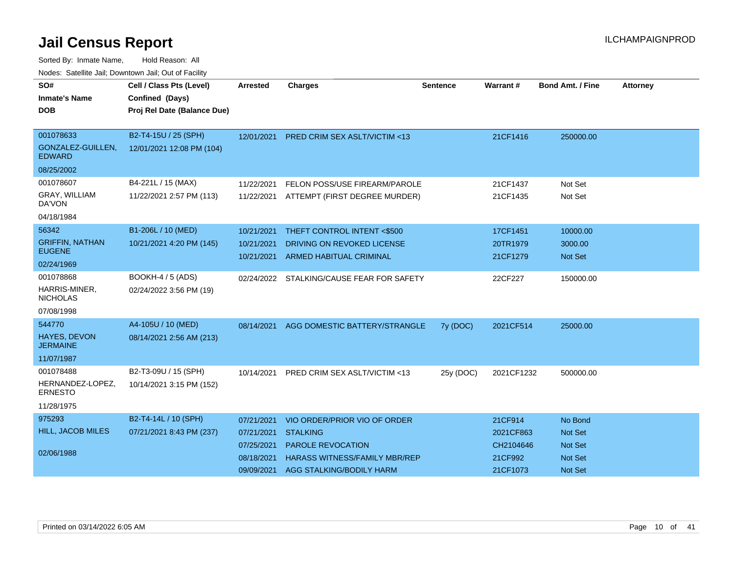| <u>Houco. Catolino dall, Downtown dall, Out of Fuolint</u> |                             |                 |                                           |                 |            |                         |                 |
|------------------------------------------------------------|-----------------------------|-----------------|-------------------------------------------|-----------------|------------|-------------------------|-----------------|
| SO#                                                        | Cell / Class Pts (Level)    | <b>Arrested</b> | <b>Charges</b>                            | <b>Sentence</b> | Warrant#   | <b>Bond Amt. / Fine</b> | <b>Attorney</b> |
| <b>Inmate's Name</b>                                       | Confined (Days)             |                 |                                           |                 |            |                         |                 |
| DOB.                                                       | Proj Rel Date (Balance Due) |                 |                                           |                 |            |                         |                 |
|                                                            |                             |                 |                                           |                 |            |                         |                 |
| 001078633                                                  | B2-T4-15U / 25 (SPH)        | 12/01/2021      | <b>PRED CRIM SEX ASLT/VICTIM &lt;13</b>   |                 | 21CF1416   | 250000.00               |                 |
| GONZALEZ-GUILLEN,<br><b>EDWARD</b>                         | 12/01/2021 12:08 PM (104)   |                 |                                           |                 |            |                         |                 |
| 08/25/2002                                                 |                             |                 |                                           |                 |            |                         |                 |
| 001078607                                                  | B4-221L / 15 (MAX)          | 11/22/2021      | FELON POSS/USE FIREARM/PAROLE             |                 | 21CF1437   | Not Set                 |                 |
| GRAY, WILLIAM<br>DA'VON                                    | 11/22/2021 2:57 PM (113)    |                 | 11/22/2021 ATTEMPT (FIRST DEGREE MURDER)  |                 | 21CF1435   | Not Set                 |                 |
| 04/18/1984                                                 |                             |                 |                                           |                 |            |                         |                 |
| 56342                                                      | B1-206L / 10 (MED)          | 10/21/2021      | THEFT CONTROL INTENT <\$500               |                 | 17CF1451   | 10000.00                |                 |
| <b>GRIFFIN, NATHAN</b>                                     | 10/21/2021 4:20 PM (145)    | 10/21/2021      | DRIVING ON REVOKED LICENSE                |                 | 20TR1979   | 3000.00                 |                 |
| <b>EUGENE</b>                                              |                             | 10/21/2021      | <b>ARMED HABITUAL CRIMINAL</b>            |                 | 21CF1279   | <b>Not Set</b>          |                 |
| 02/24/1969                                                 |                             |                 |                                           |                 |            |                         |                 |
| 001078868                                                  | BOOKH-4 / 5 (ADS)           |                 | 02/24/2022 STALKING/CAUSE FEAR FOR SAFETY |                 | 22CF227    | 150000.00               |                 |
| HARRIS-MINER,<br><b>NICHOLAS</b>                           | 02/24/2022 3:56 PM (19)     |                 |                                           |                 |            |                         |                 |
| 07/08/1998                                                 |                             |                 |                                           |                 |            |                         |                 |
| 544770                                                     | A4-105U / 10 (MED)          | 08/14/2021      | AGG DOMESTIC BATTERY/STRANGLE             | 7y (DOC)        | 2021CF514  | 25000.00                |                 |
| <b>HAYES, DEVON</b><br><b>JERMAINE</b>                     | 08/14/2021 2:56 AM (213)    |                 |                                           |                 |            |                         |                 |
| 11/07/1987                                                 |                             |                 |                                           |                 |            |                         |                 |
| 001078488                                                  | B2-T3-09U / 15 (SPH)        | 10/14/2021      | PRED CRIM SEX ASLT/VICTIM <13             | 25y (DOC)       | 2021CF1232 | 500000.00               |                 |
| HERNANDEZ-LOPEZ,<br><b>ERNESTO</b>                         | 10/14/2021 3:15 PM (152)    |                 |                                           |                 |            |                         |                 |
| 11/28/1975                                                 |                             |                 |                                           |                 |            |                         |                 |
| 975293                                                     | B2-T4-14L / 10 (SPH)        | 07/21/2021      | VIO ORDER/PRIOR VIO OF ORDER              |                 | 21CF914    | No Bond                 |                 |
| <b>HILL, JACOB MILES</b>                                   | 07/21/2021 8:43 PM (237)    | 07/21/2021      | <b>STALKING</b>                           |                 | 2021CF863  | <b>Not Set</b>          |                 |
|                                                            |                             | 07/25/2021      | <b>PAROLE REVOCATION</b>                  |                 | CH2104646  | Not Set                 |                 |
| 02/06/1988                                                 |                             | 08/18/2021      | <b>HARASS WITNESS/FAMILY MBR/REP</b>      |                 | 21CF992    | Not Set                 |                 |
|                                                            |                             | 09/09/2021      | AGG STALKING/BODILY HARM                  |                 | 21CF1073   | <b>Not Set</b>          |                 |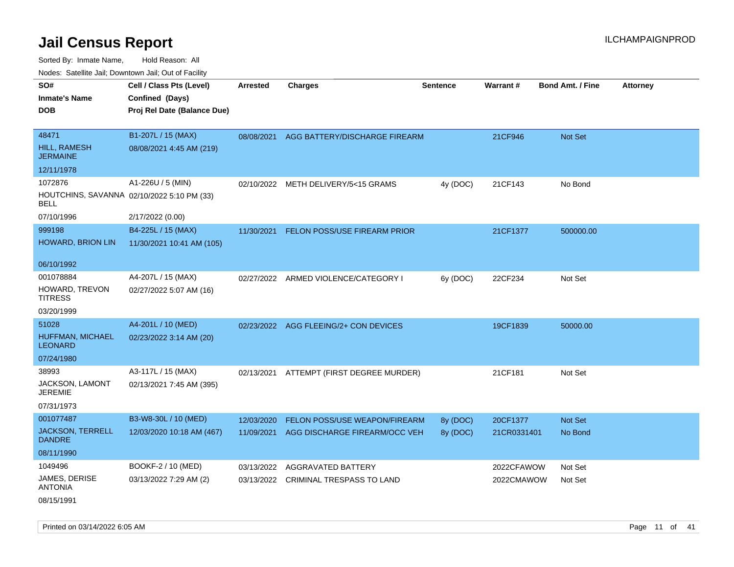Sorted By: Inmate Name, Hold Reason: All Nodes: Satellite Jail; Downtown Jail; Out of Facility

| soupois catomic can, Dominomii can, Cat or Faomt |                                            |                 |                                       |                 |             |                         |                 |
|--------------------------------------------------|--------------------------------------------|-----------------|---------------------------------------|-----------------|-------------|-------------------------|-----------------|
| SO#                                              | Cell / Class Pts (Level)                   | <b>Arrested</b> | <b>Charges</b>                        | <b>Sentence</b> | Warrant#    | <b>Bond Amt. / Fine</b> | <b>Attorney</b> |
| <b>Inmate's Name</b>                             | Confined (Days)                            |                 |                                       |                 |             |                         |                 |
| <b>DOB</b>                                       | Proj Rel Date (Balance Due)                |                 |                                       |                 |             |                         |                 |
|                                                  |                                            |                 |                                       |                 |             |                         |                 |
| 48471                                            | B1-207L / 15 (MAX)                         | 08/08/2021      | AGG BATTERY/DISCHARGE FIREARM         |                 | 21CF946     | Not Set                 |                 |
| <b>HILL, RAMESH</b><br><b>JERMAINE</b>           | 08/08/2021 4:45 AM (219)                   |                 |                                       |                 |             |                         |                 |
| 12/11/1978                                       |                                            |                 |                                       |                 |             |                         |                 |
| 1072876                                          | A1-226U / 5 (MIN)                          | 02/10/2022      | METH DELIVERY/5<15 GRAMS              | 4y (DOC)        | 21CF143     | No Bond                 |                 |
| BELL                                             | HOUTCHINS, SAVANNA 02/10/2022 5:10 PM (33) |                 |                                       |                 |             |                         |                 |
| 07/10/1996                                       | 2/17/2022 (0.00)                           |                 |                                       |                 |             |                         |                 |
| 999198                                           | B4-225L / 15 (MAX)                         | 11/30/2021      | FELON POSS/USE FIREARM PRIOR          |                 | 21CF1377    | 500000.00               |                 |
| HOWARD, BRION LIN                                | 11/30/2021 10:41 AM (105)                  |                 |                                       |                 |             |                         |                 |
|                                                  |                                            |                 |                                       |                 |             |                         |                 |
| 06/10/1992                                       |                                            |                 |                                       |                 |             |                         |                 |
| 001078884                                        | A4-207L / 15 (MAX)                         |                 | 02/27/2022 ARMED VIOLENCE/CATEGORY I  | 6y (DOC)        | 22CF234     | Not Set                 |                 |
| HOWARD, TREVON<br><b>TITRESS</b>                 | 02/27/2022 5:07 AM (16)                    |                 |                                       |                 |             |                         |                 |
| 03/20/1999                                       |                                            |                 |                                       |                 |             |                         |                 |
| 51028                                            | A4-201L / 10 (MED)                         |                 | 02/23/2022 AGG FLEEING/2+ CON DEVICES |                 | 19CF1839    | 50000.00                |                 |
| HUFFMAN, MICHAEL<br><b>LEONARD</b>               | 02/23/2022 3:14 AM (20)                    |                 |                                       |                 |             |                         |                 |
| 07/24/1980                                       |                                            |                 |                                       |                 |             |                         |                 |
| 38993                                            | A3-117L / 15 (MAX)                         | 02/13/2021      | ATTEMPT (FIRST DEGREE MURDER)         |                 | 21CF181     | Not Set                 |                 |
| JACKSON, LAMONT<br><b>JEREMIE</b>                | 02/13/2021 7:45 AM (395)                   |                 |                                       |                 |             |                         |                 |
| 07/31/1973                                       |                                            |                 |                                       |                 |             |                         |                 |
| 001077487                                        | B3-W8-30L / 10 (MED)                       | 12/03/2020      | FELON POSS/USE WEAPON/FIREARM         | 8y (DOC)        | 20CF1377    | Not Set                 |                 |
| <b>JACKSON, TERRELL</b><br><b>DANDRE</b>         | 12/03/2020 10:18 AM (467)                  | 11/09/2021      | AGG DISCHARGE FIREARM/OCC VEH         | 8y (DOC)        | 21CR0331401 | No Bond                 |                 |
| 08/11/1990                                       |                                            |                 |                                       |                 |             |                         |                 |
| 1049496                                          | BOOKF-2 / 10 (MED)                         | 03/13/2022      | AGGRAVATED BATTERY                    |                 | 2022CFAWOW  | Not Set                 |                 |
| JAMES, DERISE<br><b>ANTONIA</b>                  | 03/13/2022 7:29 AM (2)                     | 03/13/2022      | CRIMINAL TRESPASS TO LAND             |                 | 2022CMAWOW  | Not Set                 |                 |
|                                                  |                                            |                 |                                       |                 |             |                         |                 |

08/15/1991

Printed on 03/14/2022 6:05 AM Page 11 of 41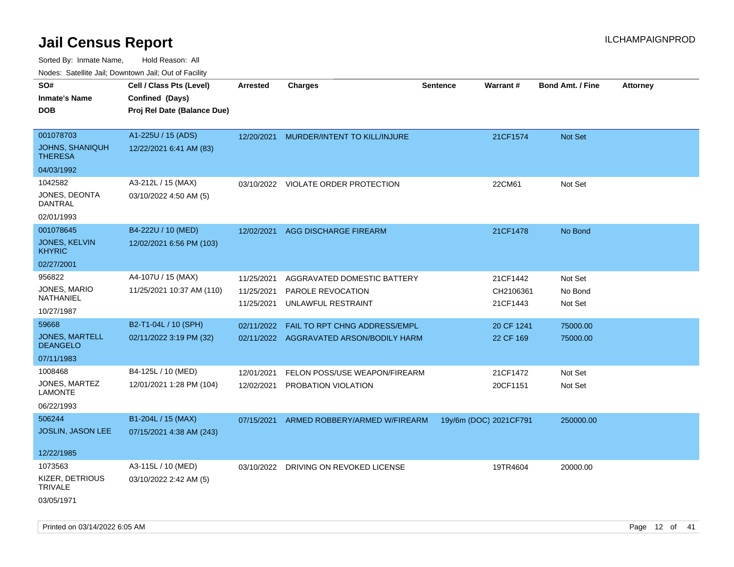|                                          | Nodes: Satellite Jali, Downtown Jali, Out of Facility |                 |                                         |                 |                        |                         |                 |
|------------------------------------------|-------------------------------------------------------|-----------------|-----------------------------------------|-----------------|------------------------|-------------------------|-----------------|
| SO#                                      | Cell / Class Pts (Level)                              | <b>Arrested</b> | <b>Charges</b>                          | <b>Sentence</b> | <b>Warrant#</b>        | <b>Bond Amt. / Fine</b> | <b>Attorney</b> |
| <b>Inmate's Name</b>                     | Confined (Days)                                       |                 |                                         |                 |                        |                         |                 |
| <b>DOB</b>                               | Proj Rel Date (Balance Due)                           |                 |                                         |                 |                        |                         |                 |
|                                          |                                                       |                 |                                         |                 |                        |                         |                 |
| 001078703                                | A1-225U / 15 (ADS)                                    | 12/20/2021      | MURDER/INTENT TO KILL/INJURE            |                 | 21CF1574               | Not Set                 |                 |
| <b>JOHNS, SHANIQUH</b><br><b>THERESA</b> | 12/22/2021 6:41 AM (83)                               |                 |                                         |                 |                        |                         |                 |
| 04/03/1992                               |                                                       |                 |                                         |                 |                        |                         |                 |
| 1042582                                  | A3-212L / 15 (MAX)                                    |                 | 03/10/2022 VIOLATE ORDER PROTECTION     |                 | 22CM61                 | Not Set                 |                 |
| JONES, DEONTA<br><b>DANTRAL</b>          | 03/10/2022 4:50 AM (5)                                |                 |                                         |                 |                        |                         |                 |
| 02/01/1993                               |                                                       |                 |                                         |                 |                        |                         |                 |
| 001078645                                | B4-222U / 10 (MED)                                    | 12/02/2021      | AGG DISCHARGE FIREARM                   |                 | 21CF1478               | No Bond                 |                 |
| <b>JONES, KELVIN</b><br><b>KHYRIC</b>    | 12/02/2021 6:56 PM (103)                              |                 |                                         |                 |                        |                         |                 |
| 02/27/2001                               |                                                       |                 |                                         |                 |                        |                         |                 |
| 956822                                   | A4-107U / 15 (MAX)                                    | 11/25/2021      | AGGRAVATED DOMESTIC BATTERY             |                 | 21CF1442               | Not Set                 |                 |
| JONES, MARIO                             | 11/25/2021 10:37 AM (110)                             | 11/25/2021      | PAROLE REVOCATION                       |                 | CH2106361              | No Bond                 |                 |
| <b>NATHANIEL</b>                         |                                                       | 11/25/2021      | UNLAWFUL RESTRAINT                      |                 | 21CF1443               | Not Set                 |                 |
| 10/27/1987                               |                                                       |                 |                                         |                 |                        |                         |                 |
| 59668                                    | B2-T1-04L / 10 (SPH)                                  | 02/11/2022      | <b>FAIL TO RPT CHNG ADDRESS/EMPL</b>    |                 | 20 CF 1241             | 75000.00                |                 |
| <b>JONES, MARTELL</b><br><b>DEANGELO</b> | 02/11/2022 3:19 PM (32)                               |                 | 02/11/2022 AGGRAVATED ARSON/BODILY HARM |                 | 22 CF 169              | 75000.00                |                 |
| 07/11/1983                               |                                                       |                 |                                         |                 |                        |                         |                 |
| 1008468                                  | B4-125L / 10 (MED)                                    | 12/01/2021      | FELON POSS/USE WEAPON/FIREARM           |                 | 21CF1472               | Not Set                 |                 |
| JONES, MARTEZ<br><b>LAMONTE</b>          | 12/01/2021 1:28 PM (104)                              | 12/02/2021      | PROBATION VIOLATION                     |                 | 20CF1151               | Not Set                 |                 |
| 06/22/1993                               |                                                       |                 |                                         |                 |                        |                         |                 |
| 506244                                   | B1-204L / 15 (MAX)                                    | 07/15/2021      | ARMED ROBBERY/ARMED W/FIREARM           |                 | 19y/6m (DOC) 2021CF791 | 250000.00               |                 |
| <b>JOSLIN, JASON LEE</b>                 | 07/15/2021 4:38 AM (243)                              |                 |                                         |                 |                        |                         |                 |
|                                          |                                                       |                 |                                         |                 |                        |                         |                 |
| 12/22/1985                               |                                                       |                 |                                         |                 |                        |                         |                 |
| 1073563                                  | A3-115L / 10 (MED)                                    | 03/10/2022      | DRIVING ON REVOKED LICENSE              |                 | 19TR4604               | 20000.00                |                 |
| KIZER, DETRIOUS<br><b>TRIVALE</b>        | 03/10/2022 2:42 AM (5)                                |                 |                                         |                 |                        |                         |                 |
| 03/05/1971                               |                                                       |                 |                                         |                 |                        |                         |                 |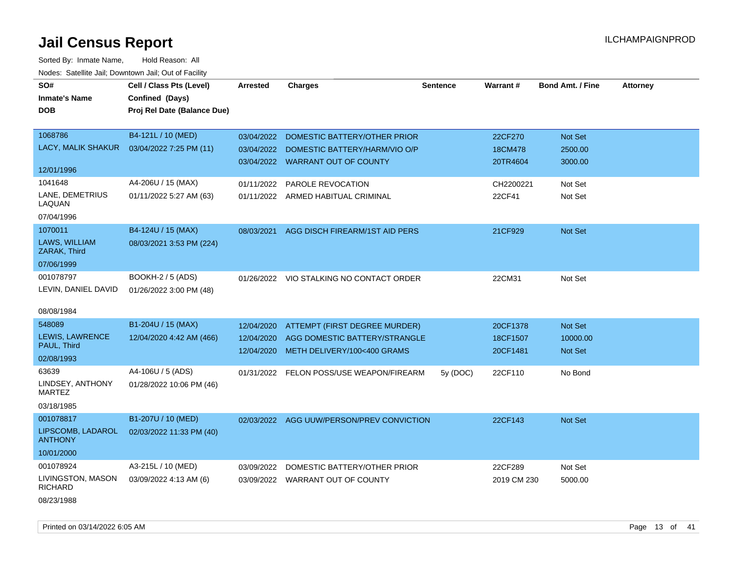| SO#                                 | Cell / Class Pts (Level)    | <b>Arrested</b> | <b>Charges</b>                            | Sentence | <b>Warrant#</b> | <b>Bond Amt. / Fine</b> | <b>Attorney</b> |
|-------------------------------------|-----------------------------|-----------------|-------------------------------------------|----------|-----------------|-------------------------|-----------------|
| <b>Inmate's Name</b>                | Confined (Days)             |                 |                                           |          |                 |                         |                 |
| <b>DOB</b>                          | Proj Rel Date (Balance Due) |                 |                                           |          |                 |                         |                 |
|                                     |                             |                 |                                           |          |                 |                         |                 |
| 1068786                             | B4-121L / 10 (MED)          | 03/04/2022      | DOMESTIC BATTERY/OTHER PRIOR              |          | 22CF270         | Not Set                 |                 |
| LACY, MALIK SHAKUR                  | 03/04/2022 7:25 PM (11)     | 03/04/2022      | DOMESTIC BATTERY/HARM/VIO O/P             |          | 18CM478         | 2500.00                 |                 |
|                                     |                             |                 | 03/04/2022 WARRANT OUT OF COUNTY          |          | 20TR4604        | 3000.00                 |                 |
| 12/01/1996                          |                             |                 |                                           |          |                 |                         |                 |
| 1041648                             | A4-206U / 15 (MAX)          | 01/11/2022      | PAROLE REVOCATION                         |          | CH2200221       | Not Set                 |                 |
| LANE, DEMETRIUS<br>LAQUAN           | 01/11/2022 5:27 AM (63)     |                 | 01/11/2022 ARMED HABITUAL CRIMINAL        |          | 22CF41          | Not Set                 |                 |
| 07/04/1996                          |                             |                 |                                           |          |                 |                         |                 |
| 1070011                             | B4-124U / 15 (MAX)          | 08/03/2021      | AGG DISCH FIREARM/1ST AID PERS            |          | 21CF929         | Not Set                 |                 |
| LAWS, WILLIAM<br>ZARAK, Third       | 08/03/2021 3:53 PM (224)    |                 |                                           |          |                 |                         |                 |
| 07/06/1999                          |                             |                 |                                           |          |                 |                         |                 |
| 001078797                           | <b>BOOKH-2 / 5 (ADS)</b>    |                 | 01/26/2022 VIO STALKING NO CONTACT ORDER  |          | 22CM31          | Not Set                 |                 |
| LEVIN, DANIEL DAVID                 | 01/26/2022 3:00 PM (48)     |                 |                                           |          |                 |                         |                 |
|                                     |                             |                 |                                           |          |                 |                         |                 |
| 08/08/1984                          |                             |                 |                                           |          |                 |                         |                 |
| 548089                              | B1-204U / 15 (MAX)          | 12/04/2020      | ATTEMPT (FIRST DEGREE MURDER)             |          | 20CF1378        | <b>Not Set</b>          |                 |
| LEWIS, LAWRENCE                     | 12/04/2020 4:42 AM (466)    | 12/04/2020      | AGG DOMESTIC BATTERY/STRANGLE             |          | 18CF1507        | 10000.00                |                 |
| PAUL, Third                         |                             | 12/04/2020      | METH DELIVERY/100<400 GRAMS               |          | 20CF1481        | Not Set                 |                 |
| 02/08/1993                          |                             |                 |                                           |          |                 |                         |                 |
| 63639                               | A4-106U / 5 (ADS)           |                 | 01/31/2022 FELON POSS/USE WEAPON/FIREARM  | 5y (DOC) | 22CF110         | No Bond                 |                 |
| LINDSEY, ANTHONY<br><b>MARTEZ</b>   | 01/28/2022 10:06 PM (46)    |                 |                                           |          |                 |                         |                 |
| 03/18/1985                          |                             |                 |                                           |          |                 |                         |                 |
| 001078817                           | B1-207U / 10 (MED)          |                 | 02/03/2022 AGG UUW/PERSON/PREV CONVICTION |          | 22CF143         | Not Set                 |                 |
| LIPSCOMB, LADAROL<br><b>ANTHONY</b> | 02/03/2022 11:33 PM (40)    |                 |                                           |          |                 |                         |                 |
| 10/01/2000                          |                             |                 |                                           |          |                 |                         |                 |
| 001078924                           | A3-215L / 10 (MED)          | 03/09/2022      | DOMESTIC BATTERY/OTHER PRIOR              |          | 22CF289         | Not Set                 |                 |
| LIVINGSTON, MASON<br><b>RICHARD</b> | 03/09/2022 4:13 AM (6)      |                 | 03/09/2022 WARRANT OUT OF COUNTY          |          | 2019 CM 230     | 5000.00                 |                 |
| 08/23/1988                          |                             |                 |                                           |          |                 |                         |                 |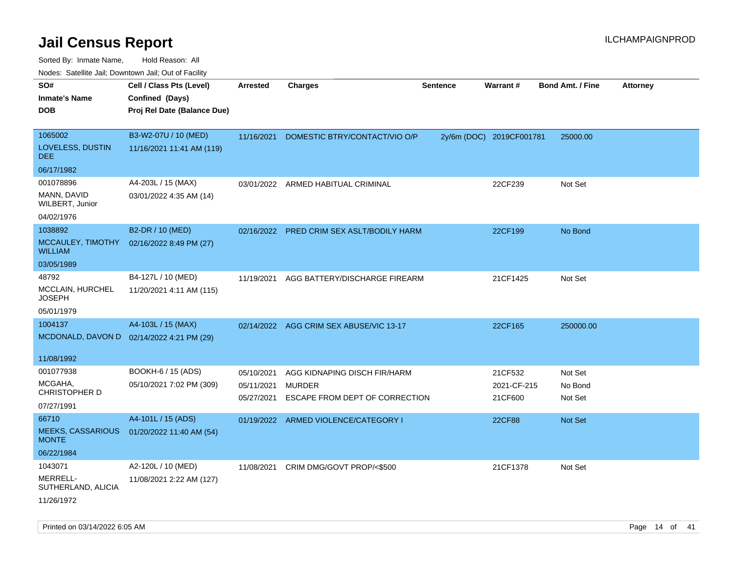| SO#<br><b>Inmate's Name</b><br><b>DOB</b>                       | Cell / Class Pts (Level)<br>Confined (Days)<br>Proj Rel Date (Balance Due) | <b>Arrested</b>                        | <b>Charges</b>                                                           | <b>Sentence</b> | Warrant#                          | <b>Bond Amt. / Fine</b>       | <b>Attorney</b> |
|-----------------------------------------------------------------|----------------------------------------------------------------------------|----------------------------------------|--------------------------------------------------------------------------|-----------------|-----------------------------------|-------------------------------|-----------------|
| 1065002<br>LOVELESS, DUSTIN<br><b>DEE</b>                       | B3-W2-07U / 10 (MED)<br>11/16/2021 11:41 AM (119)                          | 11/16/2021                             | DOMESTIC BTRY/CONTACT/VIO O/P                                            |                 | 2y/6m (DOC) 2019CF001781          | 25000.00                      |                 |
| 06/17/1982                                                      |                                                                            |                                        |                                                                          |                 |                                   |                               |                 |
| 001078896<br>MANN, DAVID<br>WILBERT, Junior<br>04/02/1976       | A4-203L / 15 (MAX)<br>03/01/2022 4:35 AM (14)                              | 03/01/2022                             | ARMED HABITUAL CRIMINAL                                                  |                 | 22CF239                           | Not Set                       |                 |
| 1038892                                                         | B2-DR / 10 (MED)                                                           |                                        |                                                                          |                 |                                   |                               |                 |
| MCCAULEY, TIMOTHY<br><b>WILLIAM</b>                             | 02/16/2022 8:49 PM (27)                                                    |                                        | 02/16/2022 PRED CRIM SEX ASLT/BODILY HARM                                |                 | 22CF199                           | No Bond                       |                 |
| 03/05/1989                                                      |                                                                            |                                        |                                                                          |                 |                                   |                               |                 |
| 48792<br>MCCLAIN, HURCHEL<br>JOSEPH<br>05/01/1979               | B4-127L / 10 (MED)<br>11/20/2021 4:11 AM (115)                             | 11/19/2021                             | AGG BATTERY/DISCHARGE FIREARM                                            |                 | 21CF1425                          | Not Set                       |                 |
|                                                                 |                                                                            |                                        |                                                                          |                 |                                   |                               |                 |
| 1004137                                                         | A4-103L / 15 (MAX)<br>MCDONALD, DAVON D 02/14/2022 4:21 PM (29)            |                                        | 02/14/2022 AGG CRIM SEX ABUSE/VIC 13-17                                  |                 | 22CF165                           | 250000.00                     |                 |
| 11/08/1992                                                      |                                                                            |                                        |                                                                          |                 |                                   |                               |                 |
| 001077938<br>MCGAHA,<br>CHRISTOPHER D<br>07/27/1991             | BOOKH-6 / 15 (ADS)<br>05/10/2021 7:02 PM (309)                             | 05/10/2021<br>05/11/2021<br>05/27/2021 | AGG KIDNAPING DISCH FIR/HARM<br>MURDER<br>ESCAPE FROM DEPT OF CORRECTION |                 | 21CF532<br>2021-CF-215<br>21CF600 | Not Set<br>No Bond<br>Not Set |                 |
| 66710<br><b>MEEKS, CASSARIOUS</b><br><b>MONTE</b><br>06/22/1984 | A4-101L / 15 (ADS)<br>01/20/2022 11:40 AM (54)                             | 01/19/2022                             | ARMED VIOLENCE/CATEGORY I                                                |                 | 22CF88                            | Not Set                       |                 |
| 1043071<br>MERRELL-<br>SUTHERLAND, ALICIA<br>11/26/1972         | A2-120L / 10 (MED)<br>11/08/2021 2:22 AM (127)                             | 11/08/2021                             | CRIM DMG/GOVT PROP/<\$500                                                |                 | 21CF1378                          | Not Set                       |                 |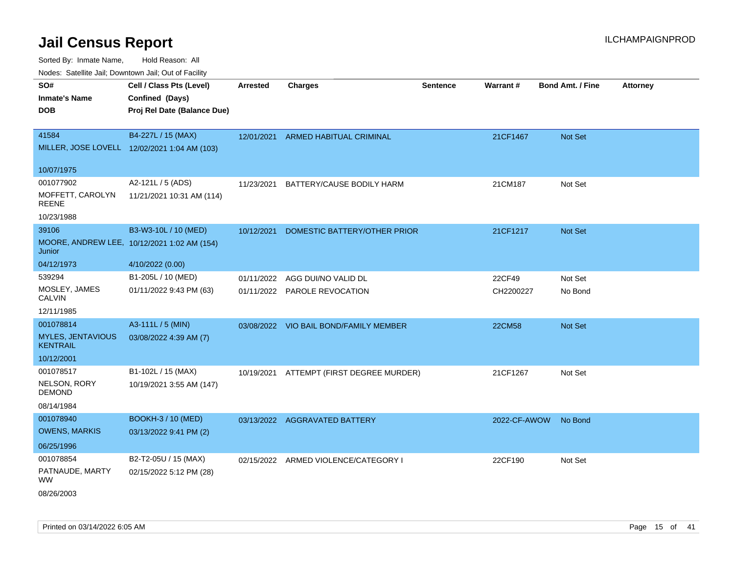Sorted By: Inmate Name, Hold Reason: All

Nodes: Satellite Jail; Downtown Jail; Out of Facility

| SO#                                         | Cell / Class Pts (Level)                     | <b>Arrested</b> | <b>Charges</b>                         | <b>Sentence</b> | Warrant#     | <b>Bond Amt. / Fine</b> | <b>Attorney</b> |
|---------------------------------------------|----------------------------------------------|-----------------|----------------------------------------|-----------------|--------------|-------------------------|-----------------|
| <b>Inmate's Name</b>                        | Confined (Days)                              |                 |                                        |                 |              |                         |                 |
| <b>DOB</b>                                  | Proj Rel Date (Balance Due)                  |                 |                                        |                 |              |                         |                 |
|                                             |                                              |                 |                                        |                 |              |                         |                 |
| 41584                                       | B4-227L / 15 (MAX)                           | 12/01/2021      | ARMED HABITUAL CRIMINAL                |                 | 21CF1467     | Not Set                 |                 |
|                                             | MILLER, JOSE LOVELL 12/02/2021 1:04 AM (103) |                 |                                        |                 |              |                         |                 |
|                                             |                                              |                 |                                        |                 |              |                         |                 |
| 10/07/1975                                  |                                              |                 |                                        |                 |              |                         |                 |
| 001077902                                   | A2-121L / 5 (ADS)                            | 11/23/2021      | BATTERY/CAUSE BODILY HARM              |                 | 21CM187      | Not Set                 |                 |
| MOFFETT, CAROLYN<br><b>REENE</b>            | 11/21/2021 10:31 AM (114)                    |                 |                                        |                 |              |                         |                 |
| 10/23/1988                                  |                                              |                 |                                        |                 |              |                         |                 |
| 39106                                       | B3-W3-10L / 10 (MED)                         | 10/12/2021      | DOMESTIC BATTERY/OTHER PRIOR           |                 | 21CF1217     | <b>Not Set</b>          |                 |
| Junior                                      | MOORE, ANDREW LEE, 10/12/2021 1:02 AM (154)  |                 |                                        |                 |              |                         |                 |
| 04/12/1973                                  | 4/10/2022 (0.00)                             |                 |                                        |                 |              |                         |                 |
| 539294                                      | B1-205L / 10 (MED)                           | 01/11/2022      | AGG DUI/NO VALID DL                    |                 | 22CF49       | Not Set                 |                 |
| MOSLEY, JAMES<br><b>CALVIN</b>              | 01/11/2022 9:43 PM (63)                      |                 | 01/11/2022 PAROLE REVOCATION           |                 | CH2200227    | No Bond                 |                 |
| 12/11/1985                                  |                                              |                 |                                        |                 |              |                         |                 |
| 001078814                                   | A3-111L / 5 (MIN)                            |                 | 03/08/2022 VIO BAIL BOND/FAMILY MEMBER |                 | 22CM58       | <b>Not Set</b>          |                 |
| <b>MYLES, JENTAVIOUS</b><br><b>KENTRAIL</b> | 03/08/2022 4:39 AM (7)                       |                 |                                        |                 |              |                         |                 |
| 10/12/2001                                  |                                              |                 |                                        |                 |              |                         |                 |
| 001078517                                   | B1-102L / 15 (MAX)                           | 10/19/2021      | ATTEMPT (FIRST DEGREE MURDER)          |                 | 21CF1267     | Not Set                 |                 |
| NELSON, RORY<br>DEMOND                      | 10/19/2021 3:55 AM (147)                     |                 |                                        |                 |              |                         |                 |
| 08/14/1984                                  |                                              |                 |                                        |                 |              |                         |                 |
| 001078940                                   | <b>BOOKH-3 / 10 (MED)</b>                    |                 | 03/13/2022 AGGRAVATED BATTERY          |                 | 2022-CF-AWOW | No Bond                 |                 |
| <b>OWENS, MARKIS</b>                        | 03/13/2022 9:41 PM (2)                       |                 |                                        |                 |              |                         |                 |
| 06/25/1996                                  |                                              |                 |                                        |                 |              |                         |                 |
| 001078854                                   | B2-T2-05U / 15 (MAX)                         |                 | 02/15/2022 ARMED VIOLENCE/CATEGORY I   |                 | 22CF190      | Not Set                 |                 |
| PATNAUDE, MARTY<br><b>WW</b>                | 02/15/2022 5:12 PM (28)                      |                 |                                        |                 |              |                         |                 |
| 08/26/2003                                  |                                              |                 |                                        |                 |              |                         |                 |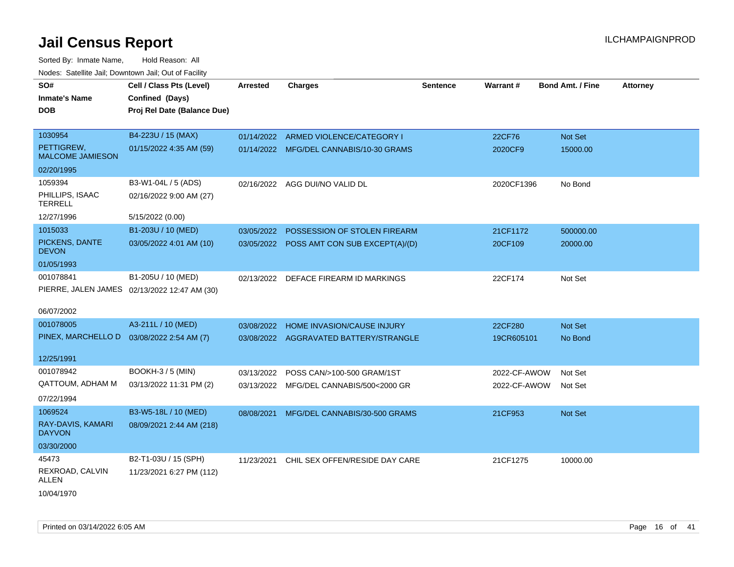| SO#                                   | Cell / Class Pts (Level)                     | Arrested   | <b>Charges</b>                            | <b>Sentence</b> | Warrant#     | <b>Bond Amt. / Fine</b> | <b>Attorney</b> |
|---------------------------------------|----------------------------------------------|------------|-------------------------------------------|-----------------|--------------|-------------------------|-----------------|
| <b>Inmate's Name</b>                  | Confined (Days)                              |            |                                           |                 |              |                         |                 |
| <b>DOB</b>                            |                                              |            |                                           |                 |              |                         |                 |
|                                       | Proj Rel Date (Balance Due)                  |            |                                           |                 |              |                         |                 |
| 1030954                               | B4-223U / 15 (MAX)                           |            | 01/14/2022 ARMED VIOLENCE/CATEGORY I      |                 | 22CF76       | Not Set                 |                 |
| PETTIGREW,<br><b>MALCOME JAMIESON</b> | 01/15/2022 4:35 AM (59)                      |            | 01/14/2022 MFG/DEL CANNABIS/10-30 GRAMS   |                 | 2020CF9      | 15000.00                |                 |
| 02/20/1995                            |                                              |            |                                           |                 |              |                         |                 |
| 1059394                               | B3-W1-04L / 5 (ADS)                          |            | 02/16/2022 AGG DUI/NO VALID DL            |                 | 2020CF1396   | No Bond                 |                 |
| PHILLIPS, ISAAC<br><b>TERRELL</b>     | 02/16/2022 9:00 AM (27)                      |            |                                           |                 |              |                         |                 |
| 12/27/1996                            | 5/15/2022 (0.00)                             |            |                                           |                 |              |                         |                 |
| 1015033                               | B1-203U / 10 (MED)                           | 03/05/2022 | POSSESSION OF STOLEN FIREARM              |                 | 21CF1172     | 500000.00               |                 |
| PICKENS, DANTE<br><b>DEVON</b>        | 03/05/2022 4:01 AM (10)                      |            | 03/05/2022 POSS AMT CON SUB EXCEPT(A)/(D) |                 | 20CF109      | 20000.00                |                 |
| 01/05/1993                            |                                              |            |                                           |                 |              |                         |                 |
| 001078841                             | B1-205U / 10 (MED)                           | 02/13/2022 | DEFACE FIREARM ID MARKINGS                |                 | 22CF174      | Not Set                 |                 |
|                                       | PIERRE, JALEN JAMES 02/13/2022 12:47 AM (30) |            |                                           |                 |              |                         |                 |
| 06/07/2002                            |                                              |            |                                           |                 |              |                         |                 |
| 001078005                             | A3-211L / 10 (MED)                           | 03/08/2022 | <b>HOME INVASION/CAUSE INJURY</b>         |                 | 22CF280      | Not Set                 |                 |
| PINEX, MARCHELLO D                    | 03/08/2022 2:54 AM (7)                       |            | 03/08/2022 AGGRAVATED BATTERY/STRANGLE    |                 | 19CR605101   | No Bond                 |                 |
| 12/25/1991                            |                                              |            |                                           |                 |              |                         |                 |
| 001078942                             | <b>BOOKH-3 / 5 (MIN)</b>                     | 03/13/2022 | POSS CAN/>100-500 GRAM/1ST                |                 | 2022-CF-AWOW | Not Set                 |                 |
| <b>QATTOUM, ADHAM M</b>               | 03/13/2022 11:31 PM (2)                      |            | 03/13/2022 MFG/DEL CANNABIS/500<2000 GR   |                 | 2022-CF-AWOW | Not Set                 |                 |
| 07/22/1994                            |                                              |            |                                           |                 |              |                         |                 |
| 1069524                               | B3-W5-18L / 10 (MED)                         | 08/08/2021 | MFG/DEL CANNABIS/30-500 GRAMS             |                 | 21CF953      | Not Set                 |                 |
| RAY-DAVIS, KAMARI<br><b>DAYVON</b>    | 08/09/2021 2:44 AM (218)                     |            |                                           |                 |              |                         |                 |
| 03/30/2000                            |                                              |            |                                           |                 |              |                         |                 |
| 45473                                 | B2-T1-03U / 15 (SPH)                         | 11/23/2021 | CHIL SEX OFFEN/RESIDE DAY CARE            |                 | 21CF1275     | 10000.00                |                 |
| REXROAD, CALVIN<br>ALLEN              | 11/23/2021 6:27 PM (112)                     |            |                                           |                 |              |                         |                 |
| 10/04/1970                            |                                              |            |                                           |                 |              |                         |                 |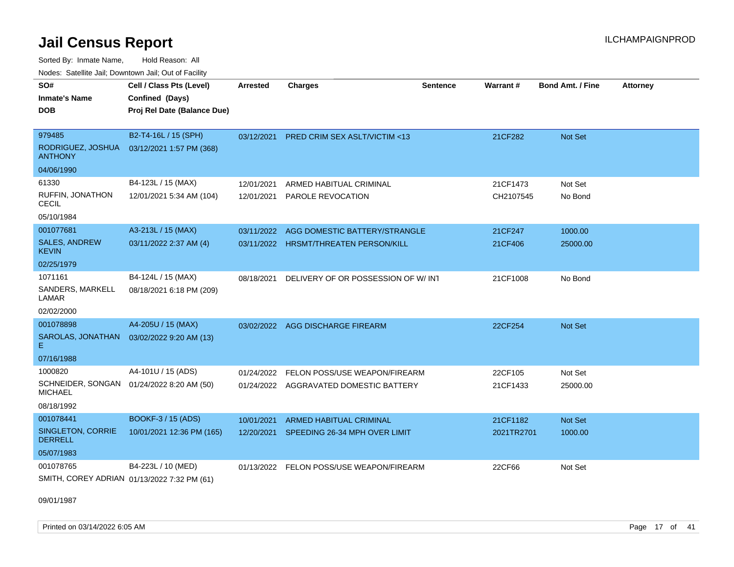Sorted By: Inmate Name, Hold Reason: All Nodes: Satellite Jail; Downtown Jail; Out of Facility

| SO#                                                         | Cell / Class Pts (Level)    | Arrested   | <b>Charges</b>                          | <b>Sentence</b> | Warrant#   | <b>Bond Amt. / Fine</b> | <b>Attorney</b> |
|-------------------------------------------------------------|-----------------------------|------------|-----------------------------------------|-----------------|------------|-------------------------|-----------------|
| Inmate's Name                                               | Confined (Days)             |            |                                         |                 |            |                         |                 |
| <b>DOB</b>                                                  | Proj Rel Date (Balance Due) |            |                                         |                 |            |                         |                 |
|                                                             |                             |            |                                         |                 |            |                         |                 |
| 979485                                                      | B2-T4-16L / 15 (SPH)        | 03/12/2021 | <b>PRED CRIM SEX ASLT/VICTIM &lt;13</b> |                 | 21CF282    | Not Set                 |                 |
| RODRIGUEZ, JOSHUA<br><b>ANTHONY</b>                         | 03/12/2021 1:57 PM (368)    |            |                                         |                 |            |                         |                 |
| 04/06/1990                                                  |                             |            |                                         |                 |            |                         |                 |
| 61330                                                       | B4-123L / 15 (MAX)          | 12/01/2021 | ARMED HABITUAL CRIMINAL                 |                 | 21CF1473   | Not Set                 |                 |
| RUFFIN, JONATHON<br><b>CECIL</b>                            | 12/01/2021 5:34 AM (104)    | 12/01/2021 | PAROLE REVOCATION                       |                 | CH2107545  | No Bond                 |                 |
| 05/10/1984                                                  |                             |            |                                         |                 |            |                         |                 |
| 001077681                                                   | A3-213L / 15 (MAX)          | 03/11/2022 | AGG DOMESTIC BATTERY/STRANGLE           |                 | 21CF247    | 1000.00                 |                 |
| <b>SALES, ANDREW</b><br><b>KEVIN</b>                        | 03/11/2022 2:37 AM (4)      |            | 03/11/2022 HRSMT/THREATEN PERSON/KILL   |                 | 21CF406    | 25000.00                |                 |
| 02/25/1979                                                  |                             |            |                                         |                 |            |                         |                 |
| 1071161                                                     | B4-124L / 15 (MAX)          | 08/18/2021 | DELIVERY OF OR POSSESSION OF W/ INT     |                 | 21CF1008   | No Bond                 |                 |
| SANDERS, MARKELL<br>LAMAR                                   | 08/18/2021 6:18 PM (209)    |            |                                         |                 |            |                         |                 |
| 02/02/2000                                                  |                             |            |                                         |                 |            |                         |                 |
| 001078898                                                   | A4-205U / 15 (MAX)          |            | 03/02/2022 AGG DISCHARGE FIREARM        |                 | 22CF254    | <b>Not Set</b>          |                 |
| SAROLAS, JONATHAN<br>E.                                     | 03/02/2022 9:20 AM (13)     |            |                                         |                 |            |                         |                 |
| 07/16/1988                                                  |                             |            |                                         |                 |            |                         |                 |
| 1000820                                                     | A4-101U / 15 (ADS)          | 01/24/2022 | FELON POSS/USE WEAPON/FIREARM           |                 | 22CF105    | Not Set                 |                 |
| SCHNEIDER, SONGAN 01/24/2022 8:20 AM (50)<br><b>MICHAEL</b> |                             |            | 01/24/2022 AGGRAVATED DOMESTIC BATTERY  |                 | 21CF1433   | 25000.00                |                 |
| 08/18/1992                                                  |                             |            |                                         |                 |            |                         |                 |
| 001078441                                                   | <b>BOOKF-3 / 15 (ADS)</b>   | 10/01/2021 | <b>ARMED HABITUAL CRIMINAL</b>          |                 | 21CF1182   | <b>Not Set</b>          |                 |
| <b>SINGLETON, CORRIE</b><br><b>DERRELL</b>                  | 10/01/2021 12:36 PM (165)   | 12/20/2021 | SPEEDING 26-34 MPH OVER LIMIT           |                 | 2021TR2701 | 1000.00                 |                 |
| 05/07/1983                                                  |                             |            |                                         |                 |            |                         |                 |
| 001078765                                                   | B4-223L / 10 (MED)          | 01/13/2022 | FELON POSS/USE WEAPON/FIREARM           |                 | 22CF66     | Not Set                 |                 |
| SMITH, COREY ADRIAN 01/13/2022 7:32 PM (61)                 |                             |            |                                         |                 |            |                         |                 |

09/01/1987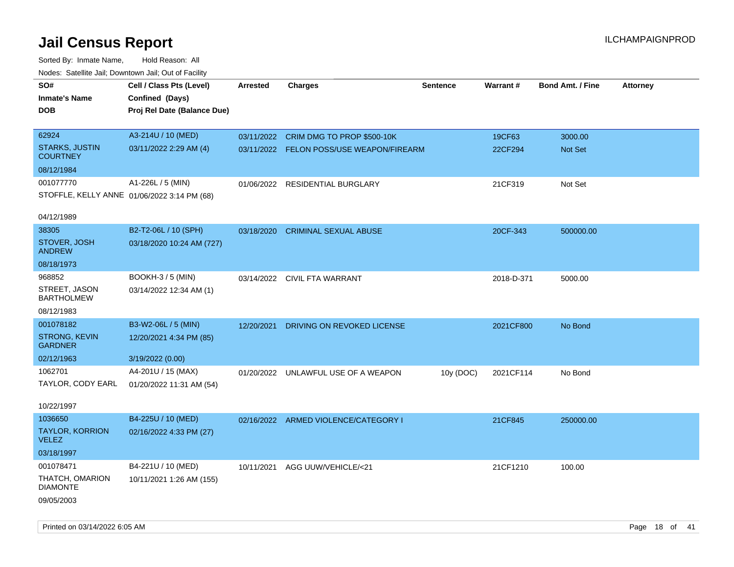| roaco. Catolino dall, Downtown dall, Out of Fability |                                             |                 |                                          |                 |            |                         |                 |
|------------------------------------------------------|---------------------------------------------|-----------------|------------------------------------------|-----------------|------------|-------------------------|-----------------|
| SO#                                                  | Cell / Class Pts (Level)                    | <b>Arrested</b> | <b>Charges</b>                           | <b>Sentence</b> | Warrant#   | <b>Bond Amt. / Fine</b> | <b>Attorney</b> |
| <b>Inmate's Name</b>                                 | Confined (Days)                             |                 |                                          |                 |            |                         |                 |
| <b>DOB</b>                                           | Proj Rel Date (Balance Due)                 |                 |                                          |                 |            |                         |                 |
|                                                      |                                             |                 |                                          |                 |            |                         |                 |
| 62924                                                | A3-214U / 10 (MED)                          |                 | 03/11/2022 CRIM DMG TO PROP \$500-10K    |                 | 19CF63     | 3000.00                 |                 |
| <b>STARKS, JUSTIN</b><br><b>COURTNEY</b>             | 03/11/2022 2:29 AM (4)                      |                 | 03/11/2022 FELON POSS/USE WEAPON/FIREARM |                 | 22CF294    | Not Set                 |                 |
| 08/12/1984                                           |                                             |                 |                                          |                 |            |                         |                 |
| 001077770                                            | A1-226L / 5 (MIN)                           |                 | 01/06/2022 RESIDENTIAL BURGLARY          |                 | 21CF319    | Not Set                 |                 |
|                                                      | STOFFLE, KELLY ANNE 01/06/2022 3:14 PM (68) |                 |                                          |                 |            |                         |                 |
| 04/12/1989                                           |                                             |                 |                                          |                 |            |                         |                 |
| 38305                                                | B2-T2-06L / 10 (SPH)                        | 03/18/2020      | <b>CRIMINAL SEXUAL ABUSE</b>             |                 | 20CF-343   | 500000.00               |                 |
| STOVER, JOSH                                         | 03/18/2020 10:24 AM (727)                   |                 |                                          |                 |            |                         |                 |
| <b>ANDREW</b>                                        |                                             |                 |                                          |                 |            |                         |                 |
| 08/18/1973                                           |                                             |                 |                                          |                 |            |                         |                 |
| 968852                                               | <b>BOOKH-3 / 5 (MIN)</b>                    |                 | 03/14/2022 CIVIL FTA WARRANT             |                 | 2018-D-371 | 5000.00                 |                 |
| STREET, JASON<br><b>BARTHOLMEW</b>                   | 03/14/2022 12:34 AM (1)                     |                 |                                          |                 |            |                         |                 |
| 08/12/1983                                           |                                             |                 |                                          |                 |            |                         |                 |
| 001078182                                            | B3-W2-06L / 5 (MIN)                         | 12/20/2021      | DRIVING ON REVOKED LICENSE               |                 | 2021CF800  | No Bond                 |                 |
| STRONG, KEVIN<br><b>GARDNER</b>                      | 12/20/2021 4:34 PM (85)                     |                 |                                          |                 |            |                         |                 |
| 02/12/1963                                           | 3/19/2022 (0.00)                            |                 |                                          |                 |            |                         |                 |
| 1062701                                              | A4-201U / 15 (MAX)                          |                 | 01/20/2022 UNLAWFUL USE OF A WEAPON      | 10y (DOC)       | 2021CF114  | No Bond                 |                 |
| TAYLOR, CODY EARL                                    | 01/20/2022 11:31 AM (54)                    |                 |                                          |                 |            |                         |                 |
|                                                      |                                             |                 |                                          |                 |            |                         |                 |
| 10/22/1997                                           |                                             |                 |                                          |                 |            |                         |                 |
| 1036650                                              | B4-225U / 10 (MED)                          |                 | 02/16/2022 ARMED VIOLENCE/CATEGORY I     |                 | 21CF845    | 250000.00               |                 |
| <b>TAYLOR, KORRION</b><br><b>VELEZ</b>               | 02/16/2022 4:33 PM (27)                     |                 |                                          |                 |            |                         |                 |
| 03/18/1997                                           |                                             |                 |                                          |                 |            |                         |                 |
| 001078471                                            | B4-221U / 10 (MED)                          |                 | 10/11/2021 AGG UUW/VEHICLE/<21           |                 | 21CF1210   | 100.00                  |                 |
| THATCH, OMARION                                      | 10/11/2021 1:26 AM (155)                    |                 |                                          |                 |            |                         |                 |
| <b>DIAMONTE</b>                                      |                                             |                 |                                          |                 |            |                         |                 |
| 09/05/2003                                           |                                             |                 |                                          |                 |            |                         |                 |
|                                                      |                                             |                 |                                          |                 |            |                         |                 |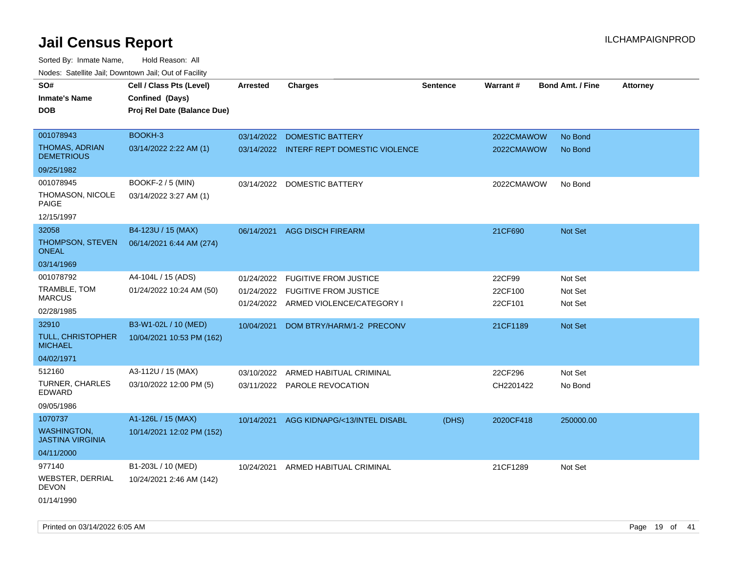| Todoo. Catolino can, Bowritown can, Oat or I domt |                                                                            |                 |                                          |                 |            |                         |                 |
|---------------------------------------------------|----------------------------------------------------------------------------|-----------------|------------------------------------------|-----------------|------------|-------------------------|-----------------|
| SO#<br><b>Inmate's Name</b><br><b>DOB</b>         | Cell / Class Pts (Level)<br>Confined (Days)<br>Proj Rel Date (Balance Due) | <b>Arrested</b> | <b>Charges</b>                           | <b>Sentence</b> | Warrant#   | <b>Bond Amt. / Fine</b> | <b>Attorney</b> |
| 001078943                                         | <b>BOOKH-3</b>                                                             | 03/14/2022      | <b>DOMESTIC BATTERY</b>                  |                 | 2022CMAWOW | No Bond                 |                 |
| <b>THOMAS, ADRIAN</b><br><b>DEMETRIOUS</b>        | 03/14/2022 2:22 AM (1)                                                     |                 | 03/14/2022 INTERF REPT DOMESTIC VIOLENCE |                 | 2022CMAWOW | No Bond                 |                 |
| 09/25/1982                                        |                                                                            |                 |                                          |                 |            |                         |                 |
| 001078945                                         | BOOKF-2 / 5 (MIN)                                                          | 03/14/2022      | DOMESTIC BATTERY                         |                 | 2022CMAWOW | No Bond                 |                 |
| THOMASON, NICOLE<br><b>PAIGE</b>                  | 03/14/2022 3:27 AM (1)                                                     |                 |                                          |                 |            |                         |                 |
| 12/15/1997                                        |                                                                            |                 |                                          |                 |            |                         |                 |
| 32058                                             | B4-123U / 15 (MAX)                                                         | 06/14/2021      | <b>AGG DISCH FIREARM</b>                 |                 | 21CF690    | <b>Not Set</b>          |                 |
| THOMPSON, STEVEN<br><b>ONEAL</b>                  | 06/14/2021 6:44 AM (274)                                                   |                 |                                          |                 |            |                         |                 |
| 03/14/1969                                        |                                                                            |                 |                                          |                 |            |                         |                 |
| 001078792                                         | A4-104L / 15 (ADS)                                                         | 01/24/2022      | <b>FUGITIVE FROM JUSTICE</b>             |                 | 22CF99     | Not Set                 |                 |
| TRAMBLE, TOM                                      | 01/24/2022 10:24 AM (50)                                                   | 01/24/2022      | <b>FUGITIVE FROM JUSTICE</b>             |                 | 22CF100    | Not Set                 |                 |
| <b>MARCUS</b>                                     |                                                                            |                 | 01/24/2022 ARMED VIOLENCE/CATEGORY I     |                 | 22CF101    | Not Set                 |                 |
| 02/28/1985                                        |                                                                            |                 |                                          |                 |            |                         |                 |
| 32910                                             | B3-W1-02L / 10 (MED)                                                       | 10/04/2021      | DOM BTRY/HARM/1-2 PRECONV                |                 | 21CF1189   | <b>Not Set</b>          |                 |
| TULL, CHRISTOPHER<br><b>MICHAEL</b>               | 10/04/2021 10:53 PM (162)                                                  |                 |                                          |                 |            |                         |                 |
| 04/02/1971                                        |                                                                            |                 |                                          |                 |            |                         |                 |
| 512160                                            | A3-112U / 15 (MAX)                                                         | 03/10/2022      | ARMED HABITUAL CRIMINAL                  |                 | 22CF296    | Not Set                 |                 |
| TURNER, CHARLES<br><b>EDWARD</b>                  | 03/10/2022 12:00 PM (5)                                                    |                 | 03/11/2022 PAROLE REVOCATION             |                 | CH2201422  | No Bond                 |                 |
| 09/05/1986                                        |                                                                            |                 |                                          |                 |            |                         |                 |
| 1070737                                           | A1-126L / 15 (MAX)                                                         | 10/14/2021      | AGG KIDNAPG/<13/INTEL DISABL             | (DHS)           | 2020CF418  | 250000.00               |                 |
| <b>WASHINGTON,</b><br><b>JASTINA VIRGINIA</b>     | 10/14/2021 12:02 PM (152)                                                  |                 |                                          |                 |            |                         |                 |
| 04/11/2000                                        |                                                                            |                 |                                          |                 |            |                         |                 |
| 977140                                            | B1-203L / 10 (MED)                                                         | 10/24/2021      | ARMED HABITUAL CRIMINAL                  |                 | 21CF1289   | Not Set                 |                 |
| <b>WEBSTER, DERRIAL</b><br><b>DEVON</b>           | 10/24/2021 2:46 AM (142)                                                   |                 |                                          |                 |            |                         |                 |
| 01/14/1990                                        |                                                                            |                 |                                          |                 |            |                         |                 |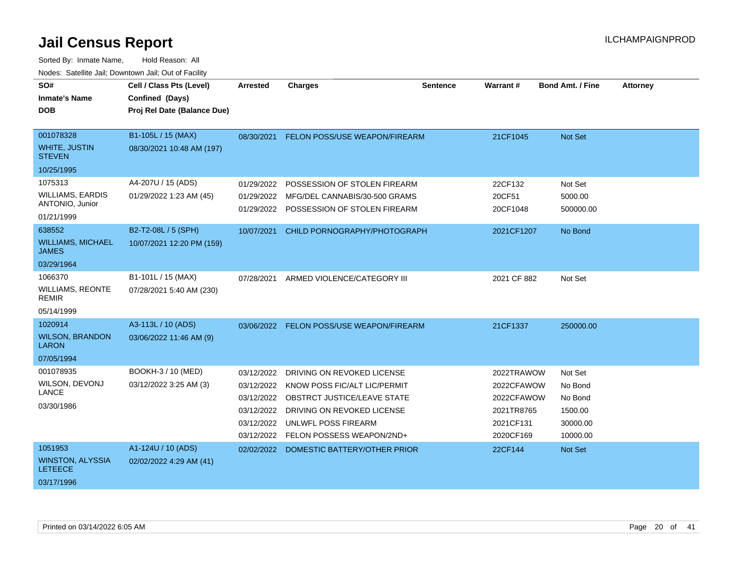| SO#<br><b>Inmate's Name</b><br><b>DOB</b>                           | Cell / Class Pts (Level)<br>Confined (Days)<br>Proj Rel Date (Balance Due) | <b>Arrested</b>                                                                  | <b>Charges</b>                                                                                                                                                              | <b>Sentence</b> | Warrant#                                                                       | <b>Bond Amt. / Fine</b>                                          | <b>Attorney</b> |
|---------------------------------------------------------------------|----------------------------------------------------------------------------|----------------------------------------------------------------------------------|-----------------------------------------------------------------------------------------------------------------------------------------------------------------------------|-----------------|--------------------------------------------------------------------------------|------------------------------------------------------------------|-----------------|
| 001078328<br><b>WHITE, JUSTIN</b><br><b>STEVEN</b><br>10/25/1995    | B1-105L / 15 (MAX)<br>08/30/2021 10:48 AM (197)                            | 08/30/2021                                                                       | FELON POSS/USE WEAPON/FIREARM                                                                                                                                               |                 | 21CF1045                                                                       | Not Set                                                          |                 |
| 1075313<br><b>WILLIAMS, EARDIS</b><br>ANTONIO, Junior<br>01/21/1999 | A4-207U / 15 (ADS)<br>01/29/2022 1:23 AM (45)                              | 01/29/2022<br>01/29/2022                                                         | POSSESSION OF STOLEN FIREARM<br>MFG/DEL CANNABIS/30-500 GRAMS<br>01/29/2022 POSSESSION OF STOLEN FIREARM                                                                    |                 | 22CF132<br>20CF51<br>20CF1048                                                  | Not Set<br>5000.00<br>500000.00                                  |                 |
| 638552<br><b>WILLIAMS, MICHAEL</b><br><b>JAMES</b><br>03/29/1964    | B2-T2-08L / 5 (SPH)<br>10/07/2021 12:20 PM (159)                           | 10/07/2021                                                                       | CHILD PORNOGRAPHY/PHOTOGRAPH                                                                                                                                                |                 | 2021CF1207                                                                     | No Bond                                                          |                 |
| 1066370<br><b>WILLIAMS, REONTE</b><br><b>REMIR</b><br>05/14/1999    | B1-101L / 15 (MAX)<br>07/28/2021 5:40 AM (230)                             | 07/28/2021                                                                       | ARMED VIOLENCE/CATEGORY III                                                                                                                                                 |                 | 2021 CF 882                                                                    | Not Set                                                          |                 |
| 1020914<br><b>WILSON, BRANDON</b><br><b>LARON</b><br>07/05/1994     | A3-113L / 10 (ADS)<br>03/06/2022 11:46 AM (9)                              |                                                                                  | 03/06/2022 FELON POSS/USE WEAPON/FIREARM                                                                                                                                    |                 | 21CF1337                                                                       | 250000.00                                                        |                 |
| 001078935<br>WILSON, DEVONJ<br>LANCE<br>03/30/1986                  | BOOKH-3 / 10 (MED)<br>03/12/2022 3:25 AM (3)                               | 03/12/2022<br>03/12/2022<br>03/12/2022<br>03/12/2022<br>03/12/2022<br>03/12/2022 | DRIVING ON REVOKED LICENSE<br>KNOW POSS FIC/ALT LIC/PERMIT<br>OBSTRCT JUSTICE/LEAVE STATE<br>DRIVING ON REVOKED LICENSE<br>UNLWFL POSS FIREARM<br>FELON POSSESS WEAPON/2ND+ |                 | 2022TRAWOW<br>2022CFAWOW<br>2022CFAWOW<br>2021TR8765<br>2021CF131<br>2020CF169 | Not Set<br>No Bond<br>No Bond<br>1500.00<br>30000.00<br>10000.00 |                 |
| 1051953<br><b>WINSTON, ALYSSIA</b><br><b>LETEECE</b><br>03/17/1996  | A1-124U / 10 (ADS)<br>02/02/2022 4:29 AM (41)                              | 02/02/2022                                                                       | DOMESTIC BATTERY/OTHER PRIOR                                                                                                                                                |                 | 22CF144                                                                        | Not Set                                                          |                 |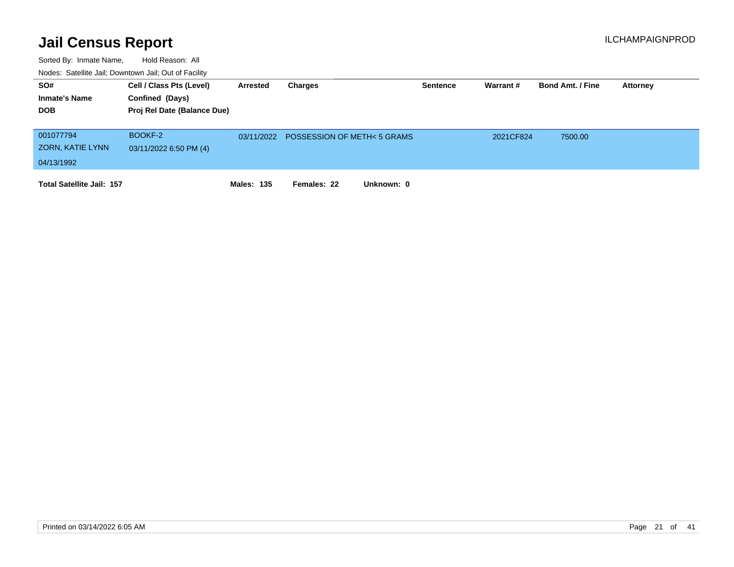| SO#                              | Cell / Class Pts (Level)    | <b>Arrested</b> | Charges                                |            | <b>Sentence</b> | Warrant # | <b>Bond Amt. / Fine</b> | Attorney |
|----------------------------------|-----------------------------|-----------------|----------------------------------------|------------|-----------------|-----------|-------------------------|----------|
| <b>Inmate's Name</b>             | Confined (Days)             |                 |                                        |            |                 |           |                         |          |
| <b>DOB</b>                       | Proj Rel Date (Balance Due) |                 |                                        |            |                 |           |                         |          |
|                                  |                             |                 |                                        |            |                 |           |                         |          |
| 001077794                        | BOOKF-2                     |                 | 03/11/2022 POSSESSION OF METH< 5 GRAMS |            |                 | 2021CF824 | 7500.00                 |          |
| ZORN, KATIE LYNN                 | 03/11/2022 6:50 PM (4)      |                 |                                        |            |                 |           |                         |          |
| 04/13/1992                       |                             |                 |                                        |            |                 |           |                         |          |
| <b>Total Satellite Jail: 157</b> |                             | Males: 135      | Females: 22                            | Unknown: 0 |                 |           |                         |          |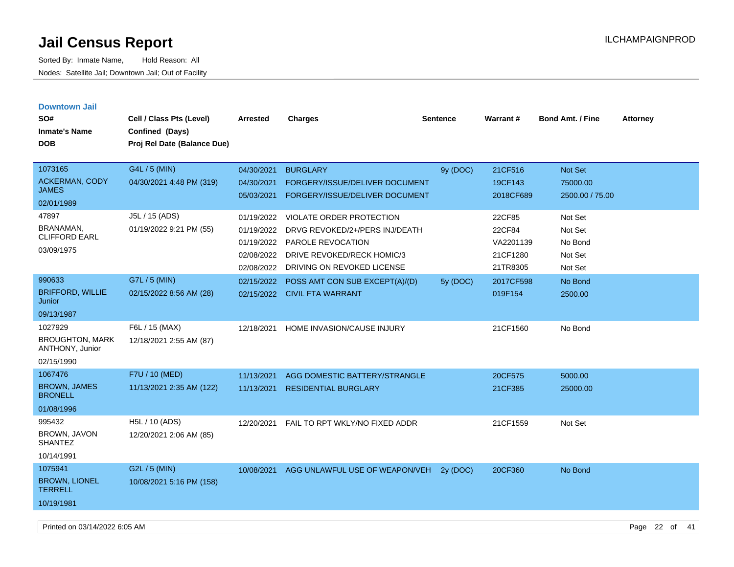| <b>Downtown Jail</b>                            |                                           |            |                                 |                 |           |                         |                 |
|-------------------------------------------------|-------------------------------------------|------------|---------------------------------|-----------------|-----------|-------------------------|-----------------|
| SO#                                             | Cell / Class Pts (Level)                  | Arrested   | <b>Charges</b>                  | <b>Sentence</b> | Warrant#  | <b>Bond Amt. / Fine</b> | <b>Attorney</b> |
| <b>Inmate's Name</b>                            | Confined (Days)                           |            |                                 |                 |           |                         |                 |
| <b>DOB</b>                                      | Proj Rel Date (Balance Due)               |            |                                 |                 |           |                         |                 |
|                                                 |                                           |            |                                 |                 |           |                         |                 |
| 1073165                                         | G4L / 5 (MIN)                             | 04/30/2021 | <b>BURGLARY</b>                 | 9y (DOC)        | 21CF516   | Not Set                 |                 |
| <b>ACKERMAN, CODY</b>                           | 04/30/2021 4:48 PM (319)                  | 04/30/2021 | FORGERY/ISSUE/DELIVER DOCUMENT  |                 | 19CF143   | 75000.00                |                 |
| <b>JAMES</b>                                    |                                           | 05/03/2021 | FORGERY/ISSUE/DELIVER DOCUMENT  |                 | 2018CF689 | 2500.00 / 75.00         |                 |
| 02/01/1989                                      |                                           |            |                                 |                 |           |                         |                 |
| 47897                                           | J5L / 15 (ADS)                            | 01/19/2022 | <b>VIOLATE ORDER PROTECTION</b> |                 | 22CF85    | Not Set                 |                 |
| BRANAMAN,<br><b>CLIFFORD EARL</b>               | 01/19/2022 9:21 PM (55)                   | 01/19/2022 | DRVG REVOKED/2+/PERS INJ/DEATH  |                 | 22CF84    | Not Set                 |                 |
| 03/09/1975                                      |                                           | 01/19/2022 | PAROLE REVOCATION               |                 | VA2201139 | No Bond                 |                 |
|                                                 |                                           | 02/08/2022 | DRIVE REVOKED/RECK HOMIC/3      |                 | 21CF1280  | Not Set                 |                 |
|                                                 |                                           | 02/08/2022 | DRIVING ON REVOKED LICENSE      |                 | 21TR8305  | Not Set                 |                 |
| 990633                                          | G7L / 5 (MIN)                             | 02/15/2022 | POSS AMT CON SUB EXCEPT(A)/(D)  | 5y (DOC)        | 2017CF598 | No Bond                 |                 |
| <b>BRIFFORD, WILLIE</b><br>Junior               | 02/15/2022 8:56 AM (28)                   |            | 02/15/2022 CIVIL FTA WARRANT    |                 | 019F154   | 2500.00                 |                 |
| 09/13/1987                                      |                                           |            |                                 |                 |           |                         |                 |
| 1027929                                         | F6L / 15 (MAX)                            | 12/18/2021 | HOME INVASION/CAUSE INJURY      |                 | 21CF1560  | No Bond                 |                 |
| <b>BROUGHTON, MARK</b><br>ANTHONY, Junior       | 12/18/2021 2:55 AM (87)                   |            |                                 |                 |           |                         |                 |
| 02/15/1990                                      |                                           |            |                                 |                 |           |                         |                 |
| 1067476                                         | F7U / 10 (MED)                            | 11/13/2021 | AGG DOMESTIC BATTERY/STRANGLE   |                 | 20CF575   | 5000.00                 |                 |
| <b>BROWN, JAMES</b><br><b>BRONELL</b>           | 11/13/2021 2:35 AM (122)                  | 11/13/2021 | <b>RESIDENTIAL BURGLARY</b>     |                 | 21CF385   | 25000.00                |                 |
| 01/08/1996                                      |                                           |            |                                 |                 |           |                         |                 |
| 995432<br><b>BROWN, JAVON</b><br><b>SHANTEZ</b> | H5L / 10 (ADS)<br>12/20/2021 2:06 AM (85) | 12/20/2021 | FAIL TO RPT WKLY/NO FIXED ADDR  |                 | 21CF1559  | Not Set                 |                 |
| 10/14/1991                                      |                                           |            |                                 |                 |           |                         |                 |
| 1075941                                         | G2L / 5 (MIN)                             | 10/08/2021 | AGG UNLAWFUL USE OF WEAPON/VEH  | 2y (DOC)        | 20CF360   | No Bond                 |                 |
| <b>BROWN, LIONEL</b><br><b>TERRELL</b>          | 10/08/2021 5:16 PM (158)                  |            |                                 |                 |           |                         |                 |
| 10/19/1981                                      |                                           |            |                                 |                 |           |                         |                 |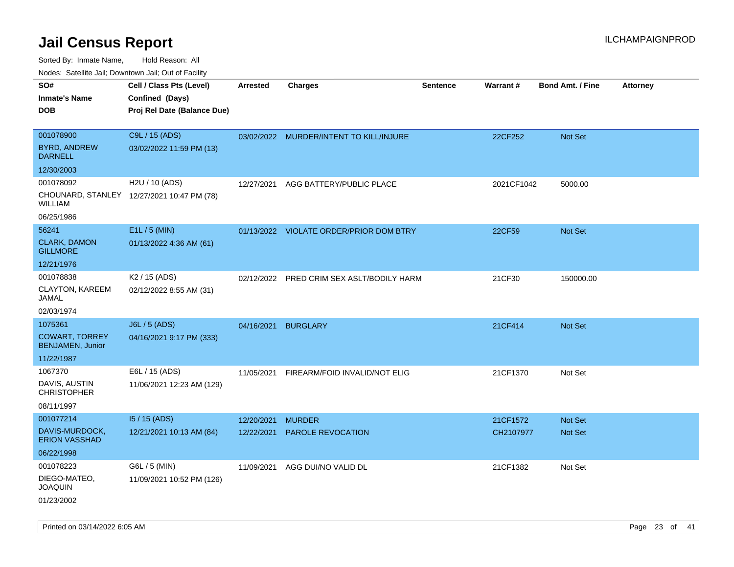| rouco. Calcillo Jali, Downtown Jali, Out of Facility |                                             |                 |                                         |                 |            |                         |                 |
|------------------------------------------------------|---------------------------------------------|-----------------|-----------------------------------------|-----------------|------------|-------------------------|-----------------|
| SO#<br>Inmate's Name                                 | Cell / Class Pts (Level)<br>Confined (Days) | <b>Arrested</b> | <b>Charges</b>                          | <b>Sentence</b> | Warrant#   | <b>Bond Amt. / Fine</b> | <b>Attorney</b> |
| DOB                                                  | Proj Rel Date (Balance Due)                 |                 |                                         |                 |            |                         |                 |
|                                                      |                                             |                 |                                         |                 |            |                         |                 |
| 001078900                                            | C9L / 15 (ADS)                              |                 | 03/02/2022 MURDER/INTENT TO KILL/INJURE |                 | 22CF252    | <b>Not Set</b>          |                 |
| <b>BYRD, ANDREW</b><br><b>DARNELL</b>                | 03/02/2022 11:59 PM (13)                    |                 |                                         |                 |            |                         |                 |
| 12/30/2003                                           |                                             |                 |                                         |                 |            |                         |                 |
| 001078092                                            | H2U / 10 (ADS)                              | 12/27/2021      | AGG BATTERY/PUBLIC PLACE                |                 | 2021CF1042 | 5000.00                 |                 |
| WILLIAM                                              | CHOUNARD, STANLEY 12/27/2021 10:47 PM (78)  |                 |                                         |                 |            |                         |                 |
| 06/25/1986                                           |                                             |                 |                                         |                 |            |                         |                 |
| 56241                                                | E1L / 5 (MIN)                               |                 | 01/13/2022 VIOLATE ORDER/PRIOR DOM BTRY |                 | 22CF59     | <b>Not Set</b>          |                 |
| <b>CLARK, DAMON</b><br><b>GILLMORE</b>               | 01/13/2022 4:36 AM (61)                     |                 |                                         |                 |            |                         |                 |
| 12/21/1976                                           |                                             |                 |                                         |                 |            |                         |                 |
| 001078838                                            | K <sub>2</sub> / 15 (ADS)                   | 02/12/2022      | PRED CRIM SEX ASLT/BODILY HARM          |                 | 21CF30     | 150000.00               |                 |
| CLAYTON, KAREEM<br>JAMAL                             | 02/12/2022 8:55 AM (31)                     |                 |                                         |                 |            |                         |                 |
| 02/03/1974                                           |                                             |                 |                                         |                 |            |                         |                 |
| 1075361                                              | J6L / 5 (ADS)                               | 04/16/2021      | <b>BURGLARY</b>                         |                 | 21CF414    | <b>Not Set</b>          |                 |
| <b>COWART, TORREY</b><br><b>BENJAMEN, Junior</b>     | 04/16/2021 9:17 PM (333)                    |                 |                                         |                 |            |                         |                 |
| 11/22/1987                                           |                                             |                 |                                         |                 |            |                         |                 |
| 1067370                                              | E6L / 15 (ADS)                              | 11/05/2021      | FIREARM/FOID INVALID/NOT ELIG           |                 | 21CF1370   | Not Set                 |                 |
| DAVIS, AUSTIN<br>CHRISTOPHER                         | 11/06/2021 12:23 AM (129)                   |                 |                                         |                 |            |                         |                 |
| 08/11/1997                                           |                                             |                 |                                         |                 |            |                         |                 |
| 001077214                                            | 15 / 15 (ADS)                               | 12/20/2021      | <b>MURDER</b>                           |                 | 21CF1572   | <b>Not Set</b>          |                 |
| DAVIS-MURDOCK,<br><b>ERION VASSHAD</b>               | 12/21/2021 10:13 AM (84)                    | 12/22/2021      | <b>PAROLE REVOCATION</b>                |                 | CH2107977  | <b>Not Set</b>          |                 |
| 06/22/1998                                           |                                             |                 |                                         |                 |            |                         |                 |
| 001078223                                            | G6L / 5 (MIN)                               | 11/09/2021      | AGG DUI/NO VALID DL                     |                 | 21CF1382   | Not Set                 |                 |
| DIEGO-MATEO,<br>JOAQUIN                              | 11/09/2021 10:52 PM (126)                   |                 |                                         |                 |            |                         |                 |
| 01/23/2002                                           |                                             |                 |                                         |                 |            |                         |                 |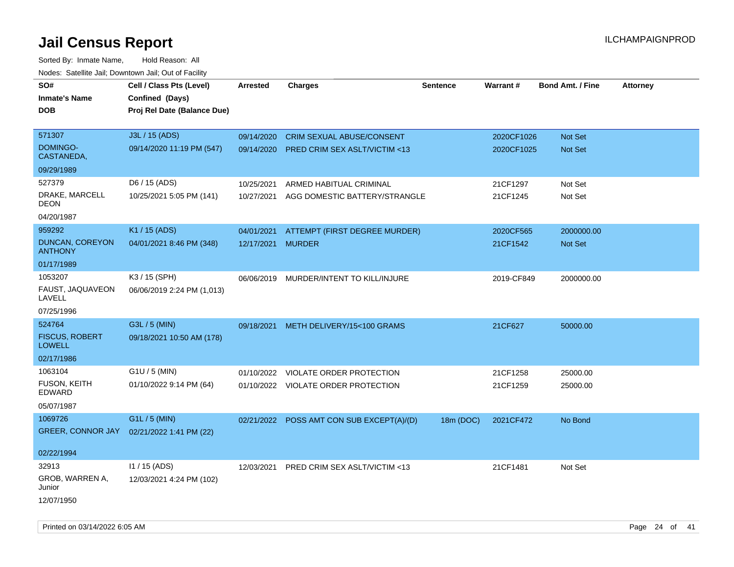Sorted By: Inmate Name, Hold Reason: All Nodes: Satellite Jail; Downtown Jail; Out of Facility

| roaco. Calcinio dan, Downtown dan, Out or Fability |                             |                   |                                           |                 |            |                         |                 |
|----------------------------------------------------|-----------------------------|-------------------|-------------------------------------------|-----------------|------------|-------------------------|-----------------|
| SO#                                                | Cell / Class Pts (Level)    | <b>Arrested</b>   | <b>Charges</b>                            | <b>Sentence</b> | Warrant#   | <b>Bond Amt. / Fine</b> | <b>Attorney</b> |
| <b>Inmate's Name</b>                               | Confined (Days)             |                   |                                           |                 |            |                         |                 |
| <b>DOB</b>                                         | Proj Rel Date (Balance Due) |                   |                                           |                 |            |                         |                 |
|                                                    |                             |                   |                                           |                 |            |                         |                 |
| 571307                                             | J3L / 15 (ADS)              | 09/14/2020        | <b>CRIM SEXUAL ABUSE/CONSENT</b>          |                 | 2020CF1026 | <b>Not Set</b>          |                 |
| <b>DOMINGO-</b><br>CASTANEDA,                      | 09/14/2020 11:19 PM (547)   |                   | 09/14/2020 PRED CRIM SEX ASLT/VICTIM <13  |                 | 2020CF1025 | Not Set                 |                 |
| 09/29/1989                                         |                             |                   |                                           |                 |            |                         |                 |
| 527379                                             | D6 / 15 (ADS)               | 10/25/2021        | ARMED HABITUAL CRIMINAL                   |                 | 21CF1297   | Not Set                 |                 |
| DRAKE, MARCELL<br><b>DEON</b>                      | 10/25/2021 5:05 PM (141)    | 10/27/2021        | AGG DOMESTIC BATTERY/STRANGLE             |                 | 21CF1245   | Not Set                 |                 |
| 04/20/1987                                         |                             |                   |                                           |                 |            |                         |                 |
| 959292                                             | K1 / 15 (ADS)               | 04/01/2021        | ATTEMPT (FIRST DEGREE MURDER)             |                 | 2020CF565  | 2000000.00              |                 |
| DUNCAN, COREYON<br><b>ANTHONY</b>                  | 04/01/2021 8:46 PM (348)    | 12/17/2021 MURDER |                                           |                 | 21CF1542   | <b>Not Set</b>          |                 |
| 01/17/1989                                         |                             |                   |                                           |                 |            |                         |                 |
| 1053207                                            | K3 / 15 (SPH)               | 06/06/2019        | MURDER/INTENT TO KILL/INJURE              |                 | 2019-CF849 | 2000000.00              |                 |
| FAUST, JAQUAVEON<br>LAVELL                         | 06/06/2019 2:24 PM (1,013)  |                   |                                           |                 |            |                         |                 |
| 07/25/1996                                         |                             |                   |                                           |                 |            |                         |                 |
| 524764                                             | G3L / 5 (MIN)               | 09/18/2021        | METH DELIVERY/15<100 GRAMS                |                 | 21CF627    | 50000.00                |                 |
| <b>FISCUS, ROBERT</b><br><b>LOWELL</b>             | 09/18/2021 10:50 AM (178)   |                   |                                           |                 |            |                         |                 |
| 02/17/1986                                         |                             |                   |                                           |                 |            |                         |                 |
| 1063104                                            | G1U / 5 (MIN)               | 01/10/2022        | VIOLATE ORDER PROTECTION                  |                 | 21CF1258   | 25000.00                |                 |
| FUSON, KEITH<br>EDWARD                             | 01/10/2022 9:14 PM (64)     |                   | 01/10/2022 VIOLATE ORDER PROTECTION       |                 | 21CF1259   | 25000.00                |                 |
| 05/07/1987                                         |                             |                   |                                           |                 |            |                         |                 |
| 1069726                                            | G1L / 5 (MIN)               |                   | 02/21/2022 POSS AMT CON SUB EXCEPT(A)/(D) | 18m (DOC)       | 2021CF472  | No Bond                 |                 |
| <b>GREER, CONNOR JAY</b>                           | 02/21/2022 1:41 PM (22)     |                   |                                           |                 |            |                         |                 |
|                                                    |                             |                   |                                           |                 |            |                         |                 |
| 02/22/1994                                         |                             |                   |                                           |                 |            |                         |                 |
| 32913                                              | $11 / 15$ (ADS)             |                   | 12/03/2021 PRED CRIM SEX ASLT/VICTIM <13  |                 | 21CF1481   | Not Set                 |                 |
| GROB, WARREN A,<br>Junior                          | 12/03/2021 4:24 PM (102)    |                   |                                           |                 |            |                         |                 |
| 12/07/1950                                         |                             |                   |                                           |                 |            |                         |                 |

Printed on 03/14/2022 6:05 AM Page 24 of 41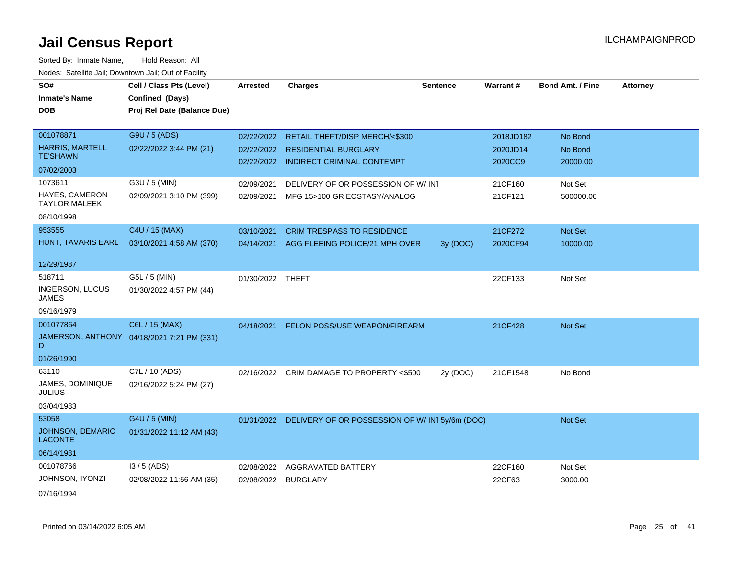| SO#                                       | Cell / Class Pts (Level)                   | <b>Arrested</b>  | <b>Charges</b>                                           | <b>Sentence</b> | <b>Warrant#</b> | <b>Bond Amt. / Fine</b> | <b>Attorney</b> |
|-------------------------------------------|--------------------------------------------|------------------|----------------------------------------------------------|-----------------|-----------------|-------------------------|-----------------|
| <b>Inmate's Name</b>                      | Confined (Days)                            |                  |                                                          |                 |                 |                         |                 |
| <b>DOB</b>                                | Proj Rel Date (Balance Due)                |                  |                                                          |                 |                 |                         |                 |
|                                           |                                            |                  |                                                          |                 |                 |                         |                 |
| 001078871                                 | G9U / 5 (ADS)                              |                  | 02/22/2022 RETAIL THEFT/DISP MERCH/<\$300                |                 | 2018JD182       | No Bond                 |                 |
| <b>HARRIS, MARTELL</b>                    | 02/22/2022 3:44 PM (21)                    |                  | 02/22/2022 RESIDENTIAL BURGLARY                          |                 | 2020JD14        | No Bond                 |                 |
| <b>TE'SHAWN</b>                           |                                            |                  | 02/22/2022 INDIRECT CRIMINAL CONTEMPT                    |                 | 2020CC9         | 20000.00                |                 |
| 07/02/2003                                |                                            |                  |                                                          |                 |                 |                         |                 |
| 1073611                                   | G3U / 5 (MIN)                              | 02/09/2021       | DELIVERY OF OR POSSESSION OF W/ INT                      |                 | 21CF160         | Not Set                 |                 |
| HAYES, CAMERON<br><b>TAYLOR MALEEK</b>    | 02/09/2021 3:10 PM (399)                   | 02/09/2021       | MFG 15>100 GR ECSTASY/ANALOG                             |                 | 21CF121         | 500000.00               |                 |
| 08/10/1998                                |                                            |                  |                                                          |                 |                 |                         |                 |
| 953555                                    | C4U / 15 (MAX)                             | 03/10/2021       | <b>CRIM TRESPASS TO RESIDENCE</b>                        |                 | 21CF272         | Not Set                 |                 |
| HUNT, TAVARIS EARL                        | 03/10/2021 4:58 AM (370)                   |                  | 04/14/2021 AGG FLEEING POLICE/21 MPH OVER                | 3y (DOC)        | 2020CF94        | 10000.00                |                 |
|                                           |                                            |                  |                                                          |                 |                 |                         |                 |
| 12/29/1987                                |                                            |                  |                                                          |                 |                 |                         |                 |
| 518711                                    | G5L / 5 (MIN)                              | 01/30/2022 THEFT |                                                          |                 | 22CF133         | Not Set                 |                 |
| INGERSON, LUCUS<br><b>JAMES</b>           | 01/30/2022 4:57 PM (44)                    |                  |                                                          |                 |                 |                         |                 |
| 09/16/1979                                |                                            |                  |                                                          |                 |                 |                         |                 |
| 001077864                                 | C6L / 15 (MAX)                             | 04/18/2021       | FELON POSS/USE WEAPON/FIREARM                            |                 | 21CF428         | Not Set                 |                 |
| D                                         | JAMERSON, ANTHONY 04/18/2021 7:21 PM (331) |                  |                                                          |                 |                 |                         |                 |
| 01/26/1990                                |                                            |                  |                                                          |                 |                 |                         |                 |
| 63110                                     | C7L / 10 (ADS)                             |                  | 02/16/2022 CRIM DAMAGE TO PROPERTY <\$500                | 2y (DOC)        | 21CF1548        | No Bond                 |                 |
| JAMES, DOMINIQUE<br><b>JULIUS</b>         | 02/16/2022 5:24 PM (27)                    |                  |                                                          |                 |                 |                         |                 |
| 03/04/1983                                |                                            |                  |                                                          |                 |                 |                         |                 |
| 53058                                     | G4U / 5 (MIN)                              |                  | 01/31/2022 DELIVERY OF OR POSSESSION OF W/IN15y/6m (DOC) |                 |                 | <b>Not Set</b>          |                 |
| <b>JOHNSON, DEMARIO</b><br><b>LACONTE</b> | 01/31/2022 11:12 AM (43)                   |                  |                                                          |                 |                 |                         |                 |
| 06/14/1981                                |                                            |                  |                                                          |                 |                 |                         |                 |
| 001078766                                 | $13/5$ (ADS)                               | 02/08/2022       | <b>AGGRAVATED BATTERY</b>                                |                 | 22CF160         | Not Set                 |                 |
| JOHNSON, IYONZI                           | 02/08/2022 11:56 AM (35)                   | 02/08/2022       | <b>BURGLARY</b>                                          |                 | 22CF63          | 3000.00                 |                 |
| 07/16/1994                                |                                            |                  |                                                          |                 |                 |                         |                 |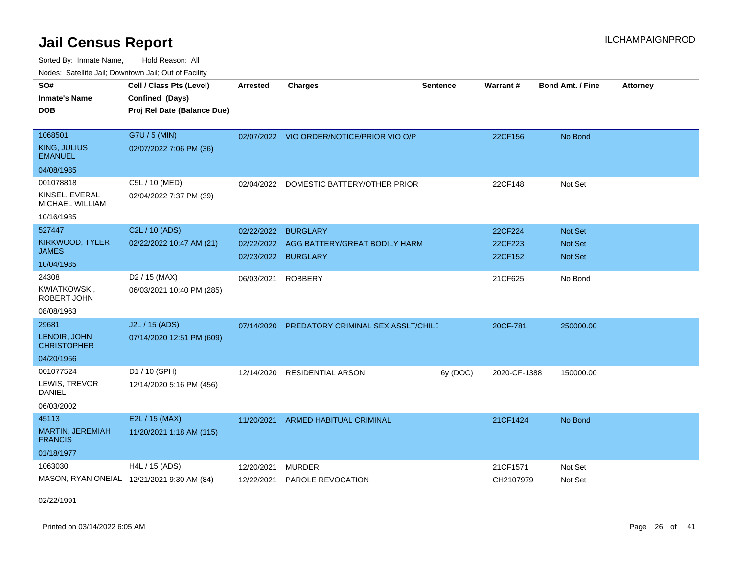Sorted By: Inmate Name, Hold Reason: All Nodes: Satellite Jail; Downtown Jail; Out of Facility

| SO#<br><b>Inmate's Name</b><br><b>DOB</b>                           | Cell / Class Pts (Level)<br>Confined (Days)<br>Proj Rel Date (Balance Due) | <b>Arrested</b>          | <b>Charges</b>                                                          | <b>Sentence</b> | Warrant#                      | <b>Bond Amt. / Fine</b>              | <b>Attorney</b> |
|---------------------------------------------------------------------|----------------------------------------------------------------------------|--------------------------|-------------------------------------------------------------------------|-----------------|-------------------------------|--------------------------------------|-----------------|
| 1068501<br>KING, JULIUS<br><b>EMANUEL</b><br>04/08/1985             | G7U / 5 (MIN)<br>02/07/2022 7:06 PM (36)                                   |                          | 02/07/2022 VIO ORDER/NOTICE/PRIOR VIO O/P                               |                 | 22CF156                       | No Bond                              |                 |
| 001078818<br>KINSEL, EVERAL<br><b>MICHAEL WILLIAM</b><br>10/16/1985 | C5L / 10 (MED)<br>02/04/2022 7:37 PM (39)                                  | 02/04/2022               | DOMESTIC BATTERY/OTHER PRIOR                                            |                 | 22CF148                       | Not Set                              |                 |
| 527447<br>KIRKWOOD, TYLER<br>JAMES<br>10/04/1985                    | C2L / 10 (ADS)<br>02/22/2022 10:47 AM (21)                                 | 02/22/2022<br>02/22/2022 | <b>BURGLARY</b><br>AGG BATTERY/GREAT BODILY HARM<br>02/23/2022 BURGLARY |                 | 22CF224<br>22CF223<br>22CF152 | <b>Not Set</b><br>Not Set<br>Not Set |                 |
| 24308<br><b>KWIATKOWSKI,</b><br>ROBERT JOHN<br>08/08/1963           | D <sub>2</sub> / 15 (MAX)<br>06/03/2021 10:40 PM (285)                     | 06/03/2021               | <b>ROBBERY</b>                                                          |                 | 21CF625                       | No Bond                              |                 |
| 29681<br>LENOIR, JOHN<br><b>CHRISTOPHER</b><br>04/20/1966           | J2L / 15 (ADS)<br>07/14/2020 12:51 PM (609)                                |                          | 07/14/2020 PREDATORY CRIMINAL SEX ASSLT/CHILD                           |                 | 20CF-781                      | 250000.00                            |                 |
| 001077524<br>LEWIS, TREVOR<br><b>DANIEL</b><br>06/03/2002           | D1 / 10 (SPH)<br>12/14/2020 5:16 PM (456)                                  | 12/14/2020               | <b>RESIDENTIAL ARSON</b>                                                | 6y (DOC)        | 2020-CF-1388                  | 150000.00                            |                 |
| 45113<br>MARTIN, JEREMIAH<br><b>FRANCIS</b><br>01/18/1977           | E2L / 15 (MAX)<br>11/20/2021 1:18 AM (115)                                 | 11/20/2021               | ARMED HABITUAL CRIMINAL                                                 |                 | 21CF1424                      | No Bond                              |                 |
| 1063030                                                             | H4L / 15 (ADS)<br>MASON, RYAN ONEIAL 12/21/2021 9:30 AM (84)               | 12/20/2021<br>12/22/2021 | <b>MURDER</b><br>PAROLE REVOCATION                                      |                 | 21CF1571<br>CH2107979         | Not Set<br>Not Set                   |                 |

02/22/1991

Printed on 03/14/2022 6:05 AM Page 26 of 41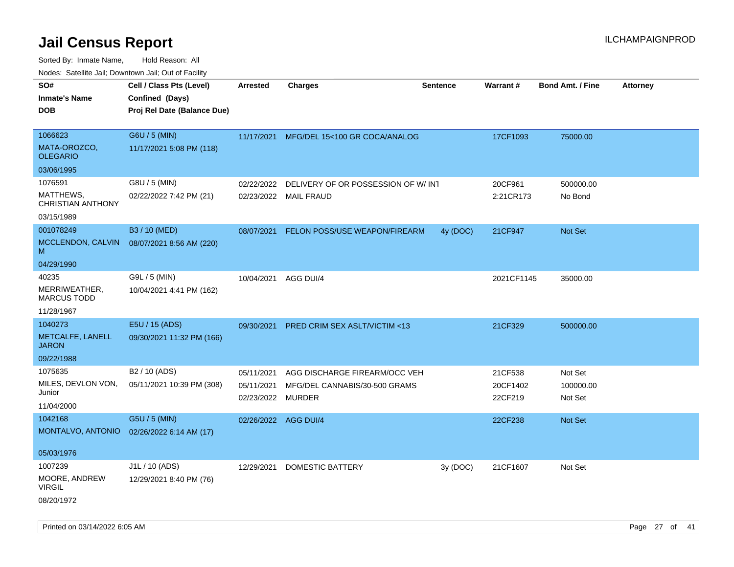| SO#                                   | Cell / Class Pts (Level)    | <b>Arrested</b>      | <b>Charges</b>                          | <b>Sentence</b> | Warrant#   | <b>Bond Amt. / Fine</b> | <b>Attorney</b> |
|---------------------------------------|-----------------------------|----------------------|-----------------------------------------|-----------------|------------|-------------------------|-----------------|
| <b>Inmate's Name</b>                  | Confined (Days)             |                      |                                         |                 |            |                         |                 |
| DOB                                   | Proj Rel Date (Balance Due) |                      |                                         |                 |            |                         |                 |
|                                       |                             |                      |                                         |                 |            |                         |                 |
| 1066623                               | G6U / 5 (MIN)               | 11/17/2021           | MFG/DEL 15<100 GR COCA/ANALOG           |                 | 17CF1093   | 75000.00                |                 |
| MATA-OROZCO,<br><b>OLEGARIO</b>       | 11/17/2021 5:08 PM (118)    |                      |                                         |                 |            |                         |                 |
| 03/06/1995                            |                             |                      |                                         |                 |            |                         |                 |
| 1076591                               | G8U / 5 (MIN)               | 02/22/2022           | DELIVERY OF OR POSSESSION OF W/INT      |                 | 20CF961    | 500000.00               |                 |
| MATTHEWS,<br><b>CHRISTIAN ANTHONY</b> | 02/22/2022 7:42 PM (21)     |                      | 02/23/2022 MAIL FRAUD                   |                 | 2:21CR173  | No Bond                 |                 |
| 03/15/1989                            |                             |                      |                                         |                 |            |                         |                 |
| 001078249                             | B3 / 10 (MED)               | 08/07/2021           | FELON POSS/USE WEAPON/FIREARM           | 4y (DOC)        | 21CF947    | Not Set                 |                 |
| MCCLENDON, CALVIN<br>M                | 08/07/2021 8:56 AM (220)    |                      |                                         |                 |            |                         |                 |
| 04/29/1990                            |                             |                      |                                         |                 |            |                         |                 |
| 40235                                 | G9L / 5 (MIN)               | 10/04/2021           | AGG DUI/4                               |                 | 2021CF1145 | 35000.00                |                 |
| MERRIWEATHER,<br><b>MARCUS TODD</b>   | 10/04/2021 4:41 PM (162)    |                      |                                         |                 |            |                         |                 |
| 11/28/1967                            |                             |                      |                                         |                 |            |                         |                 |
| 1040273                               | E5U / 15 (ADS)              | 09/30/2021           | <b>PRED CRIM SEX ASLT/VICTIM &lt;13</b> |                 | 21CF329    | 500000.00               |                 |
| METCALFE, LANELL<br><b>JARON</b>      | 09/30/2021 11:32 PM (166)   |                      |                                         |                 |            |                         |                 |
| 09/22/1988                            |                             |                      |                                         |                 |            |                         |                 |
| 1075635                               | B2 / 10 (ADS)               | 05/11/2021           | AGG DISCHARGE FIREARM/OCC VEH           |                 | 21CF538    | Not Set                 |                 |
| MILES, DEVLON VON,                    | 05/11/2021 10:39 PM (308)   | 05/11/2021           | MFG/DEL CANNABIS/30-500 GRAMS           |                 | 20CF1402   | 100000.00               |                 |
| Junior                                |                             | 02/23/2022           | <b>MURDER</b>                           |                 | 22CF219    | Not Set                 |                 |
| 11/04/2000                            |                             |                      |                                         |                 |            |                         |                 |
| 1042168                               | G5U / 5 (MIN)               | 02/26/2022 AGG DUI/4 |                                         |                 | 22CF238    | <b>Not Set</b>          |                 |
| MONTALVO, ANTONIO                     | 02/26/2022 6:14 AM (17)     |                      |                                         |                 |            |                         |                 |
| 05/03/1976                            |                             |                      |                                         |                 |            |                         |                 |
| 1007239                               | J1L / 10 (ADS)              | 12/29/2021           | <b>DOMESTIC BATTERY</b>                 | 3y(DOC)         | 21CF1607   | Not Set                 |                 |
| MOORE, ANDREW<br><b>VIRGIL</b>        | 12/29/2021 8:40 PM (76)     |                      |                                         |                 |            |                         |                 |
| 08/20/1972                            |                             |                      |                                         |                 |            |                         |                 |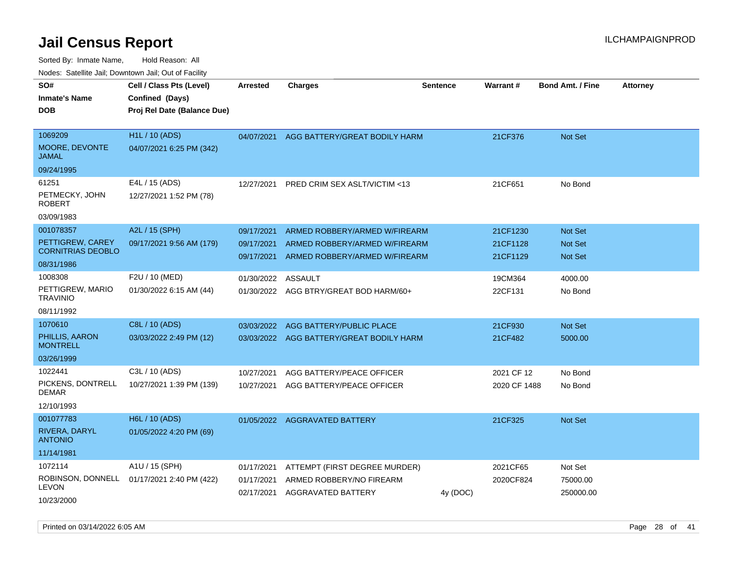Sorted By: Inmate Name, Hold Reason: All Nodes: Satellite Jail; Downtown Jail; Out of Facility

| roaco. Calcinio dan, Domnomi dan, Cal or Fability |                                                   |                          |                                                                |                 |                      |                                  |                 |
|---------------------------------------------------|---------------------------------------------------|--------------------------|----------------------------------------------------------------|-----------------|----------------------|----------------------------------|-----------------|
| SO#<br><b>Inmate's Name</b>                       | Cell / Class Pts (Level)<br>Confined (Days)       | <b>Arrested</b>          | <b>Charges</b>                                                 | <b>Sentence</b> | Warrant#             | <b>Bond Amt. / Fine</b>          | <b>Attorney</b> |
| DOB                                               | Proj Rel Date (Balance Due)                       |                          |                                                                |                 |                      |                                  |                 |
| 1069209<br>MOORE, DEVONTE                         | <b>H1L / 10 (ADS)</b><br>04/07/2021 6:25 PM (342) | 04/07/2021               | AGG BATTERY/GREAT BODILY HARM                                  |                 | 21CF376              | Not Set                          |                 |
| JAMAL                                             |                                                   |                          |                                                                |                 |                      |                                  |                 |
| 09/24/1995                                        |                                                   |                          |                                                                |                 |                      |                                  |                 |
| 61251                                             | E4L / 15 (ADS)                                    | 12/27/2021               | PRED CRIM SEX ASLT/VICTIM <13                                  |                 | 21CF651              | No Bond                          |                 |
| PETMECKY, JOHN<br>ROBERT                          | 12/27/2021 1:52 PM (78)                           |                          |                                                                |                 |                      |                                  |                 |
| 03/09/1983                                        |                                                   |                          |                                                                |                 |                      |                                  |                 |
| 001078357                                         | A2L / 15 (SPH)                                    | 09/17/2021               | ARMED ROBBERY/ARMED W/FIREARM                                  |                 | 21CF1230             | <b>Not Set</b>                   |                 |
| PETTIGREW, CAREY<br><b>CORNITRIAS DEOBLO</b>      | 09/17/2021 9:56 AM (179)                          | 09/17/2021<br>09/17/2021 | ARMED ROBBERY/ARMED W/FIREARM<br>ARMED ROBBERY/ARMED W/FIREARM |                 | 21CF1128<br>21CF1129 | <b>Not Set</b><br><b>Not Set</b> |                 |
| 08/31/1986                                        |                                                   |                          |                                                                |                 |                      |                                  |                 |
| 1008308                                           | F2U / 10 (MED)                                    | 01/30/2022               | ASSAULT                                                        |                 | 19CM364              | 4000.00                          |                 |
| PETTIGREW, MARIO<br>TRAVINIO                      | 01/30/2022 6:15 AM (44)                           |                          | 01/30/2022 AGG BTRY/GREAT BOD HARM/60+                         |                 | 22CF131              | No Bond                          |                 |
| 08/11/1992                                        |                                                   |                          |                                                                |                 |                      |                                  |                 |
| 1070610                                           | C8L / 10 (ADS)                                    | 03/03/2022               | AGG BATTERY/PUBLIC PLACE                                       |                 | 21CF930              | <b>Not Set</b>                   |                 |
| PHILLIS, AARON<br><b>MONTRELL</b>                 | 03/03/2022 2:49 PM (12)                           | 03/03/2022               | AGG BATTERY/GREAT BODILY HARM                                  |                 | 21CF482              | 5000.00                          |                 |
| 03/26/1999                                        |                                                   |                          |                                                                |                 |                      |                                  |                 |
| 1022441                                           | C3L / 10 (ADS)                                    | 10/27/2021               | AGG BATTERY/PEACE OFFICER                                      |                 | 2021 CF 12           | No Bond                          |                 |
| PICKENS, DONTRELL<br>DEMAR                        | 10/27/2021 1:39 PM (139)                          | 10/27/2021               | AGG BATTERY/PEACE OFFICER                                      |                 | 2020 CF 1488         | No Bond                          |                 |
| 12/10/1993                                        |                                                   |                          |                                                                |                 |                      |                                  |                 |
| 001077783                                         | H6L / 10 (ADS)                                    | 01/05/2022               | <b>AGGRAVATED BATTERY</b>                                      |                 | 21CF325              | <b>Not Set</b>                   |                 |
| RIVERA, DARYL<br><b>ANTONIO</b>                   | 01/05/2022 4:20 PM (69)                           |                          |                                                                |                 |                      |                                  |                 |
| 11/14/1981                                        |                                                   |                          |                                                                |                 |                      |                                  |                 |
| 1072114                                           | A1U / 15 (SPH)                                    | 01/17/2021               | ATTEMPT (FIRST DEGREE MURDER)                                  |                 | 2021CF65             | Not Set                          |                 |
| LEVON                                             | ROBINSON, DONNELL 01/17/2021 2:40 PM (422)        | 01/17/2021<br>02/17/2021 | ARMED ROBBERY/NO FIREARM<br>AGGRAVATED BATTERY                 | 4y (DOC)        | 2020CF824            | 75000.00<br>250000.00            |                 |
| 10/23/2000                                        |                                                   |                          |                                                                |                 |                      |                                  |                 |

Printed on 03/14/2022 6:05 AM Page 28 of 41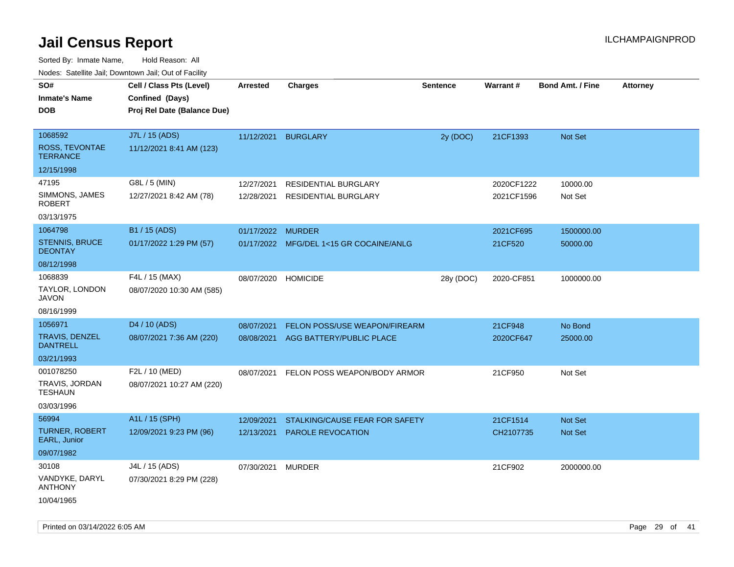|                                                                      | ivouss. Satellite Jali, Downtown Jali, Out of Facility                     |                          |                                                           |                 |                          |                                  |                 |
|----------------------------------------------------------------------|----------------------------------------------------------------------------|--------------------------|-----------------------------------------------------------|-----------------|--------------------------|----------------------------------|-----------------|
| SO#<br>Inmate's Name<br><b>DOB</b>                                   | Cell / Class Pts (Level)<br>Confined (Days)<br>Proj Rel Date (Balance Due) | Arrested                 | <b>Charges</b>                                            | <b>Sentence</b> | <b>Warrant#</b>          | <b>Bond Amt. / Fine</b>          | <b>Attorney</b> |
| 1068592<br>ROSS, TEVONTAE<br><b>TERRANCE</b>                         | J7L / 15 (ADS)<br>11/12/2021 8:41 AM (123)                                 | 11/12/2021               | <b>BURGLARY</b>                                           | 2y (DOC)        | 21CF1393                 | Not Set                          |                 |
| 12/15/1998<br>47195<br>SIMMONS, JAMES<br><b>ROBERT</b><br>03/13/1975 | G8L / 5 (MIN)<br>12/27/2021 8:42 AM (78)                                   | 12/27/2021<br>12/28/2021 | RESIDENTIAL BURGLARY<br><b>RESIDENTIAL BURGLARY</b>       |                 | 2020CF1222<br>2021CF1596 | 10000.00<br>Not Set              |                 |
| 1064798<br><b>STENNIS, BRUCE</b><br><b>DEONTAY</b><br>08/12/1998     | B1 / 15 (ADS)<br>01/17/2022 1:29 PM (57)                                   | 01/17/2022 MURDER        | 01/17/2022 MFG/DEL 1<15 GR COCAINE/ANLG                   |                 | 2021CF695<br>21CF520     | 1500000.00<br>50000.00           |                 |
| 1068839<br>TAYLOR, LONDON<br>JAVON<br>08/16/1999                     | F4L / 15 (MAX)<br>08/07/2020 10:30 AM (585)                                | 08/07/2020               | <b>HOMICIDE</b>                                           | 28y (DOC)       | 2020-CF851               | 1000000.00                       |                 |
| 1056971<br>TRAVIS, DENZEL<br><b>DANTRELL</b><br>03/21/1993           | D <sub>4</sub> / 10 (ADS)<br>08/07/2021 7:36 AM (220)                      | 08/07/2021<br>08/08/2021 | FELON POSS/USE WEAPON/FIREARM<br>AGG BATTERY/PUBLIC PLACE |                 | 21CF948<br>2020CF647     | No Bond<br>25000.00              |                 |
| 001078250<br>TRAVIS, JORDAN<br>TESHAUN<br>03/03/1996                 | F2L / 10 (MED)<br>08/07/2021 10:27 AM (220)                                | 08/07/2021               | FELON POSS WEAPON/BODY ARMOR                              |                 | 21CF950                  | Not Set                          |                 |
| 56994<br>TURNER, ROBERT<br>EARL, Junior<br>09/07/1982                | A1L / 15 (SPH)<br>12/09/2021 9:23 PM (96)                                  | 12/09/2021<br>12/13/2021 | STALKING/CAUSE FEAR FOR SAFETY<br>PAROLE REVOCATION       |                 | 21CF1514<br>CH2107735    | <b>Not Set</b><br><b>Not Set</b> |                 |
| 30108<br>VANDYKE, DARYL<br><b>ANTHONY</b><br>10/04/1965              | J4L / 15 (ADS)<br>07/30/2021 8:29 PM (228)                                 | 07/30/2021               | <b>MURDER</b>                                             |                 | 21CF902                  | 2000000.00                       |                 |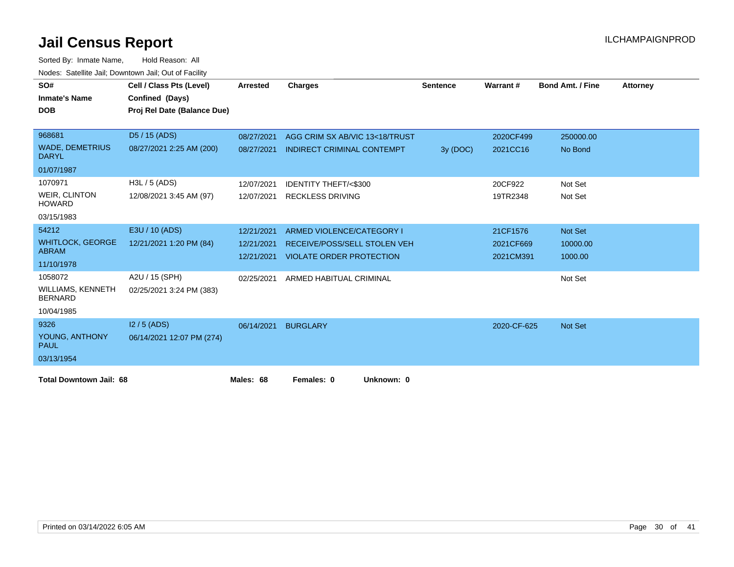| SO#<br><b>Inmate's Name</b>            | Cell / Class Pts (Level)<br>Confined (Days) | Arrested   | <b>Charges</b>                      | <b>Sentence</b> | Warrant#    | <b>Bond Amt. / Fine</b> | Attorney |
|----------------------------------------|---------------------------------------------|------------|-------------------------------------|-----------------|-------------|-------------------------|----------|
| <b>DOB</b>                             | Proj Rel Date (Balance Due)                 |            |                                     |                 |             |                         |          |
|                                        |                                             |            |                                     |                 |             |                         |          |
| 968681                                 | D5 / 15 (ADS)                               | 08/27/2021 | AGG CRIM SX AB/VIC 13<18/TRUST      |                 | 2020CF499   | 250000.00               |          |
| <b>WADE, DEMETRIUS</b><br><b>DARYL</b> | 08/27/2021 2:25 AM (200)                    | 08/27/2021 | <b>INDIRECT CRIMINAL CONTEMPT</b>   | 3y (DOC)        | 2021CC16    | No Bond                 |          |
| 01/07/1987                             |                                             |            |                                     |                 |             |                         |          |
| 1070971                                | $H3L / 5$ (ADS)                             | 12/07/2021 | <b>IDENTITY THEFT/&lt;\$300</b>     |                 | 20CF922     | Not Set                 |          |
| <b>WEIR, CLINTON</b><br><b>HOWARD</b>  | 12/08/2021 3:45 AM (97)                     | 12/07/2021 | <b>RECKLESS DRIVING</b>             |                 | 19TR2348    | Not Set                 |          |
| 03/15/1983                             |                                             |            |                                     |                 |             |                         |          |
| 54212                                  | E3U / 10 (ADS)                              | 12/21/2021 | ARMED VIOLENCE/CATEGORY I           |                 | 21CF1576    | <b>Not Set</b>          |          |
| <b>WHITLOCK, GEORGE</b>                | 12/21/2021 1:20 PM (84)                     | 12/21/2021 | <b>RECEIVE/POSS/SELL STOLEN VEH</b> |                 | 2021CF669   | 10000.00                |          |
| <b>ABRAM</b>                           |                                             | 12/21/2021 | <b>VIOLATE ORDER PROTECTION</b>     |                 | 2021CM391   | 1000.00                 |          |
| 11/10/1978                             |                                             |            |                                     |                 |             |                         |          |
| 1058072                                | A2U / 15 (SPH)                              | 02/25/2021 | ARMED HABITUAL CRIMINAL             |                 |             | Not Set                 |          |
| WILLIAMS, KENNETH<br><b>BERNARD</b>    | 02/25/2021 3:24 PM (383)                    |            |                                     |                 |             |                         |          |
| 10/04/1985                             |                                             |            |                                     |                 |             |                         |          |
| 9326                                   | $12/5$ (ADS)                                | 06/14/2021 | <b>BURGLARY</b>                     |                 | 2020-CF-625 | <b>Not Set</b>          |          |
| YOUNG, ANTHONY<br><b>PAUL</b>          | 06/14/2021 12:07 PM (274)                   |            |                                     |                 |             |                         |          |
| 03/13/1954                             |                                             |            |                                     |                 |             |                         |          |
| <b>Total Downtown Jail: 68</b>         |                                             | Males: 68  | Females: 0<br>Unknown: 0            |                 |             |                         |          |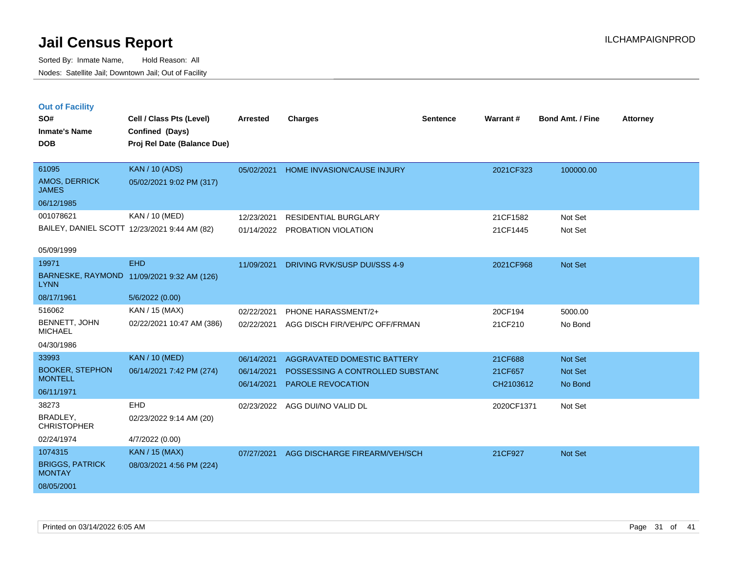|  | <b>Out of Facility</b> |  |
|--|------------------------|--|
|  |                        |  |

| SO#<br><b>Inmate's Name</b>              | Cell / Class Pts (Level)<br>Confined (Days)  | <b>Arrested</b> | <b>Charges</b>                     | <b>Sentence</b> | <b>Warrant#</b> | <b>Bond Amt. / Fine</b> | <b>Attorney</b> |
|------------------------------------------|----------------------------------------------|-----------------|------------------------------------|-----------------|-----------------|-------------------------|-----------------|
| <b>DOB</b>                               | Proj Rel Date (Balance Due)                  |                 |                                    |                 |                 |                         |                 |
|                                          |                                              |                 |                                    |                 |                 |                         |                 |
| 61095                                    | <b>KAN / 10 (ADS)</b>                        | 05/02/2021      | HOME INVASION/CAUSE INJURY         |                 | 2021CF323       | 100000.00               |                 |
| AMOS, DERRICK<br><b>JAMES</b>            | 05/02/2021 9:02 PM (317)                     |                 |                                    |                 |                 |                         |                 |
| 06/12/1985                               |                                              |                 |                                    |                 |                 |                         |                 |
| 001078621                                | KAN / 10 (MED)                               | 12/23/2021      | <b>RESIDENTIAL BURGLARY</b>        |                 | 21CF1582        | Not Set                 |                 |
|                                          | BAILEY, DANIEL SCOTT 12/23/2021 9:44 AM (82) | 01/14/2022      | PROBATION VIOLATION                |                 | 21CF1445        | Not Set                 |                 |
| 05/09/1999                               |                                              |                 |                                    |                 |                 |                         |                 |
| 19971                                    | <b>EHD</b>                                   | 11/09/2021      | DRIVING RVK/SUSP DUI/SSS 4-9       |                 | 2021CF968       | Not Set                 |                 |
| <b>LYNN</b>                              | BARNESKE, RAYMOND 11/09/2021 9:32 AM (126)   |                 |                                    |                 |                 |                         |                 |
| 08/17/1961                               | 5/6/2022 (0.00)                              |                 |                                    |                 |                 |                         |                 |
| 516062                                   | KAN / 15 (MAX)                               | 02/22/2021      | PHONE HARASSMENT/2+                |                 | 20CF194         | 5000.00                 |                 |
| <b>BENNETT, JOHN</b><br><b>MICHAEL</b>   | 02/22/2021 10:47 AM (386)                    | 02/22/2021      | AGG DISCH FIR/VEH/PC OFF/FRMAN     |                 | 21CF210         | No Bond                 |                 |
| 04/30/1986                               |                                              |                 |                                    |                 |                 |                         |                 |
| 33993                                    | <b>KAN / 10 (MED)</b>                        | 06/14/2021      | <b>AGGRAVATED DOMESTIC BATTERY</b> |                 | 21CF688         | Not Set                 |                 |
| <b>BOOKER, STEPHON</b><br><b>MONTELL</b> | 06/14/2021 7:42 PM (274)                     | 06/14/2021      | POSSESSING A CONTROLLED SUBSTANC   |                 | 21CF657         | Not Set                 |                 |
| 06/11/1971                               |                                              | 06/14/2021      | PAROLE REVOCATION                  |                 | CH2103612       | No Bond                 |                 |
| 38273                                    | EHD                                          |                 | AGG DUI/NO VALID DL                |                 | 2020CF1371      | Not Set                 |                 |
| BRADLEY,                                 | 02/23/2022 9:14 AM (20)                      | 02/23/2022      |                                    |                 |                 |                         |                 |
| <b>CHRISTOPHER</b>                       |                                              |                 |                                    |                 |                 |                         |                 |
| 02/24/1974                               | 4/7/2022 (0.00)                              |                 |                                    |                 |                 |                         |                 |
| 1074315                                  | <b>KAN / 15 (MAX)</b>                        | 07/27/2021      | AGG DISCHARGE FIREARM/VEH/SCH      |                 | 21CF927         | Not Set                 |                 |
| <b>BRIGGS, PATRICK</b><br><b>MONTAY</b>  | 08/03/2021 4:56 PM (224)                     |                 |                                    |                 |                 |                         |                 |
| 08/05/2001                               |                                              |                 |                                    |                 |                 |                         |                 |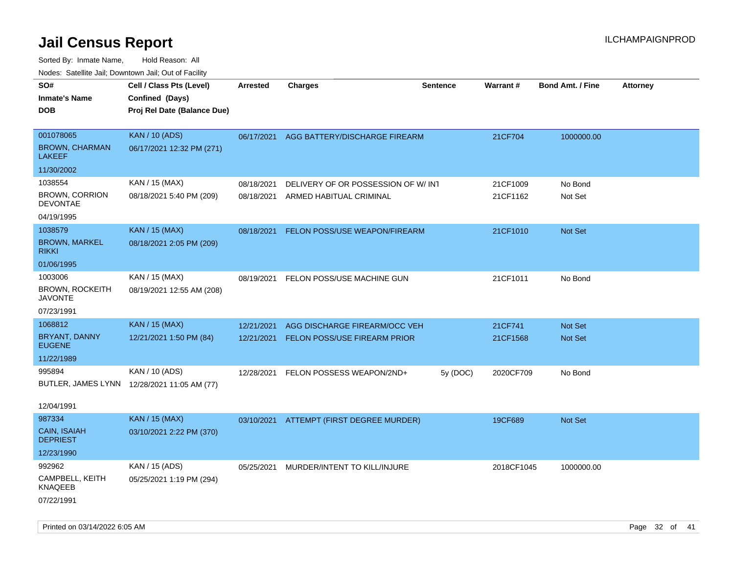| rouco. Calcinic Jan, Downtown Jan, Out of Facility |                                             |                 |                                          |                 |            |                         |                 |
|----------------------------------------------------|---------------------------------------------|-----------------|------------------------------------------|-----------------|------------|-------------------------|-----------------|
| SO#                                                | Cell / Class Pts (Level)                    | <b>Arrested</b> | <b>Charges</b>                           | <b>Sentence</b> | Warrant#   | <b>Bond Amt. / Fine</b> | <b>Attorney</b> |
| <b>Inmate's Name</b>                               | Confined (Days)                             |                 |                                          |                 |            |                         |                 |
| DOB                                                | Proj Rel Date (Balance Due)                 |                 |                                          |                 |            |                         |                 |
|                                                    |                                             |                 |                                          |                 |            |                         |                 |
| 001078065                                          | <b>KAN / 10 (ADS)</b>                       |                 | 06/17/2021 AGG BATTERY/DISCHARGE FIREARM |                 | 21CF704    | 1000000.00              |                 |
| <b>BROWN, CHARMAN</b><br>LAKEEF                    | 06/17/2021 12:32 PM (271)                   |                 |                                          |                 |            |                         |                 |
| 11/30/2002                                         |                                             |                 |                                          |                 |            |                         |                 |
| 1038554                                            | KAN / 15 (MAX)                              | 08/18/2021      | DELIVERY OF OR POSSESSION OF W/INT       |                 | 21CF1009   | No Bond                 |                 |
| <b>BROWN, CORRION</b><br>DEVONTAE                  | 08/18/2021 5:40 PM (209)                    | 08/18/2021      | ARMED HABITUAL CRIMINAL                  |                 | 21CF1162   | Not Set                 |                 |
| 04/19/1995                                         |                                             |                 |                                          |                 |            |                         |                 |
| 1038579                                            | <b>KAN / 15 (MAX)</b>                       | 08/18/2021      | FELON POSS/USE WEAPON/FIREARM            |                 | 21CF1010   | Not Set                 |                 |
| <b>BROWN, MARKEL</b><br>rikki                      | 08/18/2021 2:05 PM (209)                    |                 |                                          |                 |            |                         |                 |
| 01/06/1995                                         |                                             |                 |                                          |                 |            |                         |                 |
| 1003006                                            | KAN / 15 (MAX)                              | 08/19/2021      | FELON POSS/USE MACHINE GUN               |                 | 21CF1011   | No Bond                 |                 |
| BROWN, ROCKEITH<br>JAVONTE                         | 08/19/2021 12:55 AM (208)                   |                 |                                          |                 |            |                         |                 |
| 07/23/1991                                         |                                             |                 |                                          |                 |            |                         |                 |
| 1068812                                            | <b>KAN / 15 (MAX)</b>                       | 12/21/2021      | AGG DISCHARGE FIREARM/OCC VEH            |                 | 21CF741    | <b>Not Set</b>          |                 |
| BRYANT, DANNY<br><b>EUGENE</b>                     | 12/21/2021 1:50 PM (84)                     | 12/21/2021      | <b>FELON POSS/USE FIREARM PRIOR</b>      |                 | 21CF1568   | Not Set                 |                 |
| 11/22/1989                                         |                                             |                 |                                          |                 |            |                         |                 |
| 995894                                             | KAN / 10 (ADS)                              | 12/28/2021      | FELON POSSESS WEAPON/2ND+                | 5y (DOC)        | 2020CF709  | No Bond                 |                 |
|                                                    | BUTLER, JAMES LYNN 12/28/2021 11:05 AM (77) |                 |                                          |                 |            |                         |                 |
|                                                    |                                             |                 |                                          |                 |            |                         |                 |
| 12/04/1991                                         |                                             |                 |                                          |                 |            |                         |                 |
| 987334                                             | <b>KAN / 15 (MAX)</b>                       |                 | 03/10/2021 ATTEMPT (FIRST DEGREE MURDER) |                 | 19CF689    | Not Set                 |                 |
| <b>CAIN, ISAIAH</b><br><b>DEPRIEST</b>             | 03/10/2021 2:22 PM (370)                    |                 |                                          |                 |            |                         |                 |
| 12/23/1990                                         |                                             |                 |                                          |                 |            |                         |                 |
| 992962                                             | KAN / 15 (ADS)                              | 05/25/2021      | MURDER/INTENT TO KILL/INJURE             |                 | 2018CF1045 | 1000000.00              |                 |
| CAMPBELL, KEITH<br>KNAQEEB                         | 05/25/2021 1:19 PM (294)                    |                 |                                          |                 |            |                         |                 |
| 07/22/1991                                         |                                             |                 |                                          |                 |            |                         |                 |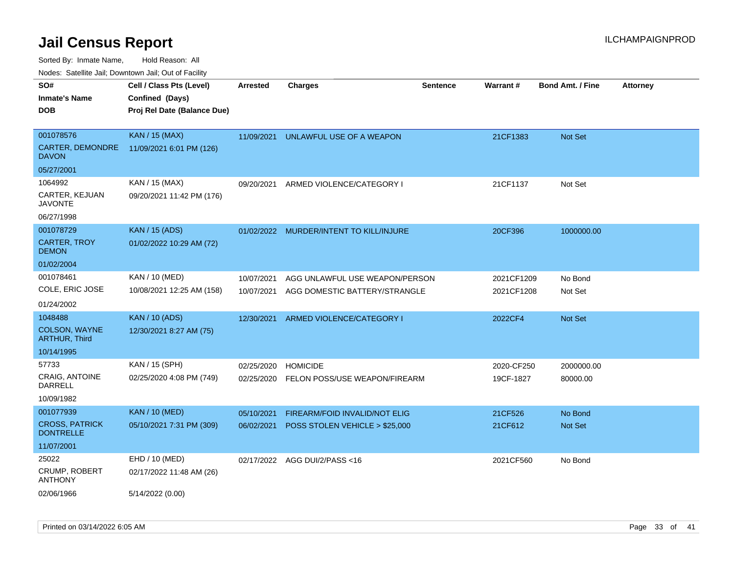Sorted By: Inmate Name, Hold Reason: All

Nodes: Satellite Jail; Downtown Jail; Out of Facility

| SO#                                       | Cell / Class Pts (Level)    | <b>Arrested</b> | <b>Charges</b>                       | <b>Sentence</b> | Warrant#   | <b>Bond Amt. / Fine</b> | <b>Attorney</b> |
|-------------------------------------------|-----------------------------|-----------------|--------------------------------------|-----------------|------------|-------------------------|-----------------|
| <b>Inmate's Name</b>                      | Confined (Days)             |                 |                                      |                 |            |                         |                 |
| <b>DOB</b>                                | Proj Rel Date (Balance Due) |                 |                                      |                 |            |                         |                 |
|                                           |                             |                 |                                      |                 |            |                         |                 |
| 001078576                                 | <b>KAN / 15 (MAX)</b>       | 11/09/2021      | UNLAWFUL USE OF A WEAPON             |                 | 21CF1383   | Not Set                 |                 |
| CARTER, DEMONDRE<br><b>DAVON</b>          | 11/09/2021 6:01 PM (126)    |                 |                                      |                 |            |                         |                 |
| 05/27/2001                                |                             |                 |                                      |                 |            |                         |                 |
| 1064992                                   | KAN / 15 (MAX)              | 09/20/2021      | ARMED VIOLENCE/CATEGORY I            |                 | 21CF1137   | Not Set                 |                 |
| CARTER, KEJUAN<br><b>JAVONTE</b>          | 09/20/2021 11:42 PM (176)   |                 |                                      |                 |            |                         |                 |
| 06/27/1998                                |                             |                 |                                      |                 |            |                         |                 |
| 001078729                                 | <b>KAN / 15 (ADS)</b>       | 01/02/2022      | MURDER/INTENT TO KILL/INJURE         |                 | 20CF396    | 1000000.00              |                 |
| <b>CARTER, TROY</b><br><b>DEMON</b>       | 01/02/2022 10:29 AM (72)    |                 |                                      |                 |            |                         |                 |
| 01/02/2004                                |                             |                 |                                      |                 |            |                         |                 |
| 001078461                                 | KAN / 10 (MED)              | 10/07/2021      | AGG UNLAWFUL USE WEAPON/PERSON       |                 | 2021CF1209 | No Bond                 |                 |
| COLE, ERIC JOSE                           | 10/08/2021 12:25 AM (158)   | 10/07/2021      | AGG DOMESTIC BATTERY/STRANGLE        |                 | 2021CF1208 | Not Set                 |                 |
| 01/24/2002                                |                             |                 |                                      |                 |            |                         |                 |
| 1048488                                   | <b>KAN / 10 (ADS)</b>       | 12/30/2021      | ARMED VIOLENCE/CATEGORY I            |                 | 2022CF4    | Not Set                 |                 |
| COLSON, WAYNE<br><b>ARTHUR, Third</b>     | 12/30/2021 8:27 AM (75)     |                 |                                      |                 |            |                         |                 |
| 10/14/1995                                |                             |                 |                                      |                 |            |                         |                 |
| 57733                                     | KAN / 15 (SPH)              | 02/25/2020      | <b>HOMICIDE</b>                      |                 | 2020-CF250 | 2000000.00              |                 |
| CRAIG, ANTOINE<br><b>DARRELL</b>          | 02/25/2020 4:08 PM (749)    | 02/25/2020      | FELON POSS/USE WEAPON/FIREARM        |                 | 19CF-1827  | 80000.00                |                 |
| 10/09/1982                                |                             |                 |                                      |                 |            |                         |                 |
| 001077939                                 | <b>KAN / 10 (MED)</b>       | 05/10/2021      | <b>FIREARM/FOID INVALID/NOT ELIG</b> |                 | 21CF526    | No Bond                 |                 |
| <b>CROSS, PATRICK</b><br><b>DONTRELLE</b> | 05/10/2021 7:31 PM (309)    | 06/02/2021      | POSS STOLEN VEHICLE > \$25,000       |                 | 21CF612    | Not Set                 |                 |
| 11/07/2001                                |                             |                 |                                      |                 |            |                         |                 |
| 25022                                     | EHD / 10 (MED)              |                 | 02/17/2022 AGG DUI/2/PASS<16         |                 | 2021CF560  | No Bond                 |                 |
| CRUMP, ROBERT<br><b>ANTHONY</b>           | 02/17/2022 11:48 AM (26)    |                 |                                      |                 |            |                         |                 |
| 02/06/1966                                | 5/14/2022 (0.00)            |                 |                                      |                 |            |                         |                 |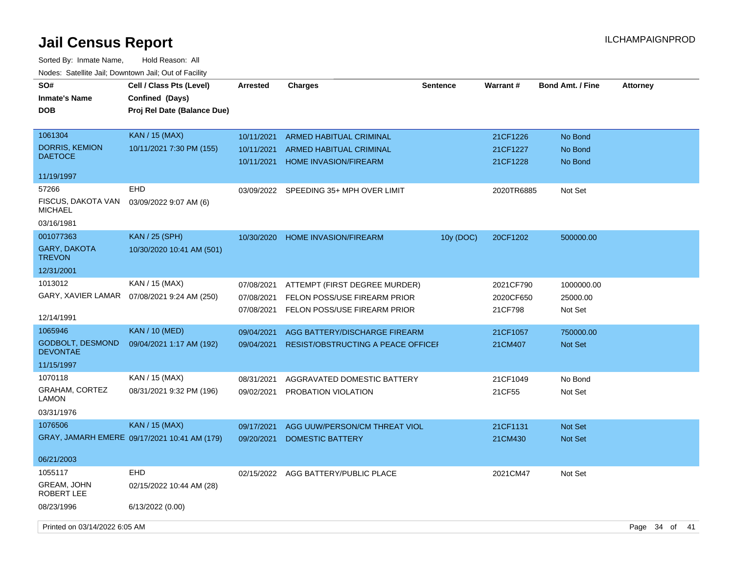| SO#<br><b>Inmate's Name</b><br><b>DOB</b>  | Cell / Class Pts (Level)<br>Confined (Days)<br>Proj Rel Date (Balance Due) | <b>Arrested</b>          | <b>Charges</b>                                                 | <b>Sentence</b> | Warrant#             | <b>Bond Amt. / Fine</b> | <b>Attorney</b>  |
|--------------------------------------------|----------------------------------------------------------------------------|--------------------------|----------------------------------------------------------------|-----------------|----------------------|-------------------------|------------------|
| 1061304                                    | <b>KAN / 15 (MAX)</b>                                                      | 10/11/2021               | <b>ARMED HABITUAL CRIMINAL</b>                                 |                 | 21CF1226             | No Bond                 |                  |
| <b>DORRIS, KEMION</b><br><b>DAETOCE</b>    | 10/11/2021 7:30 PM (155)                                                   | 10/11/2021<br>10/11/2021 | <b>ARMED HABITUAL CRIMINAL</b><br><b>HOME INVASION/FIREARM</b> |                 | 21CF1227<br>21CF1228 | No Bond<br>No Bond      |                  |
| 11/19/1997                                 |                                                                            |                          |                                                                |                 |                      |                         |                  |
| 57266                                      | <b>EHD</b>                                                                 | 03/09/2022               | SPEEDING 35+ MPH OVER LIMIT                                    |                 | 2020TR6885           | Not Set                 |                  |
| FISCUS, DAKOTA VAN<br><b>MICHAEL</b>       | 03/09/2022 9:07 AM (6)                                                     |                          |                                                                |                 |                      |                         |                  |
| 03/16/1981                                 |                                                                            |                          |                                                                |                 |                      |                         |                  |
| 001077363                                  | <b>KAN / 25 (SPH)</b>                                                      | 10/30/2020               | <b>HOME INVASION/FIREARM</b>                                   | 10y (DOC)       | 20CF1202             | 500000.00               |                  |
| GARY, DAKOTA<br><b>TREVON</b>              | 10/30/2020 10:41 AM (501)                                                  |                          |                                                                |                 |                      |                         |                  |
| 12/31/2001                                 |                                                                            |                          |                                                                |                 |                      |                         |                  |
| 1013012                                    | KAN / 15 (MAX)                                                             | 07/08/2021               | ATTEMPT (FIRST DEGREE MURDER)                                  |                 | 2021CF790            | 1000000.00              |                  |
| GARY, XAVIER LAMAR                         | 07/08/2021 9:24 AM (250)                                                   | 07/08/2021               | FELON POSS/USE FIREARM PRIOR                                   |                 | 2020CF650            | 25000.00                |                  |
| 12/14/1991                                 |                                                                            | 07/08/2021               | FELON POSS/USE FIREARM PRIOR                                   |                 | 21CF798              | Not Set                 |                  |
| 1065946                                    | <b>KAN</b> / 10 (MED)                                                      | 09/04/2021               | AGG BATTERY/DISCHARGE FIREARM                                  |                 | 21CF1057             | 750000.00               |                  |
| <b>GODBOLT, DESMOND</b><br><b>DEVONTAE</b> | 09/04/2021 1:17 AM (192)                                                   | 09/04/2021               | RESIST/OBSTRUCTING A PEACE OFFICEI                             |                 | 21CM407              | <b>Not Set</b>          |                  |
| 11/15/1997                                 |                                                                            |                          |                                                                |                 |                      |                         |                  |
| 1070118                                    | KAN / 15 (MAX)                                                             | 08/31/2021               | AGGRAVATED DOMESTIC BATTERY                                    |                 | 21CF1049             | No Bond                 |                  |
| <b>GRAHAM, CORTEZ</b><br>LAMON             | 08/31/2021 9:32 PM (196)                                                   | 09/02/2021               | PROBATION VIOLATION                                            |                 | 21CF55               | Not Set                 |                  |
| 03/31/1976                                 |                                                                            |                          |                                                                |                 |                      |                         |                  |
| 1076506                                    | <b>KAN / 15 (MAX)</b>                                                      | 09/17/2021               | AGG UUW/PERSON/CM THREAT VIOL                                  |                 | 21CF1131             | <b>Not Set</b>          |                  |
|                                            | GRAY, JAMARH EMERE 09/17/2021 10:41 AM (179)                               | 09/20/2021               | <b>DOMESTIC BATTERY</b>                                        |                 | 21CM430              | Not Set                 |                  |
| 06/21/2003                                 |                                                                            |                          |                                                                |                 |                      |                         |                  |
| 1055117                                    | <b>EHD</b>                                                                 | 02/15/2022               | AGG BATTERY/PUBLIC PLACE                                       |                 | 2021CM47             | Not Set                 |                  |
| GREAM, JOHN<br>ROBERT LEE                  | 02/15/2022 10:44 AM (28)                                                   |                          |                                                                |                 |                      |                         |                  |
| 08/23/1996                                 | 6/13/2022 (0.00)                                                           |                          |                                                                |                 |                      |                         |                  |
| Printed on 03/14/2022 6:05 AM              |                                                                            |                          |                                                                |                 |                      |                         | Page 34 of<br>41 |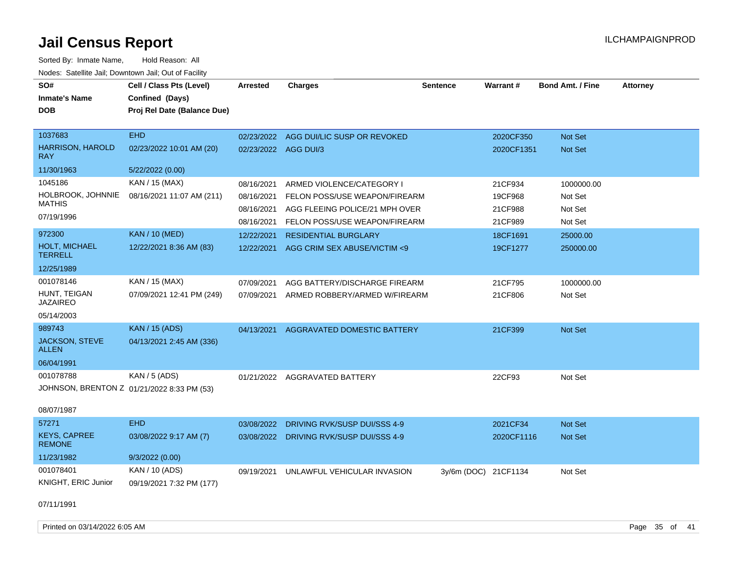| SO#                                   | Cell / Class Pts (Level)                   |                      | <b>Charges</b>                          | <b>Sentence</b>      | Warrant#   | <b>Bond Amt. / Fine</b> | <b>Attorney</b> |
|---------------------------------------|--------------------------------------------|----------------------|-----------------------------------------|----------------------|------------|-------------------------|-----------------|
|                                       |                                            | Arrested             |                                         |                      |            |                         |                 |
| <b>Inmate's Name</b>                  | Confined (Days)                            |                      |                                         |                      |            |                         |                 |
| <b>DOB</b>                            | Proj Rel Date (Balance Due)                |                      |                                         |                      |            |                         |                 |
| 1037683                               | <b>EHD</b>                                 |                      |                                         |                      |            |                         |                 |
|                                       |                                            |                      | 02/23/2022 AGG DUI/LIC SUSP OR REVOKED  |                      | 2020CF350  | Not Set                 |                 |
| <b>HARRISON, HAROLD</b><br><b>RAY</b> | 02/23/2022 10:01 AM (20)                   | 02/23/2022 AGG DUI/3 |                                         |                      | 2020CF1351 | Not Set                 |                 |
| 11/30/1963                            | 5/22/2022 (0.00)                           |                      |                                         |                      |            |                         |                 |
| 1045186                               | KAN / 15 (MAX)                             | 08/16/2021           | ARMED VIOLENCE/CATEGORY I               |                      | 21CF934    | 1000000.00              |                 |
| HOLBROOK, JOHNNIE                     | 08/16/2021 11:07 AM (211)                  | 08/16/2021           | FELON POSS/USE WEAPON/FIREARM           |                      | 19CF968    | Not Set                 |                 |
| <b>MATHIS</b>                         |                                            | 08/16/2021           | AGG FLEEING POLICE/21 MPH OVER          |                      | 21CF988    | Not Set                 |                 |
| 07/19/1996                            |                                            | 08/16/2021           | FELON POSS/USE WEAPON/FIREARM           |                      | 21CF989    | Not Set                 |                 |
| 972300                                | <b>KAN / 10 (MED)</b>                      | 12/22/2021           | <b>RESIDENTIAL BURGLARY</b>             |                      | 18CF1691   | 25000.00                |                 |
| HOLT, MICHAEL<br><b>TERRELL</b>       | 12/22/2021 8:36 AM (83)                    | 12/22/2021           | AGG CRIM SEX ABUSE/VICTIM <9            |                      | 19CF1277   | 250000.00               |                 |
| 12/25/1989                            |                                            |                      |                                         |                      |            |                         |                 |
| 001078146                             | KAN / 15 (MAX)                             | 07/09/2021           | AGG BATTERY/DISCHARGE FIREARM           |                      | 21CF795    | 1000000.00              |                 |
| HUNT, TEIGAN<br><b>JAZAIREO</b>       | 07/09/2021 12:41 PM (249)                  | 07/09/2021           | ARMED ROBBERY/ARMED W/FIREARM           |                      | 21CF806    | Not Set                 |                 |
| 05/14/2003                            |                                            |                      |                                         |                      |            |                         |                 |
| 989743                                | <b>KAN / 15 (ADS)</b>                      | 04/13/2021           | AGGRAVATED DOMESTIC BATTERY             |                      | 21CF399    | Not Set                 |                 |
| JACKSON, STEVE<br><b>ALLEN</b>        | 04/13/2021 2:45 AM (336)                   |                      |                                         |                      |            |                         |                 |
| 06/04/1991                            |                                            |                      |                                         |                      |            |                         |                 |
| 001078788                             | <b>KAN / 5 (ADS)</b>                       |                      | 01/21/2022 AGGRAVATED BATTERY           |                      | 22CF93     | Not Set                 |                 |
|                                       | JOHNSON, BRENTON Z 01/21/2022 8:33 PM (53) |                      |                                         |                      |            |                         |                 |
| 08/07/1987                            |                                            |                      |                                         |                      |            |                         |                 |
| 57271                                 | <b>EHD</b>                                 | 03/08/2022           | DRIVING RVK/SUSP DUI/SSS 4-9            |                      | 2021CF34   | Not Set                 |                 |
| <b>KEYS, CAPREE</b><br><b>REMONE</b>  | 03/08/2022 9:17 AM (7)                     |                      | 03/08/2022 DRIVING RVK/SUSP DUI/SSS 4-9 |                      | 2020CF1116 | Not Set                 |                 |
| 11/23/1982                            | 9/3/2022(0.00)                             |                      |                                         |                      |            |                         |                 |
| 001078401                             | KAN / 10 (ADS)                             | 09/19/2021           | UNLAWFUL VEHICULAR INVASION             | 3y/6m (DOC) 21CF1134 |            | Not Set                 |                 |
| KNIGHT, ERIC Junior                   | 09/19/2021 7:32 PM (177)                   |                      |                                         |                      |            |                         |                 |
| 07/11/1991                            |                                            |                      |                                         |                      |            |                         |                 |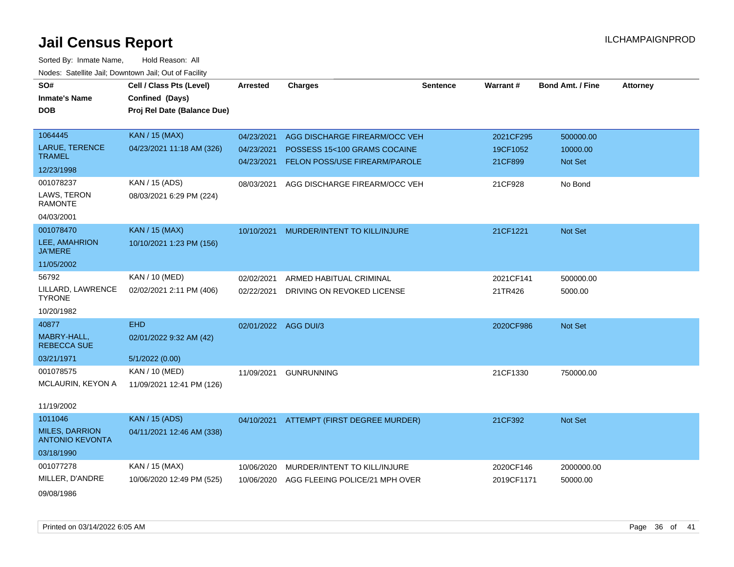| SO#                                             | Cell / Class Pts (Level)    | <b>Arrested</b>      | <b>Charges</b>                           | <b>Sentence</b> | Warrant#   | <b>Bond Amt. / Fine</b> | <b>Attorney</b> |
|-------------------------------------------------|-----------------------------|----------------------|------------------------------------------|-----------------|------------|-------------------------|-----------------|
| <b>Inmate's Name</b>                            | Confined (Days)             |                      |                                          |                 |            |                         |                 |
| <b>DOB</b>                                      | Proj Rel Date (Balance Due) |                      |                                          |                 |            |                         |                 |
|                                                 |                             |                      |                                          |                 |            |                         |                 |
| 1064445                                         | <b>KAN / 15 (MAX)</b>       | 04/23/2021           | AGG DISCHARGE FIREARM/OCC VEH            |                 | 2021CF295  | 500000.00               |                 |
| LARUE, TERENCE                                  | 04/23/2021 11:18 AM (326)   | 04/23/2021           | POSSESS 15<100 GRAMS COCAINE             |                 | 19CF1052   | 10000.00                |                 |
| <b>TRAMEL</b>                                   |                             | 04/23/2021           | FELON POSS/USE FIREARM/PAROLE            |                 | 21CF899    | Not Set                 |                 |
| 12/23/1998                                      |                             |                      |                                          |                 |            |                         |                 |
| 001078237                                       | KAN / 15 (ADS)              | 08/03/2021           | AGG DISCHARGE FIREARM/OCC VEH            |                 | 21CF928    | No Bond                 |                 |
| LAWS, TERON<br><b>RAMONTE</b>                   | 08/03/2021 6:29 PM (224)    |                      |                                          |                 |            |                         |                 |
| 04/03/2001                                      |                             |                      |                                          |                 |            |                         |                 |
| 001078470                                       | <b>KAN / 15 (MAX)</b>       | 10/10/2021           | MURDER/INTENT TO KILL/INJURE             |                 | 21CF1221   | Not Set                 |                 |
| LEE, AMAHRION<br><b>JA'MERE</b>                 | 10/10/2021 1:23 PM (156)    |                      |                                          |                 |            |                         |                 |
| 11/05/2002                                      |                             |                      |                                          |                 |            |                         |                 |
| 56792                                           | KAN / 10 (MED)              | 02/02/2021           | ARMED HABITUAL CRIMINAL                  |                 | 2021CF141  | 500000.00               |                 |
| LILLARD, LAWRENCE<br><b>TYRONE</b>              | 02/02/2021 2:11 PM (406)    | 02/22/2021           | DRIVING ON REVOKED LICENSE               |                 | 21TR426    | 5000.00                 |                 |
| 10/20/1982                                      |                             |                      |                                          |                 |            |                         |                 |
| 40877                                           | <b>EHD</b>                  | 02/01/2022 AGG DUI/3 |                                          |                 | 2020CF986  | Not Set                 |                 |
| MABRY-HALL,<br><b>REBECCA SUE</b>               | 02/01/2022 9:32 AM (42)     |                      |                                          |                 |            |                         |                 |
| 03/21/1971                                      | 5/1/2022(0.00)              |                      |                                          |                 |            |                         |                 |
| 001078575                                       | KAN / 10 (MED)              | 11/09/2021           | <b>GUNRUNNING</b>                        |                 | 21CF1330   | 750000.00               |                 |
| MCLAURIN, KEYON A                               | 11/09/2021 12:41 PM (126)   |                      |                                          |                 |            |                         |                 |
| 11/19/2002                                      |                             |                      |                                          |                 |            |                         |                 |
| 1011046                                         | <b>KAN</b> / 15 (ADS)       |                      | 04/10/2021 ATTEMPT (FIRST DEGREE MURDER) |                 | 21CF392    | Not Set                 |                 |
| <b>MILES, DARRION</b><br><b>ANTONIO KEVONTA</b> | 04/11/2021 12:46 AM (338)   |                      |                                          |                 |            |                         |                 |
| 03/18/1990                                      |                             |                      |                                          |                 |            |                         |                 |
| 001077278                                       | KAN / 15 (MAX)              | 10/06/2020           | MURDER/INTENT TO KILL/INJURE             |                 | 2020CF146  | 2000000.00              |                 |
| MILLER, D'ANDRE                                 | 10/06/2020 12:49 PM (525)   | 10/06/2020           | AGG FLEEING POLICE/21 MPH OVER           |                 | 2019CF1171 | 50000.00                |                 |
| 09/08/1986                                      |                             |                      |                                          |                 |            |                         |                 |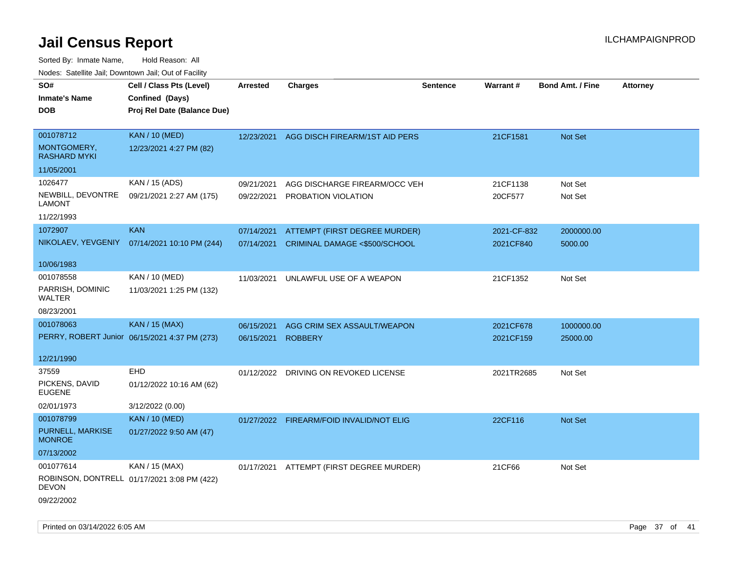| SO#<br><b>Inmate's Name</b><br><b>DOB</b>                   | Cell / Class Pts (Level)<br>Confined (Days)<br>Proj Rel Date (Balance Due) | Arrested                 | <b>Charges</b>                                                 | <b>Sentence</b> | <b>Warrant#</b>          | <b>Bond Amt. / Fine</b> | Attorney |
|-------------------------------------------------------------|----------------------------------------------------------------------------|--------------------------|----------------------------------------------------------------|-----------------|--------------------------|-------------------------|----------|
| 001078712<br>MONTGOMERY,<br><b>RASHARD MYKI</b>             | <b>KAN / 10 (MED)</b><br>12/23/2021 4:27 PM (82)                           | 12/23/2021               | AGG DISCH FIREARM/1ST AID PERS                                 |                 | 21CF1581                 | Not Set                 |          |
| 11/05/2001                                                  |                                                                            |                          |                                                                |                 |                          |                         |          |
| 1026477<br>NEWBILL, DEVONTRE<br><b>LAMONT</b><br>11/22/1993 | KAN / 15 (ADS)<br>09/21/2021 2:27 AM (175)                                 | 09/21/2021<br>09/22/2021 | AGG DISCHARGE FIREARM/OCC VEH<br>PROBATION VIOLATION           |                 | 21CF1138<br>20CF577      | Not Set<br>Not Set      |          |
| 1072907                                                     | <b>KAN</b>                                                                 |                          |                                                                |                 |                          |                         |          |
| NIKOLAEV, YEVGENIY                                          | 07/14/2021 10:10 PM (244)                                                  | 07/14/2021<br>07/14/2021 | ATTEMPT (FIRST DEGREE MURDER)<br>CRIMINAL DAMAGE <\$500/SCHOOL |                 | 2021-CF-832<br>2021CF840 | 2000000.00<br>5000.00   |          |
| 10/06/1983                                                  |                                                                            |                          |                                                                |                 |                          |                         |          |
| 001078558<br>PARRISH, DOMINIC<br>WALTER                     | KAN / 10 (MED)<br>11/03/2021 1:25 PM (132)                                 | 11/03/2021               | UNLAWFUL USE OF A WEAPON                                       |                 | 21CF1352                 | Not Set                 |          |
| 08/23/2001                                                  |                                                                            |                          |                                                                |                 |                          |                         |          |
| 001078063                                                   | <b>KAN / 15 (MAX)</b>                                                      | 06/15/2021               | AGG CRIM SEX ASSAULT/WEAPON                                    |                 | 2021CF678                | 1000000.00              |          |
|                                                             | PERRY, ROBERT Junior 06/15/2021 4:37 PM (273)                              | 06/15/2021               | <b>ROBBERY</b>                                                 |                 | 2021CF159                | 25000.00                |          |
| 12/21/1990                                                  |                                                                            |                          |                                                                |                 |                          |                         |          |
| 37559                                                       | <b>EHD</b>                                                                 |                          | 01/12/2022 DRIVING ON REVOKED LICENSE                          |                 | 2021TR2685               | Not Set                 |          |
| PICKENS, DAVID<br>EUGENE                                    | 01/12/2022 10:16 AM (62)                                                   |                          |                                                                |                 |                          |                         |          |
| 02/01/1973                                                  | 3/12/2022 (0.00)                                                           |                          |                                                                |                 |                          |                         |          |
| 001078799                                                   | <b>KAN / 10 (MED)</b>                                                      |                          | 01/27/2022 FIREARM/FOID INVALID/NOT ELIG                       |                 | 22CF116                  | <b>Not Set</b>          |          |
| PURNELL, MARKISE<br><b>MONROE</b>                           | 01/27/2022 9:50 AM (47)                                                    |                          |                                                                |                 |                          |                         |          |
| 07/13/2002                                                  |                                                                            |                          |                                                                |                 |                          |                         |          |
| 001077614<br>DEVON                                          | KAN / 15 (MAX)<br>ROBINSON, DONTRELL 01/17/2021 3:08 PM (422)              |                          | 01/17/2021 ATTEMPT (FIRST DEGREE MURDER)                       |                 | 21CF66                   | Not Set                 |          |
| 09/22/2002                                                  |                                                                            |                          |                                                                |                 |                          |                         |          |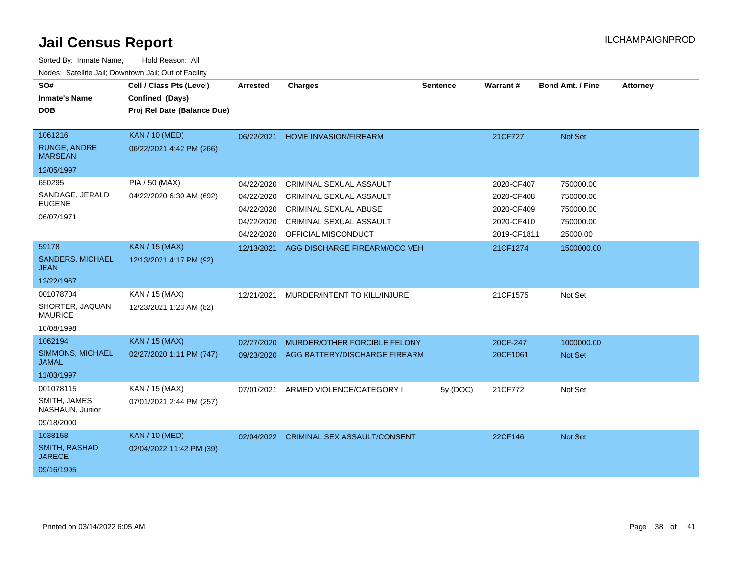| SO#<br><b>Inmate's Name</b><br><b>DOB</b>                      | Cell / Class Pts (Level)<br>Confined (Days)<br>Proj Rel Date (Balance Due) | <b>Arrested</b>                                                    | <b>Charges</b>                                                                                                                              | <b>Sentence</b> | Warrant#                                                            | <b>Bond Amt. / Fine</b>                                      | <b>Attorney</b> |
|----------------------------------------------------------------|----------------------------------------------------------------------------|--------------------------------------------------------------------|---------------------------------------------------------------------------------------------------------------------------------------------|-----------------|---------------------------------------------------------------------|--------------------------------------------------------------|-----------------|
| 1061216<br><b>RUNGE, ANDRE</b><br><b>MARSEAN</b><br>12/05/1997 | <b>KAN / 10 (MED)</b><br>06/22/2021 4:42 PM (266)                          | 06/22/2021                                                         | <b>HOME INVASION/FIREARM</b>                                                                                                                |                 | 21CF727                                                             | Not Set                                                      |                 |
| 650295<br>SANDAGE, JERALD<br><b>EUGENE</b><br>06/07/1971       | PIA / 50 (MAX)<br>04/22/2020 6:30 AM (692)                                 | 04/22/2020<br>04/22/2020<br>04/22/2020<br>04/22/2020<br>04/22/2020 | CRIMINAL SEXUAL ASSAULT<br><b>CRIMINAL SEXUAL ASSAULT</b><br><b>CRIMINAL SEXUAL ABUSE</b><br>CRIMINAL SEXUAL ASSAULT<br>OFFICIAL MISCONDUCT |                 | 2020-CF407<br>2020-CF408<br>2020-CF409<br>2020-CF410<br>2019-CF1811 | 750000.00<br>750000.00<br>750000.00<br>750000.00<br>25000.00 |                 |
| 59178<br><b>SANDERS, MICHAEL</b><br>JEAN<br>12/22/1967         | <b>KAN / 15 (MAX)</b><br>12/13/2021 4:17 PM (92)                           | 12/13/2021                                                         | AGG DISCHARGE FIREARM/OCC VEH                                                                                                               |                 | 21CF1274                                                            | 1500000.00                                                   |                 |
| 001078704<br>SHORTER, JAQUAN<br><b>MAURICE</b><br>10/08/1998   | KAN / 15 (MAX)<br>12/23/2021 1:23 AM (82)                                  | 12/21/2021                                                         | MURDER/INTENT TO KILL/INJURE                                                                                                                |                 | 21CF1575                                                            | Not Set                                                      |                 |
| 1062194<br>SIMMONS, MICHAEL<br><b>JAMAL</b><br>11/03/1997      | <b>KAN / 15 (MAX)</b><br>02/27/2020 1:11 PM (747)                          | 02/27/2020<br>09/23/2020                                           | MURDER/OTHER FORCIBLE FELONY<br>AGG BATTERY/DISCHARGE FIREARM                                                                               |                 | 20CF-247<br>20CF1061                                                | 1000000.00<br><b>Not Set</b>                                 |                 |
| 001078115<br>SMITH, JAMES<br>NASHAUN, Junior<br>09/18/2000     | KAN / 15 (MAX)<br>07/01/2021 2:44 PM (257)                                 | 07/01/2021                                                         | ARMED VIOLENCE/CATEGORY I                                                                                                                   | 5y (DOC)        | 21CF772                                                             | Not Set                                                      |                 |
| 1038158<br><b>SMITH, RASHAD</b><br><b>JARECE</b><br>09/16/1995 | <b>KAN / 10 (MED)</b><br>02/04/2022 11:42 PM (39)                          | 02/04/2022                                                         | <b>CRIMINAL SEX ASSAULT/CONSENT</b>                                                                                                         |                 | 22CF146                                                             | Not Set                                                      |                 |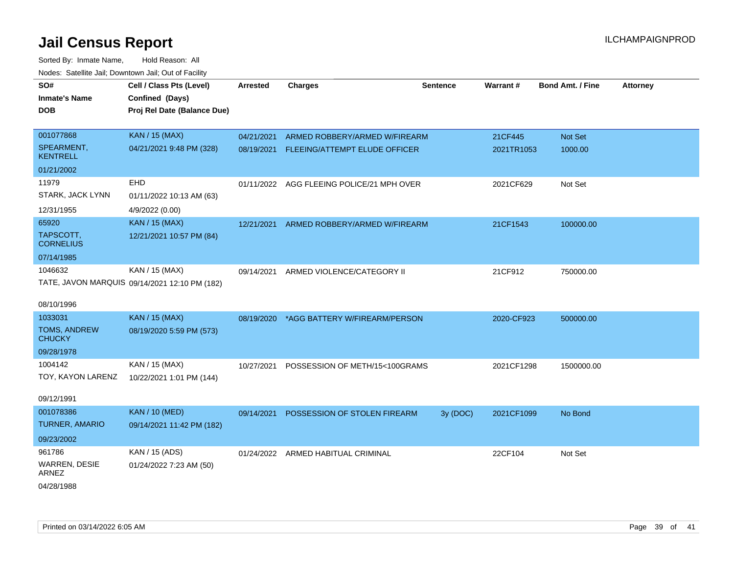| SO#                           | Cell / Class Pts (Level)                      | <b>Arrested</b> | <b>Charges</b>                            | <b>Sentence</b> | Warrant#   | <b>Bond Amt. / Fine</b> | <b>Attorney</b> |
|-------------------------------|-----------------------------------------------|-----------------|-------------------------------------------|-----------------|------------|-------------------------|-----------------|
| <b>Inmate's Name</b>          | Confined (Days)                               |                 |                                           |                 |            |                         |                 |
| <b>DOB</b>                    | Proj Rel Date (Balance Due)                   |                 |                                           |                 |            |                         |                 |
|                               |                                               |                 |                                           |                 |            |                         |                 |
| 001077868                     | <b>KAN / 15 (MAX)</b>                         | 04/21/2021      | ARMED ROBBERY/ARMED W/FIREARM             |                 | 21CF445    | Not Set                 |                 |
| SPEARMENT.<br><b>KENTRELL</b> | 04/21/2021 9:48 PM (328)                      |                 | 08/19/2021 FLEEING/ATTEMPT ELUDE OFFICER  |                 | 2021TR1053 | 1000.00                 |                 |
| 01/21/2002                    |                                               |                 |                                           |                 |            |                         |                 |
| 11979                         | <b>EHD</b>                                    |                 | 01/11/2022 AGG FLEEING POLICE/21 MPH OVER |                 | 2021CF629  | Not Set                 |                 |
| STARK, JACK LYNN              | 01/11/2022 10:13 AM (63)                      |                 |                                           |                 |            |                         |                 |
| 12/31/1955                    | 4/9/2022 (0.00)                               |                 |                                           |                 |            |                         |                 |
| 65920                         | <b>KAN / 15 (MAX)</b>                         | 12/21/2021      | ARMED ROBBERY/ARMED W/FIREARM             |                 | 21CF1543   | 100000.00               |                 |
| TAPSCOTT,<br><b>CORNELIUS</b> | 12/21/2021 10:57 PM (84)                      |                 |                                           |                 |            |                         |                 |
| 07/14/1985                    |                                               |                 |                                           |                 |            |                         |                 |
| 1046632                       | KAN / 15 (MAX)                                | 09/14/2021      | ARMED VIOLENCE/CATEGORY II                |                 | 21CF912    | 750000.00               |                 |
|                               | TATE, JAVON MARQUIS 09/14/2021 12:10 PM (182) |                 |                                           |                 |            |                         |                 |
| 08/10/1996                    |                                               |                 |                                           |                 |            |                         |                 |
| 1033031                       | <b>KAN / 15 (MAX)</b>                         |                 | 08/19/2020 *AGG BATTERY W/FIREARM/PERSON  |                 | 2020-CF923 | 500000.00               |                 |
| TOMS, ANDREW                  | 08/19/2020 5:59 PM (573)                      |                 |                                           |                 |            |                         |                 |
| <b>CHUCKY</b>                 |                                               |                 |                                           |                 |            |                         |                 |
| 09/28/1978                    |                                               |                 |                                           |                 |            |                         |                 |
| 1004142                       | KAN / 15 (MAX)                                | 10/27/2021      | POSSESSION OF METH/15<100GRAMS            |                 | 2021CF1298 | 1500000.00              |                 |
| TOY, KAYON LARENZ             | 10/22/2021 1:01 PM (144)                      |                 |                                           |                 |            |                         |                 |
| 09/12/1991                    |                                               |                 |                                           |                 |            |                         |                 |
| 001078386                     | <b>KAN / 10 (MED)</b>                         | 09/14/2021      | POSSESSION OF STOLEN FIREARM              | 3y (DOC)        | 2021CF1099 | No Bond                 |                 |
| <b>TURNER, AMARIO</b>         | 09/14/2021 11:42 PM (182)                     |                 |                                           |                 |            |                         |                 |
| 09/23/2002                    |                                               |                 |                                           |                 |            |                         |                 |
| 961786                        | KAN / 15 (ADS)                                |                 | 01/24/2022 ARMED HABITUAL CRIMINAL        |                 | 22CF104    | Not Set                 |                 |
| WARREN, DESIE<br>ARNEZ        | 01/24/2022 7:23 AM (50)                       |                 |                                           |                 |            |                         |                 |
| 04/28/1988                    |                                               |                 |                                           |                 |            |                         |                 |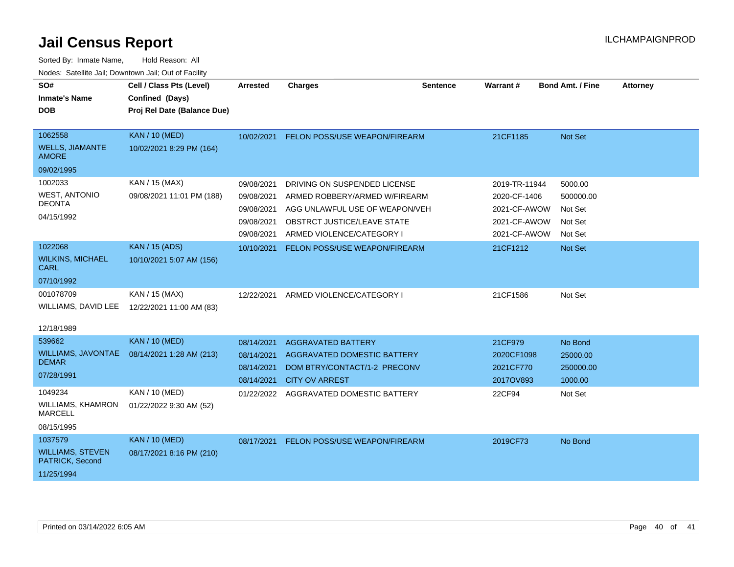| SO#                                        | Cell / Class Pts (Level)    | <b>Arrested</b> | <b>Charges</b>                 | <b>Sentence</b> | Warrant#      | <b>Bond Amt. / Fine</b> | <b>Attorney</b> |
|--------------------------------------------|-----------------------------|-----------------|--------------------------------|-----------------|---------------|-------------------------|-----------------|
| <b>Inmate's Name</b>                       | Confined (Days)             |                 |                                |                 |               |                         |                 |
| <b>DOB</b>                                 | Proj Rel Date (Balance Due) |                 |                                |                 |               |                         |                 |
|                                            |                             |                 |                                |                 |               |                         |                 |
| 1062558                                    | <b>KAN / 10 (MED)</b>       | 10/02/2021      | FELON POSS/USE WEAPON/FIREARM  |                 | 21CF1185      | <b>Not Set</b>          |                 |
| <b>WELLS, JIAMANTE</b><br><b>AMORE</b>     | 10/02/2021 8:29 PM (164)    |                 |                                |                 |               |                         |                 |
| 09/02/1995                                 |                             |                 |                                |                 |               |                         |                 |
| 1002033                                    | KAN / 15 (MAX)              | 09/08/2021      | DRIVING ON SUSPENDED LICENSE   |                 | 2019-TR-11944 | 5000.00                 |                 |
| <b>WEST, ANTONIO</b>                       | 09/08/2021 11:01 PM (188)   | 09/08/2021      | ARMED ROBBERY/ARMED W/FIREARM  |                 | 2020-CF-1406  | 500000.00               |                 |
| <b>DEONTA</b>                              |                             | 09/08/2021      | AGG UNLAWFUL USE OF WEAPON/VEH |                 | 2021-CF-AWOW  | Not Set                 |                 |
| 04/15/1992                                 |                             | 09/08/2021      | OBSTRCT JUSTICE/LEAVE STATE    |                 | 2021-CF-AWOW  | Not Set                 |                 |
|                                            |                             | 09/08/2021      | ARMED VIOLENCE/CATEGORY I      |                 | 2021-CF-AWOW  | Not Set                 |                 |
| 1022068                                    | <b>KAN / 15 (ADS)</b>       | 10/10/2021      | FELON POSS/USE WEAPON/FIREARM  |                 | 21CF1212      | Not Set                 |                 |
| <b>WILKINS, MICHAEL</b><br><b>CARL</b>     | 10/10/2021 5:07 AM (156)    |                 |                                |                 |               |                         |                 |
| 07/10/1992                                 |                             |                 |                                |                 |               |                         |                 |
| 001078709                                  | KAN / 15 (MAX)              | 12/22/2021      | ARMED VIOLENCE/CATEGORY I      |                 | 21CF1586      | Not Set                 |                 |
| WILLIAMS, DAVID LEE                        | 12/22/2021 11:00 AM (83)    |                 |                                |                 |               |                         |                 |
| 12/18/1989                                 |                             |                 |                                |                 |               |                         |                 |
| 539662                                     | <b>KAN / 10 (MED)</b>       | 08/14/2021      | <b>AGGRAVATED BATTERY</b>      |                 | 21CF979       | No Bond                 |                 |
| <b>WILLIAMS, JAVONTAE</b><br><b>DEMAR</b>  | 08/14/2021 1:28 AM (213)    | 08/14/2021      | AGGRAVATED DOMESTIC BATTERY    |                 | 2020CF1098    | 25000.00                |                 |
|                                            |                             | 08/14/2021      | DOM BTRY/CONTACT/1-2 PRECONV   |                 | 2021CF770     | 250000.00               |                 |
| 07/28/1991                                 |                             | 08/14/2021      | <b>CITY OV ARREST</b>          |                 | 2017OV893     | 1000.00                 |                 |
| 1049234                                    | KAN / 10 (MED)              | 01/22/2022      | AGGRAVATED DOMESTIC BATTERY    |                 | 22CF94        | Not Set                 |                 |
| <b>WILLIAMS, KHAMRON</b><br><b>MARCELL</b> | 01/22/2022 9:30 AM (52)     |                 |                                |                 |               |                         |                 |
| 08/15/1995                                 |                             |                 |                                |                 |               |                         |                 |
| 1037579                                    | <b>KAN / 10 (MED)</b>       | 08/17/2021      | FELON POSS/USE WEAPON/FIREARM  |                 | 2019CF73      | No Bond                 |                 |
| <b>WILLIAMS, STEVEN</b><br>PATRICK, Second | 08/17/2021 8:16 PM (210)    |                 |                                |                 |               |                         |                 |
| 11/25/1994                                 |                             |                 |                                |                 |               |                         |                 |